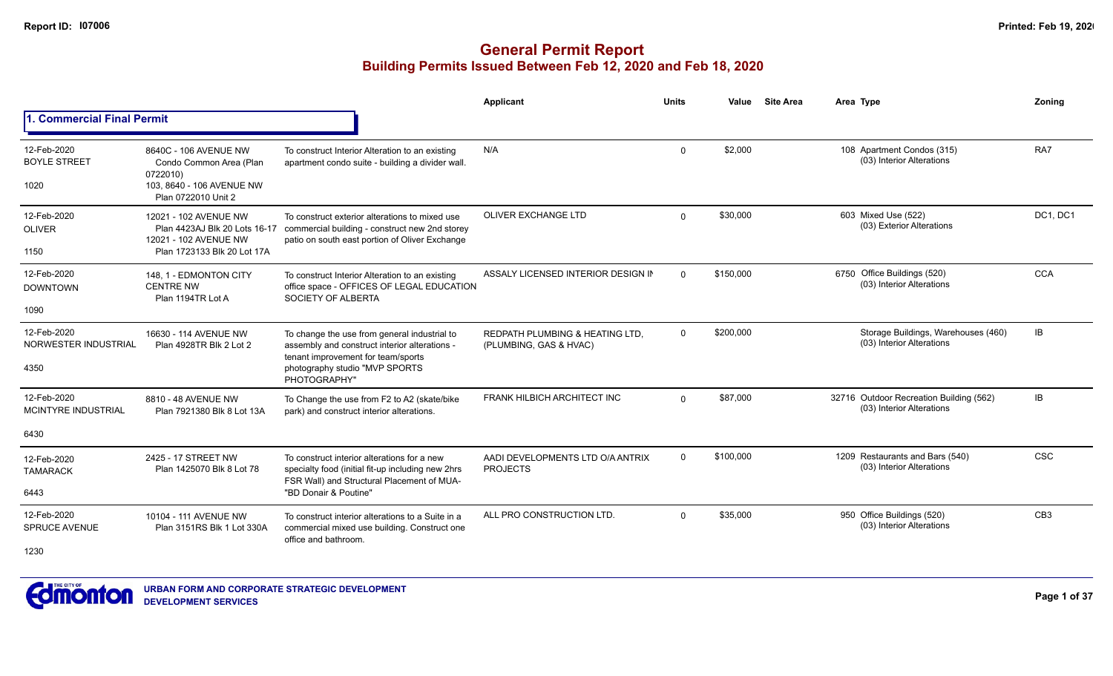|                                                   |                                                                                                                  |                                                                                                                                                                                       | Applicant                                                 | <b>Units</b> | Value     | <b>Site Area</b> | Area Type                                                            | Zoning          |
|---------------------------------------------------|------------------------------------------------------------------------------------------------------------------|---------------------------------------------------------------------------------------------------------------------------------------------------------------------------------------|-----------------------------------------------------------|--------------|-----------|------------------|----------------------------------------------------------------------|-----------------|
| 1. Commercial Final Permit                        |                                                                                                                  |                                                                                                                                                                                       |                                                           |              |           |                  |                                                                      |                 |
| 12-Feb-2020<br><b>BOYLE STREET</b><br>1020        | 8640C - 106 AVENUE NW<br>Condo Common Area (Plan<br>0722010)<br>103, 8640 - 106 AVENUE NW<br>Plan 0722010 Unit 2 | To construct Interior Alteration to an existing<br>apartment condo suite - building a divider wall.                                                                                   | N/A                                                       | $\Omega$     | \$2.000   |                  | 108 Apartment Condos (315)<br>(03) Interior Alterations              | RA7             |
| 12-Feb-2020<br><b>OLIVER</b><br>1150              | 12021 - 102 AVENUE NW<br>Plan 4423AJ Blk 20 Lots 16-17<br>12021 - 102 AVENUE NW<br>Plan 1723133 Blk 20 Lot 17A   | To construct exterior alterations to mixed use<br>commercial building - construct new 2nd storey<br>patio on south east portion of Oliver Exchange                                    | <b>OLIVER EXCHANGE LTD</b>                                | $\Omega$     | \$30,000  |                  | 603 Mixed Use (522)<br>(03) Exterior Alterations                     | DC1, DC1        |
| 12-Feb-2020<br><b>DOWNTOWN</b><br>1090            | 148, 1 - EDMONTON CITY<br><b>CENTRE NW</b><br>Plan 1194TR Lot A                                                  | To construct Interior Alteration to an existing<br>office space - OFFICES OF LEGAL EDUCATION<br>SOCIETY OF ALBERTA                                                                    | ASSALY LICENSED INTERIOR DESIGN IN                        | $\Omega$     | \$150,000 |                  | 6750 Office Buildings (520)<br>(03) Interior Alterations             | <b>CCA</b>      |
| 12-Feb-2020<br>NORWESTER INDUSTRIAL<br>4350       | 16630 - 114 AVENUE NW<br>Plan 4928TR Blk 2 Lot 2                                                                 | To change the use from general industrial to<br>assembly and construct interior alterations -<br>tenant improvement for team/sports<br>photography studio "MVP SPORTS<br>PHOTOGRAPHY" | REDPATH PLUMBING & HEATING LTD.<br>(PLUMBING, GAS & HVAC) | $\Omega$     | \$200,000 |                  | Storage Buildings, Warehouses (460)<br>(03) Interior Alterations     | IB              |
| 12-Feb-2020<br><b>MCINTYRE INDUSTRIAL</b><br>6430 | 8810 - 48 AVENUE NW<br>Plan 7921380 Blk 8 Lot 13A                                                                | To Change the use from F2 to A2 (skate/bike<br>park) and construct interior alterations.                                                                                              | FRANK HILBICH ARCHITECT INC                               | $\Omega$     | \$87,000  |                  | 32716 Outdoor Recreation Building (562)<br>(03) Interior Alterations | IB.             |
| 12-Feb-2020<br><b>TAMARACK</b><br>6443            | 2425 - 17 STREET NW<br>Plan 1425070 Blk 8 Lot 78                                                                 | To construct interior alterations for a new<br>specialty food (initial fit-up including new 2hrs<br>FSR Wall) and Structural Placement of MUA-<br>"BD Donair & Poutine"               | AADI DEVELOPMENTS LTD O/A ANTRIX<br><b>PROJECTS</b>       | $\Omega$     | \$100,000 |                  | 1209 Restaurants and Bars (540)<br>(03) Interior Alterations         | <b>CSC</b>      |
| 12-Feb-2020<br><b>SPRUCE AVENUE</b><br>1230       | 10104 - 111 AVENUE NW<br>Plan 3151RS Blk 1 Lot 330A                                                              | To construct interior alterations to a Suite in a<br>commercial mixed use building. Construct one<br>office and bathroom.                                                             | ALL PRO CONSTRUCTION LTD.                                 | $\Omega$     | \$35,000  |                  | 950 Office Buildings (520)<br>(03) Interior Alterations              | CB <sub>3</sub> |

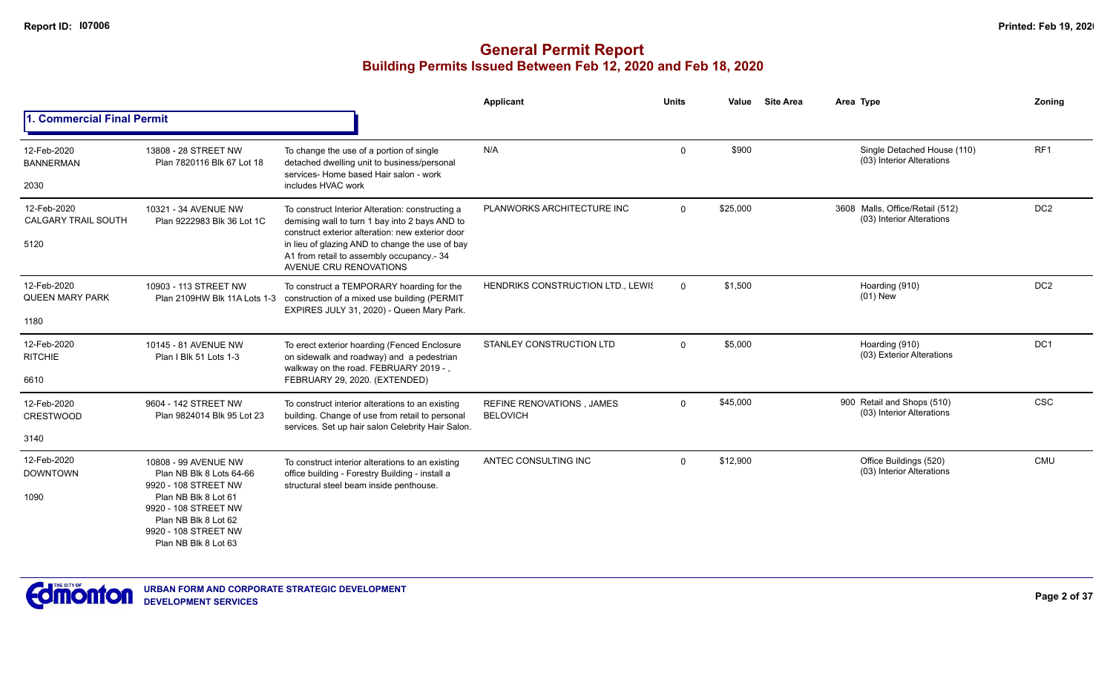|                                           |                                                                                                                      |                                                                                                                                                          | Applicant                                           | <b>Units</b> | Value    | <b>Site Area</b> | Area Type                                                    | Zoning          |
|-------------------------------------------|----------------------------------------------------------------------------------------------------------------------|----------------------------------------------------------------------------------------------------------------------------------------------------------|-----------------------------------------------------|--------------|----------|------------------|--------------------------------------------------------------|-----------------|
| 1. Commercial Final Permit                |                                                                                                                      |                                                                                                                                                          |                                                     |              |          |                  |                                                              |                 |
| 12-Feb-2020<br><b>BANNERMAN</b>           | 13808 - 28 STREET NW<br>Plan 7820116 Blk 67 Lot 18                                                                   | To change the use of a portion of single<br>detached dwelling unit to business/personal<br>services- Home based Hair salon - work                        | N/A                                                 | $\Omega$     | \$900    |                  | Single Detached House (110)<br>(03) Interior Alterations     | RF <sub>1</sub> |
| 2030                                      |                                                                                                                      | includes HVAC work                                                                                                                                       |                                                     |              |          |                  |                                                              |                 |
| 12-Feb-2020<br><b>CALGARY TRAIL SOUTH</b> | 10321 - 34 AVENUE NW<br>Plan 9222983 Blk 36 Lot 1C                                                                   | To construct Interior Alteration: constructing a<br>demising wall to turn 1 bay into 2 bays AND to<br>construct exterior alteration: new exterior door   | PLANWORKS ARCHITECTURE INC                          | $\mathbf 0$  | \$25,000 |                  | 3608 Malls, Office/Retail (512)<br>(03) Interior Alterations | DC <sub>2</sub> |
| 5120                                      |                                                                                                                      | in lieu of glazing AND to change the use of bay<br>A1 from retail to assembly occupancy.- 34<br>AVENUE CRU RENOVATIONS                                   |                                                     |              |          |                  |                                                              |                 |
| 12-Feb-2020<br><b>QUEEN MARY PARK</b>     | 10903 - 113 STREET NW<br>Plan 2109HW Blk 11A Lots 1-3                                                                | To construct a TEMPORARY hoarding for the<br>construction of a mixed use building (PERMIT<br>EXPIRES JULY 31, 2020) - Queen Mary Park.                   | HENDRIKS CONSTRUCTION LTD., LEWIS                   | $\Omega$     | \$1,500  |                  | Hoarding (910)<br>$(01)$ New                                 | DC <sub>2</sub> |
| 1180                                      |                                                                                                                      |                                                                                                                                                          |                                                     |              |          |                  |                                                              |                 |
| 12-Feb-2020<br><b>RITCHIE</b>             | 10145 - 81 AVENUE NW<br>Plan I Blk 51 Lots 1-3                                                                       | To erect exterior hoarding (Fenced Enclosure<br>on sidewalk and roadway) and a pedestrian<br>walkway on the road. FEBRUARY 2019 -.                       | STANLEY CONSTRUCTION LTD                            | $\Omega$     | \$5,000  |                  | Hoarding (910)<br>(03) Exterior Alterations                  | DC <sub>1</sub> |
| 6610                                      |                                                                                                                      | FEBRUARY 29, 2020. (EXTENDED)                                                                                                                            |                                                     |              |          |                  |                                                              |                 |
| 12-Feb-2020<br><b>CRESTWOOD</b>           | 9604 - 142 STREET NW<br>Plan 9824014 Blk 95 Lot 23                                                                   | To construct interior alterations to an existing<br>building. Change of use from retail to personal<br>services. Set up hair salon Celebrity Hair Salon. | <b>REFINE RENOVATIONS, JAMES</b><br><b>BELOVICH</b> | $\mathbf 0$  | \$45,000 |                  | 900 Retail and Shops (510)<br>(03) Interior Alterations      | <b>CSC</b>      |
| 3140                                      |                                                                                                                      |                                                                                                                                                          |                                                     |              |          |                  |                                                              |                 |
| 12-Feb-2020<br><b>DOWNTOWN</b>            | 10808 - 99 AVENUE NW<br>Plan NB Blk 8 Lots 64-66<br>9920 - 108 STREET NW                                             | To construct interior alterations to an existing<br>office building - Forestry Building - install a<br>structural steel beam inside penthouse.           | ANTEC CONSULTING INC                                | $\Omega$     | \$12,900 |                  | Office Buildings (520)<br>(03) Interior Alterations          | CMU             |
| 1090                                      | Plan NB Blk 8 Lot 61<br>9920 - 108 STREET NW<br>Plan NB Blk 8 Lot 62<br>9920 - 108 STREET NW<br>Plan NB Blk 8 Lot 63 |                                                                                                                                                          |                                                     |              |          |                  |                                                              |                 |

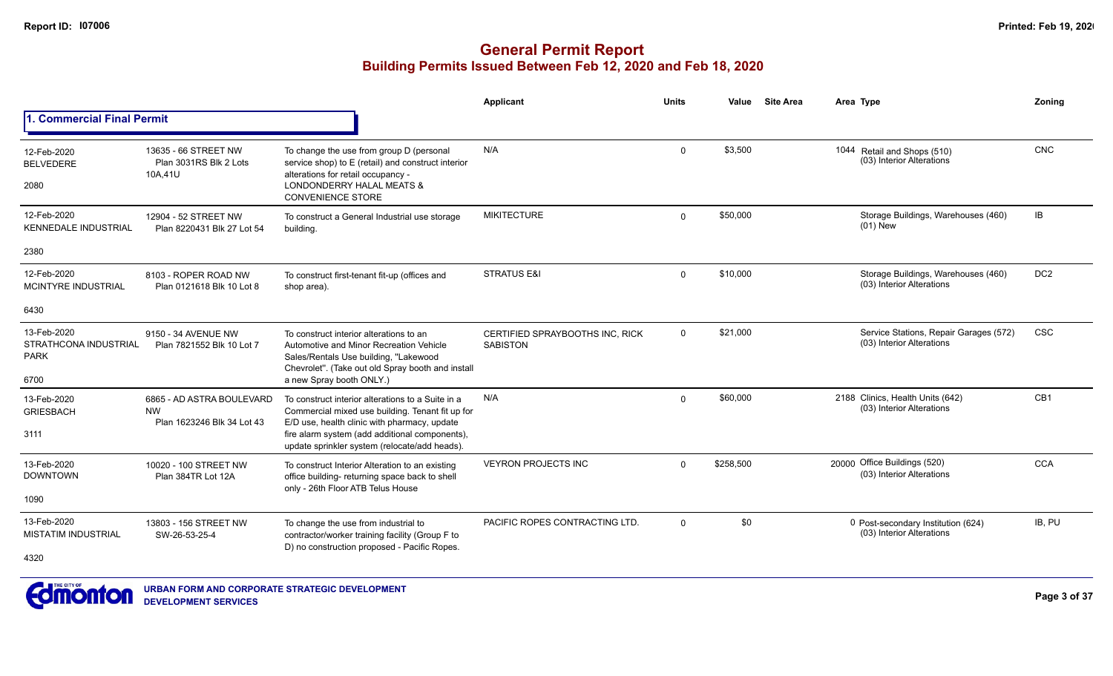|                                                             |                                                                      |                                                                                                                                                                                                                                                          | Applicant                                          | <b>Units</b> | Value     | <b>Site Area</b> | Area Type                                                           | Zoning          |
|-------------------------------------------------------------|----------------------------------------------------------------------|----------------------------------------------------------------------------------------------------------------------------------------------------------------------------------------------------------------------------------------------------------|----------------------------------------------------|--------------|-----------|------------------|---------------------------------------------------------------------|-----------------|
| <b>Commercial Final Permit</b>                              |                                                                      |                                                                                                                                                                                                                                                          |                                                    |              |           |                  |                                                                     |                 |
| 12-Feb-2020<br><b>BELVEDERE</b><br>2080                     | 13635 - 66 STREET NW<br>Plan 3031RS Blk 2 Lots<br>10A.41U            | To change the use from group D (personal<br>service shop) to E (retail) and construct interior<br>alterations for retail occupancy -<br>LONDONDERRY HALAL MEATS &<br><b>CONVENIENCE STORE</b>                                                            | N/A                                                | $\Omega$     | \$3,500   |                  | 1044 Retail and Shops (510)<br>(03) Interior Alterations            | CNC             |
| 12-Feb-2020<br><b>KENNEDALE INDUSTRIAL</b>                  | 12904 - 52 STREET NW<br>Plan 8220431 Blk 27 Lot 54                   | To construct a General Industrial use storage<br>building.                                                                                                                                                                                               | <b>MIKITECTURE</b>                                 | $\Omega$     | \$50,000  |                  | Storage Buildings, Warehouses (460)<br>$(01)$ New                   | IB              |
| 2380                                                        |                                                                      |                                                                                                                                                                                                                                                          |                                                    |              |           |                  |                                                                     |                 |
| 12-Feb-2020<br><b>MCINTYRE INDUSTRIAL</b>                   | 8103 - ROPER ROAD NW<br>Plan 0121618 Blk 10 Lot 8                    | To construct first-tenant fit-up (offices and<br>shop area).                                                                                                                                                                                             | <b>STRATUS E&amp;I</b>                             | $\Omega$     | \$10,000  |                  | Storage Buildings, Warehouses (460)<br>(03) Interior Alterations    | DC <sub>2</sub> |
| 6430                                                        |                                                                      |                                                                                                                                                                                                                                                          |                                                    |              |           |                  |                                                                     |                 |
| 13-Feb-2020<br>STRATHCONA INDUSTRIAL<br><b>PARK</b><br>6700 | 9150 - 34 AVENUE NW<br>Plan 7821552 Blk 10 Lot 7                     | To construct interior alterations to an<br>Automotive and Minor Recreation Vehicle<br>Sales/Rentals Use building, "Lakewood<br>Chevrolet". (Take out old Spray booth and install<br>a new Spray booth ONLY.)                                             | CERTIFIED SPRAYBOOTHS INC. RICK<br><b>SABISTON</b> | $\mathbf{0}$ | \$21,000  |                  | Service Stations, Repair Garages (572)<br>(03) Interior Alterations | <b>CSC</b>      |
| 13-Feb-2020<br><b>GRIESBACH</b><br>3111                     | 6865 - AD ASTRA BOULEVARD<br><b>NW</b><br>Plan 1623246 Blk 34 Lot 43 | To construct interior alterations to a Suite in a<br>Commercial mixed use building. Tenant fit up for<br>E/D use, health clinic with pharmacy, update<br>fire alarm system (add additional components),<br>update sprinkler system (relocate/add heads). | N/A                                                | $\Omega$     | \$60,000  |                  | 2188 Clinics, Health Units (642)<br>(03) Interior Alterations       | CB1             |
| 13-Feb-2020<br><b>DOWNTOWN</b><br>1090                      | 10020 - 100 STREET NW<br>Plan 384TR Lot 12A                          | To construct Interior Alteration to an existing<br>office building- returning space back to shell<br>only - 26th Floor ATB Telus House                                                                                                                   | <b>VEYRON PROJECTS INC</b>                         | $\Omega$     | \$258,500 |                  | 20000 Office Buildings (520)<br>(03) Interior Alterations           | <b>CCA</b>      |
| 13-Feb-2020<br><b>MISTATIM INDUSTRIAL</b><br>4320           | 13803 - 156 STREET NW<br>SW-26-53-25-4                               | To change the use from industrial to<br>contractor/worker training facility (Group F to<br>D) no construction proposed - Pacific Ropes.                                                                                                                  | PACIFIC ROPES CONTRACTING LTD.                     | $\Omega$     | \$0       |                  | 0 Post-secondary Institution (624)<br>(03) Interior Alterations     | IB, PU          |

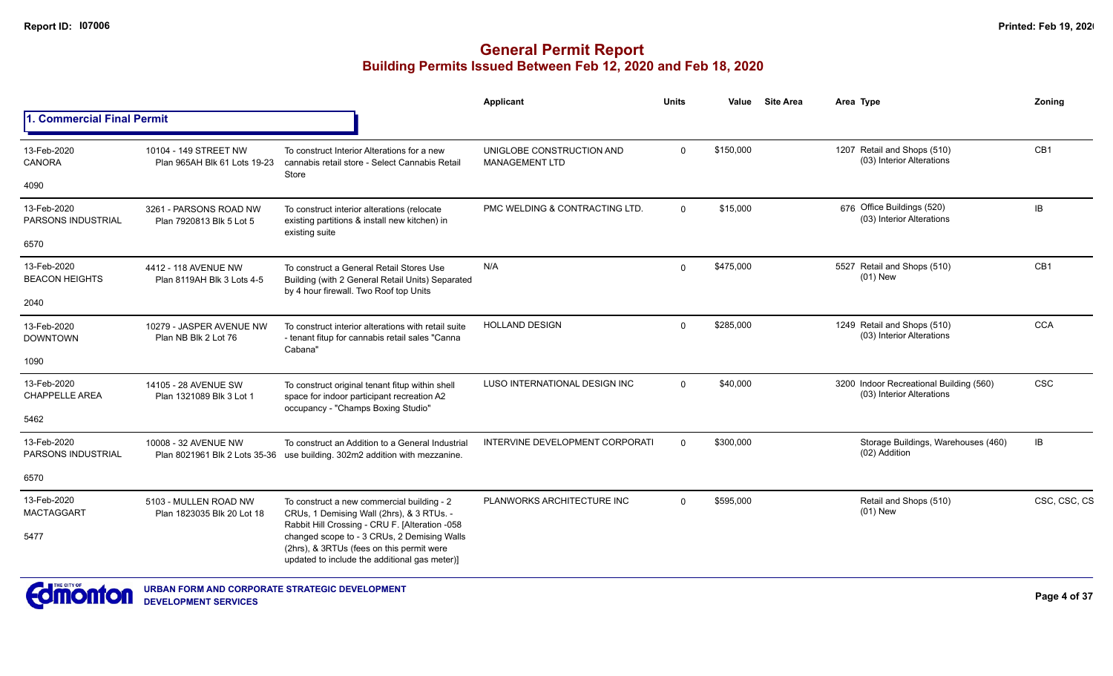|                                          |                                                                                                                                                                                             |                                                                                                                                        | <b>Applicant</b>                                   | <b>Units</b> | Value     | <b>Site Area</b> | Area Type                                                            | Zoning          |
|------------------------------------------|---------------------------------------------------------------------------------------------------------------------------------------------------------------------------------------------|----------------------------------------------------------------------------------------------------------------------------------------|----------------------------------------------------|--------------|-----------|------------------|----------------------------------------------------------------------|-----------------|
| 1. Commercial Final Permit               |                                                                                                                                                                                             |                                                                                                                                        |                                                    |              |           |                  |                                                                      |                 |
| 13-Feb-2020<br>CANORA                    | 10104 - 149 STREET NW<br>Plan 965AH Blk 61 Lots 19-23                                                                                                                                       | To construct Interior Alterations for a new<br>cannabis retail store - Select Cannabis Retail                                          | UNIGLOBE CONSTRUCTION AND<br><b>MANAGEMENT LTD</b> | $\mathbf 0$  | \$150,000 |                  | 1207 Retail and Shops (510)<br>(03) Interior Alterations             | CB <sub>1</sub> |
| 4090                                     |                                                                                                                                                                                             | Store                                                                                                                                  |                                                    |              |           |                  |                                                                      |                 |
| 13-Feb-2020<br><b>PARSONS INDUSTRIAL</b> | 3261 - PARSONS ROAD NW<br>Plan 7920813 Blk 5 Lot 5                                                                                                                                          | To construct interior alterations (relocate<br>existing partitions & install new kitchen) in<br>existing suite                         | PMC WELDING & CONTRACTING LTD.                     | $\Omega$     | \$15,000  |                  | 676 Office Buildings (520)<br>(03) Interior Alterations              | IB              |
| 6570                                     |                                                                                                                                                                                             |                                                                                                                                        |                                                    |              |           |                  |                                                                      |                 |
| 13-Feb-2020<br><b>BEACON HEIGHTS</b>     | 4412 - 118 AVENUE NW<br>Plan 8119AH Blk 3 Lots 4-5                                                                                                                                          | To construct a General Retail Stores Use<br>Building (with 2 General Retail Units) Separated<br>by 4 hour firewall. Two Roof top Units | N/A                                                | $\Omega$     | \$475,000 |                  | 5527 Retail and Shops (510)<br>$(01)$ New                            | CB <sub>1</sub> |
| 2040                                     |                                                                                                                                                                                             |                                                                                                                                        |                                                    |              |           |                  |                                                                      |                 |
| 13-Feb-2020<br><b>DOWNTOWN</b>           | 10279 - JASPER AVENUE NW<br>Plan NB Blk 2 Lot 76                                                                                                                                            | To construct interior alterations with retail suite<br>- tenant fitup for cannabis retail sales "Canna<br>Cabana"                      | <b>HOLLAND DESIGN</b>                              | $\Omega$     | \$285,000 |                  | 1249 Retail and Shops (510)<br>(03) Interior Alterations             | <b>CCA</b>      |
| 1090                                     |                                                                                                                                                                                             |                                                                                                                                        |                                                    |              |           |                  |                                                                      |                 |
| 13-Feb-2020<br><b>CHAPPELLE AREA</b>     | 14105 - 28 AVENUE SW<br>Plan 1321089 Blk 3 Lot 1                                                                                                                                            | To construct original tenant fitup within shell<br>space for indoor participant recreation A2<br>occupancy - "Champs Boxing Studio"    | LUSO INTERNATIONAL DESIGN INC                      | $\Omega$     | \$40,000  |                  | 3200 Indoor Recreational Building (560)<br>(03) Interior Alterations | <b>CSC</b>      |
| 5462                                     |                                                                                                                                                                                             |                                                                                                                                        |                                                    |              |           |                  |                                                                      |                 |
| 13-Feb-2020<br><b>PARSONS INDUSTRIAL</b> | 10008 - 32 AVENUE NW<br>Plan 8021961 Blk 2 Lots 35-36                                                                                                                                       | To construct an Addition to a General Industrial<br>use building. 302m2 addition with mezzanine.                                       | INTERVINE DEVELOPMENT CORPORATI                    | $\Omega$     | \$300,000 |                  | Storage Buildings, Warehouses (460)<br>(02) Addition                 | IB              |
| 6570                                     |                                                                                                                                                                                             |                                                                                                                                        |                                                    |              |           |                  |                                                                      |                 |
| 13-Feb-2020<br><b>MACTAGGART</b>         | 5103 - MULLEN ROAD NW<br>Plan 1823035 Blk 20 Lot 18                                                                                                                                         | To construct a new commercial building - 2<br>CRUs, 1 Demising Wall (2hrs), & 3 RTUs. -                                                | PLANWORKS ARCHITECTURE INC                         | $\Omega$     | \$595,000 |                  | Retail and Shops (510)<br>$(01)$ New                                 | CSC, CSC, CS    |
| 5477                                     | Rabbit Hill Crossing - CRU F. [Alteration -058<br>changed scope to - 3 CRUs, 2 Demising Walls<br>(2hrs), & 3RTUs (fees on this permit were<br>updated to include the additional gas meter)] |                                                                                                                                        |                                                    |              |           |                  |                                                                      |                 |

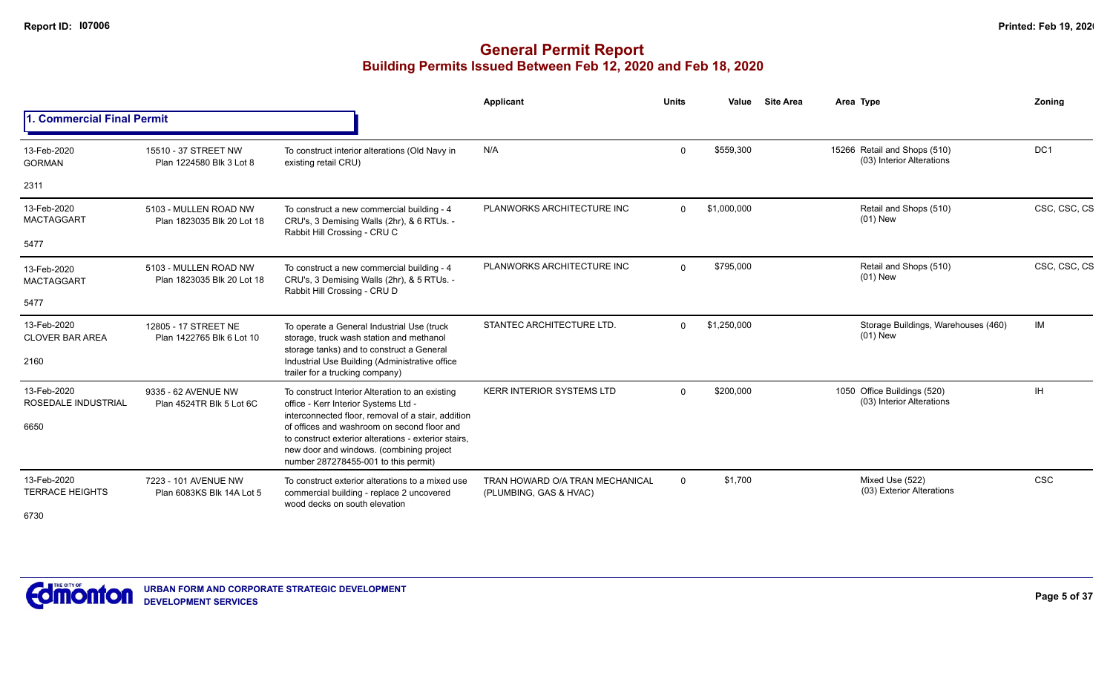## **General Permit Report Building Permits Issued Between Feb 12, 2020 and Feb 18, 2020**

|                                               |                                                     |                                                                                                                                                                                         | <b>Applicant</b>                                          | <b>Units</b> | Value       | <b>Site Area</b>            | Area Type                                                 | Zoning       |
|-----------------------------------------------|-----------------------------------------------------|-----------------------------------------------------------------------------------------------------------------------------------------------------------------------------------------|-----------------------------------------------------------|--------------|-------------|-----------------------------|-----------------------------------------------------------|--------------|
| . Commercial Final Permit                     |                                                     |                                                                                                                                                                                         |                                                           |              |             |                             |                                                           |              |
| 13-Feb-2020<br><b>GORMAN</b>                  | 15510 - 37 STREET NW<br>Plan 1224580 Blk 3 Lot 8    | To construct interior alterations (Old Navy in<br>existing retail CRU)                                                                                                                  | N/A                                                       | $\Omega$     | \$559,300   |                             | 15266 Retail and Shops (510)<br>(03) Interior Alterations | DC1          |
| 2311                                          |                                                     |                                                                                                                                                                                         |                                                           |              |             |                             |                                                           |              |
| 13-Feb-2020<br><b>MACTAGGART</b>              | 5103 - MULLEN ROAD NW<br>Plan 1823035 Blk 20 Lot 18 | To construct a new commercial building - 4<br>CRU's, 3 Demising Walls (2hr), & 6 RTUs. -<br>Rabbit Hill Crossing - CRU C                                                                | PLANWORKS ARCHITECTURE INC                                | $\Omega$     | \$1,000,000 |                             | Retail and Shops (510)<br>$(01)$ New                      | CSC, CSC, CS |
| 5477                                          |                                                     |                                                                                                                                                                                         |                                                           |              |             |                             |                                                           |              |
| 13-Feb-2020<br><b>MACTAGGART</b>              | 5103 - MULLEN ROAD NW<br>Plan 1823035 Blk 20 Lot 18 | To construct a new commercial building - 4<br>CRU's, 3 Demising Walls (2hr), & 5 RTUs. -<br>Rabbit Hill Crossing - CRU D                                                                | PLANWORKS ARCHITECTURE INC                                | $\Omega$     | \$795,000   |                             | Retail and Shops (510)<br>$(01)$ New                      | CSC, CSC, CS |
| 5477                                          |                                                     |                                                                                                                                                                                         |                                                           |              |             |                             |                                                           |              |
| 13-Feb-2020<br><b>CLOVER BAR AREA</b>         | 12805 - 17 STREET NE<br>Plan 1422765 Blk 6 Lot 10   | To operate a General Industrial Use (truck<br>storage, truck wash station and methanol<br>storage tanks) and to construct a General                                                     | STANTEC ARCHITECTURE LTD.                                 | $\Omega$     | \$1,250,000 |                             | Storage Buildings, Warehouses (460)<br>$(01)$ New         | IM           |
| 2160                                          |                                                     | Industrial Use Building (Administrative office<br>trailer for a trucking company)                                                                                                       |                                                           |              |             | 1050 Office Buildings (520) |                                                           |              |
| 13-Feb-2020<br>ROSEDALE INDUSTRIAL            | 9335 - 62 AVENUE NW<br>Plan 4524TR Blk 5 Lot 6C     | To construct Interior Alteration to an existing<br>office - Kerr Interior Systems Ltd -<br>interconnected floor, removal of a stair, addition                                           | KERR INTERIOR SYSTEMS LTD                                 | $\Omega$     | \$200,000   |                             | (03) Interior Alterations                                 | IH           |
| 6650                                          |                                                     | of offices and washroom on second floor and<br>to construct exterior alterations - exterior stairs.<br>new door and windows. (combining project<br>number 287278455-001 to this permit) |                                                           |              |             |                             |                                                           |              |
| 13-Feb-2020<br><b>TERRACE HEIGHTS</b><br>6730 | 7223 - 101 AVENUE NW<br>Plan 6083KS Blk 14A Lot 5   | To construct exterior alterations to a mixed use<br>commercial building - replace 2 uncovered<br>wood decks on south elevation                                                          | TRAN HOWARD O/A TRAN MECHANICAL<br>(PLUMBING, GAS & HVAC) | $\Omega$     | \$1,700     |                             | Mixed Use (522)<br>(03) Exterior Alterations              | CSC          |

6730

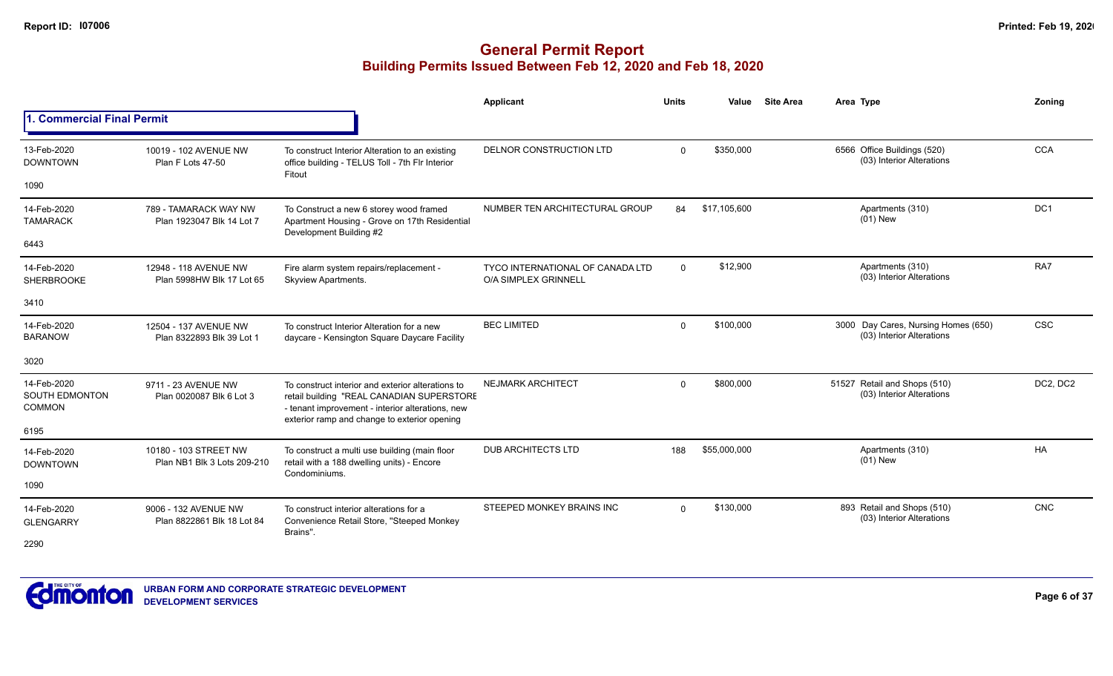|                                                       |                                                      |                                                                                                                                                                                                    | Applicant                                                | <b>Units</b> | Value        | <b>Site Area</b> | Area Type                                                        | Zoning          |
|-------------------------------------------------------|------------------------------------------------------|----------------------------------------------------------------------------------------------------------------------------------------------------------------------------------------------------|----------------------------------------------------------|--------------|--------------|------------------|------------------------------------------------------------------|-----------------|
| <b>Commercial Final Permit</b>                        |                                                      |                                                                                                                                                                                                    |                                                          |              |              |                  |                                                                  |                 |
| 13-Feb-2020<br><b>DOWNTOWN</b>                        | 10019 - 102 AVENUE NW<br>Plan F Lots 47-50           | To construct Interior Alteration to an existing<br>office building - TELUS Toll - 7th Flr Interior<br>Fitout                                                                                       | DELNOR CONSTRUCTION LTD                                  | $\Omega$     | \$350,000    |                  | 6566 Office Buildings (520)<br>(03) Interior Alterations         | <b>CCA</b>      |
| 1090                                                  |                                                      |                                                                                                                                                                                                    |                                                          |              |              |                  |                                                                  |                 |
| 14-Feb-2020<br><b>TAMARACK</b>                        | 789 - TAMARACK WAY NW<br>Plan 1923047 Blk 14 Lot 7   | To Construct a new 6 storey wood framed<br>Apartment Housing - Grove on 17th Residential<br>Development Building #2                                                                                | NUMBER TEN ARCHITECTURAL GROUP                           | 84           | \$17.105.600 |                  | Apartments (310)<br>$(01)$ New                                   | DC <sub>1</sub> |
| 6443                                                  |                                                      |                                                                                                                                                                                                    |                                                          |              |              |                  |                                                                  |                 |
| 14-Feb-2020<br><b>SHERBROOKE</b>                      | 12948 - 118 AVENUE NW<br>Plan 5998HW Blk 17 Lot 65   | Fire alarm system repairs/replacement -<br>Skyview Apartments.                                                                                                                                     | TYCO INTERNATIONAL OF CANADA LTD<br>O/A SIMPLEX GRINNELL | $\mathbf 0$  | \$12,900     |                  | Apartments (310)<br>(03) Interior Alterations                    | RA7             |
| 3410                                                  |                                                      |                                                                                                                                                                                                    |                                                          |              |              |                  |                                                                  |                 |
| 14-Feb-2020<br><b>BARANOW</b>                         | 12504 - 137 AVENUE NW<br>Plan 8322893 Blk 39 Lot 1   | To construct Interior Alteration for a new<br>daycare - Kensington Square Daycare Facility                                                                                                         | <b>BEC LIMITED</b>                                       | $\Omega$     | \$100,000    |                  | 3000 Day Cares, Nursing Homes (650)<br>(03) Interior Alterations | <b>CSC</b>      |
| 3020                                                  |                                                      |                                                                                                                                                                                                    |                                                          |              |              |                  |                                                                  |                 |
| 14-Feb-2020<br><b>SOUTH EDMONTON</b><br><b>COMMON</b> | 9711 - 23 AVENUE NW<br>Plan 0020087 Blk 6 Lot 3      | To construct interior and exterior alterations to<br>retail building "REAL CANADIAN SUPERSTORE<br>- tenant improvement - interior alterations, new<br>exterior ramp and change to exterior opening | <b>NEJMARK ARCHITECT</b>                                 | $\Omega$     | \$800,000    |                  | 51527 Retail and Shops (510)<br>(03) Interior Alterations        | DC2, DC2        |
| 6195                                                  |                                                      |                                                                                                                                                                                                    |                                                          |              |              |                  |                                                                  |                 |
| 14-Feb-2020<br><b>DOWNTOWN</b>                        | 10180 - 103 STREET NW<br>Plan NB1 Blk 3 Lots 209-210 | To construct a multi use building (main floor<br>retail with a 188 dwelling units) - Encore<br>Condominiums.                                                                                       | <b>DUB ARCHITECTS LTD</b>                                | 188          | \$55,000,000 |                  | Apartments (310)<br>$(01)$ New                                   | HA              |
| 1090                                                  |                                                      |                                                                                                                                                                                                    |                                                          |              |              |                  |                                                                  |                 |
| 14-Feb-2020<br><b>GLENGARRY</b>                       | 9006 - 132 AVENUE NW<br>Plan 8822861 Blk 18 Lot 84   | To construct interior alterations for a<br>Convenience Retail Store, "Steeped Monkey<br>Brains".                                                                                                   | STEEPED MONKEY BRAINS INC                                | $\Omega$     | \$130,000    |                  | 893 Retail and Shops (510)<br>(03) Interior Alterations          | <b>CNC</b>      |
| 2290                                                  |                                                      |                                                                                                                                                                                                    |                                                          |              |              |                  |                                                                  |                 |

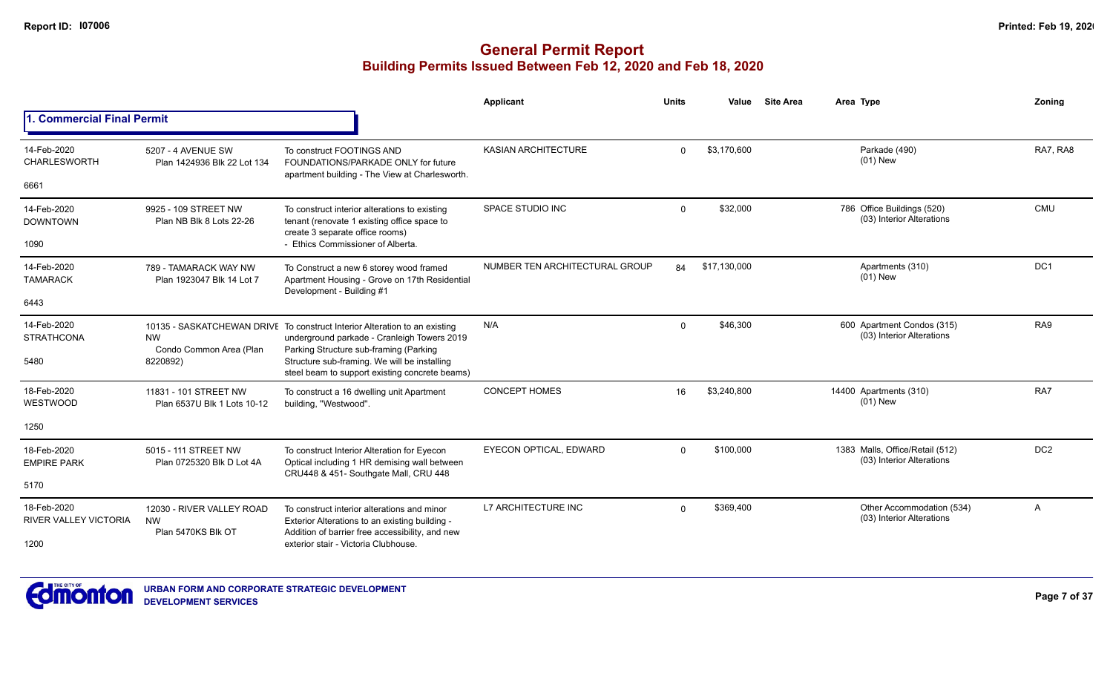|                                             |                                                              |                                                                                                                                                                                                                                                                       | Applicant                      | <b>Units</b> | Value        | <b>Site Area</b> | Area Type                                                    | Zoning          |
|---------------------------------------------|--------------------------------------------------------------|-----------------------------------------------------------------------------------------------------------------------------------------------------------------------------------------------------------------------------------------------------------------------|--------------------------------|--------------|--------------|------------------|--------------------------------------------------------------|-----------------|
| <b>1. Commercial Final Permit</b>           |                                                              |                                                                                                                                                                                                                                                                       |                                |              |              |                  |                                                              |                 |
| 14-Feb-2020<br><b>CHARLESWORTH</b>          | 5207 - 4 AVENUE SW<br>Plan 1424936 Blk 22 Lot 134            | To construct FOOTINGS AND<br>FOUNDATIONS/PARKADE ONLY for future                                                                                                                                                                                                      | KASIAN ARCHITECTURE            | $\Omega$     | \$3,170,600  |                  | Parkade (490)<br>$(01)$ New                                  | RA7, RA8        |
| 6661                                        |                                                              | apartment building - The View at Charlesworth.                                                                                                                                                                                                                        |                                |              |              |                  |                                                              |                 |
| 14-Feb-2020<br><b>DOWNTOWN</b>              | 9925 - 109 STREET NW<br>Plan NB Blk 8 Lots 22-26             | To construct interior alterations to existing<br>tenant (renovate 1 existing office space to<br>create 3 separate office rooms)                                                                                                                                       | SPACE STUDIO INC               | $\Omega$     | \$32,000     |                  | 786 Office Buildings (520)<br>(03) Interior Alterations      | <b>CMU</b>      |
| 1090                                        |                                                              | - Ethics Commissioner of Alberta.                                                                                                                                                                                                                                     |                                |              |              |                  |                                                              |                 |
| 14-Feb-2020<br><b>TAMARACK</b>              | 789 - TAMARACK WAY NW<br>Plan 1923047 Blk 14 Lot 7           | To Construct a new 6 storey wood framed<br>Apartment Housing - Grove on 17th Residential<br>Development - Building #1                                                                                                                                                 | NUMBER TEN ARCHITECTURAL GROUP | 84           | \$17,130,000 |                  | Apartments (310)<br>$(01)$ New                               | DC <sub>1</sub> |
| 6443                                        |                                                              |                                                                                                                                                                                                                                                                       |                                |              |              |                  |                                                              |                 |
| 14-Feb-2020<br><b>STRATHCONA</b><br>5480    | <b>NW</b><br>Condo Common Area (Plan<br>8220892)             | 10135 - SASKATCHEWAN DRIVE To construct Interior Alteration to an existing<br>underground parkade - Cranleigh Towers 2019<br>Parking Structure sub-framing (Parking<br>Structure sub-framing. We will be installing<br>steel beam to support existing concrete beams) | N/A                            | $\Omega$     | \$46.300     |                  | 600 Apartment Condos (315)<br>(03) Interior Alterations      | RA9             |
| 18-Feb-2020<br>WESTWOOD                     | 11831 - 101 STREET NW<br>Plan 6537U Blk 1 Lots 10-12         | To construct a 16 dwelling unit Apartment<br>building, "Westwood".                                                                                                                                                                                                    | <b>CONCEPT HOMES</b>           | 16           | \$3,240,800  |                  | 14400 Apartments (310)<br>$(01)$ New                         | RA7             |
| 1250                                        |                                                              |                                                                                                                                                                                                                                                                       |                                |              |              |                  |                                                              |                 |
| 18-Feb-2020<br><b>EMPIRE PARK</b>           | 5015 - 111 STREET NW<br>Plan 0725320 Blk D Lot 4A            | To construct Interior Alteration for Eyecon<br>Optical including 1 HR demising wall between<br>CRU448 & 451- Southgate Mall, CRU 448                                                                                                                                  | EYECON OPTICAL, EDWARD         | $\Omega$     | \$100,000    |                  | 1383 Malls, Office/Retail (512)<br>(03) Interior Alterations | DC <sub>2</sub> |
| 5170                                        |                                                              |                                                                                                                                                                                                                                                                       |                                |              |              |                  |                                                              |                 |
| 18-Feb-2020<br><b>RIVER VALLEY VICTORIA</b> | 12030 - RIVER VALLEY ROAD<br><b>NW</b><br>Plan 5470KS Blk OT | To construct interior alterations and minor<br>Exterior Alterations to an existing building -<br>Addition of barrier free accessibility, and new                                                                                                                      | L7 ARCHITECTURE INC            | $\Omega$     | \$369,400    |                  | Other Accommodation (534)<br>(03) Interior Alterations       | A               |
| 1200                                        |                                                              | exterior stair - Victoria Clubhouse.                                                                                                                                                                                                                                  |                                |              |              |                  |                                                              |                 |

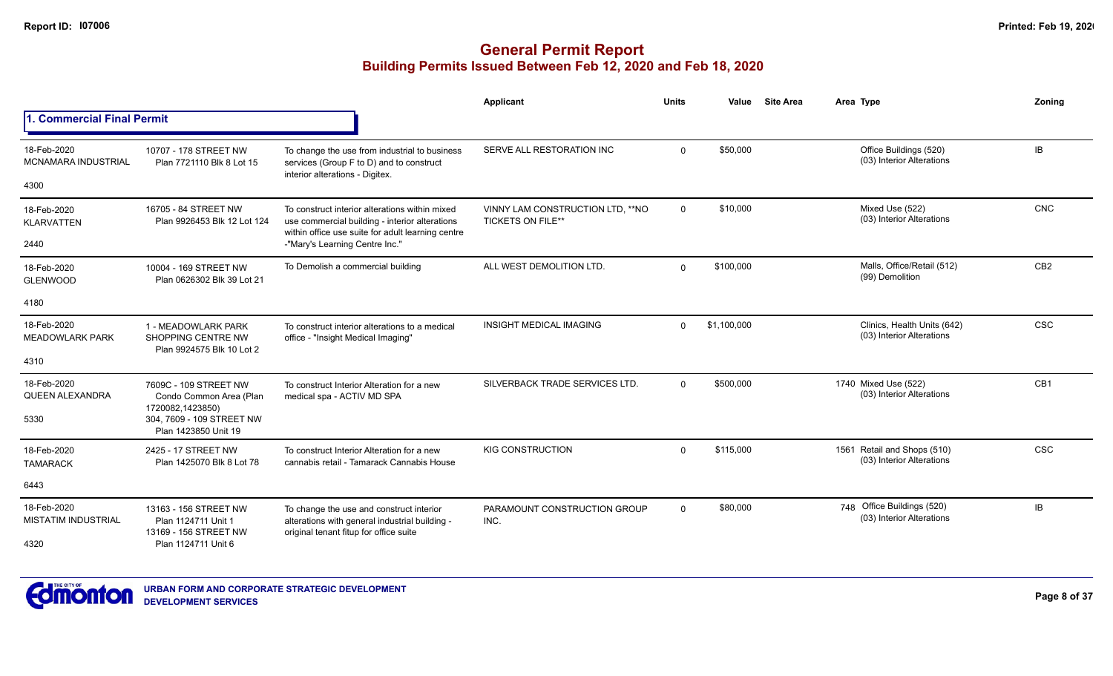|                                           |                                                                        |                                                                                                                                                       | Applicant                                                     | <b>Units</b> | Value       | <b>Site Area</b> | Area Type                                                  | Zoning          |
|-------------------------------------------|------------------------------------------------------------------------|-------------------------------------------------------------------------------------------------------------------------------------------------------|---------------------------------------------------------------|--------------|-------------|------------------|------------------------------------------------------------|-----------------|
| <b>1. Commercial Final Permit</b>         |                                                                        |                                                                                                                                                       |                                                               |              |             |                  |                                                            |                 |
| 18-Feb-2020<br><b>MCNAMARA INDUSTRIAL</b> | 10707 - 178 STREET NW<br>Plan 7721110 Blk 8 Lot 15                     | To change the use from industrial to business<br>services (Group F to D) and to construct<br>interior alterations - Digitex.                          | SERVE ALL RESTORATION INC                                     | $\Omega$     | \$50,000    |                  | Office Buildings (520)<br>(03) Interior Alterations        | IB.             |
| 4300                                      |                                                                        |                                                                                                                                                       |                                                               |              |             |                  |                                                            |                 |
| 18-Feb-2020<br><b>KLARVATTEN</b>          | 16705 - 84 STREET NW<br>Plan 9926453 Blk 12 Lot 124                    | To construct interior alterations within mixed<br>use commercial building - interior alterations<br>within office use suite for adult learning centre | VINNY LAM CONSTRUCTION LTD, ** NO<br><b>TICKETS ON FILE**</b> | $\mathbf 0$  | \$10,000    |                  | Mixed Use (522)<br>(03) Interior Alterations               | <b>CNC</b>      |
| 2440                                      |                                                                        | -"Mary's Learning Centre Inc."                                                                                                                        |                                                               |              |             |                  |                                                            |                 |
| 18-Feb-2020<br><b>GLENWOOD</b>            | 10004 - 169 STREET NW<br>Plan 0626302 Blk 39 Lot 21                    | To Demolish a commercial building                                                                                                                     | ALL WEST DEMOLITION LTD.                                      | $\Omega$     | \$100,000   |                  | Malls, Office/Retail (512)<br>(99) Demolition              | CB <sub>2</sub> |
| 4180                                      |                                                                        |                                                                                                                                                       |                                                               |              |             |                  |                                                            |                 |
| 18-Feb-2020<br><b>MEADOWLARK PARK</b>     | 1 - MEADOWLARK PARK<br>SHOPPING CENTRE NW<br>Plan 9924575 Blk 10 Lot 2 | To construct interior alterations to a medical<br>office - "Insight Medical Imaging"                                                                  | <b>INSIGHT MEDICAL IMAGING</b>                                | $\Omega$     | \$1,100,000 |                  | Clinics, Health Units (642)<br>(03) Interior Alterations   | <b>CSC</b>      |
| 4310                                      |                                                                        |                                                                                                                                                       |                                                               |              |             |                  |                                                            |                 |
| 18-Feb-2020<br>QUEEN ALEXANDRA            | 7609C - 109 STREET NW<br>Condo Common Area (Plan<br>1720082,1423850)   | To construct Interior Alteration for a new<br>medical spa - ACTIV MD SPA                                                                              | SILVERBACK TRADE SERVICES LTD.                                | $\Omega$     | \$500,000   |                  | 1740 Mixed Use (522)<br>(03) Interior Alterations          | CB <sub>1</sub> |
| 5330                                      | 304, 7609 - 109 STREET NW<br>Plan 1423850 Unit 19                      |                                                                                                                                                       |                                                               |              |             |                  |                                                            |                 |
| 18-Feb-2020<br><b>TAMARACK</b>            | 2425 - 17 STREET NW<br>Plan 1425070 Blk 8 Lot 78                       | To construct Interior Alteration for a new<br>cannabis retail - Tamarack Cannabis House                                                               | <b>KIG CONSTRUCTION</b>                                       | $\Omega$     | \$115.000   |                  | 1561 Retail and Shops (510)<br>(03) Interior Alterations   | <b>CSC</b>      |
| 6443                                      |                                                                        |                                                                                                                                                       |                                                               |              |             |                  |                                                            |                 |
| 18-Feb-2020<br><b>MISTATIM INDUSTRIAL</b> | 13163 - 156 STREET NW<br>Plan 1124711 Unit 1<br>13169 - 156 STREET NW  | To change the use and construct interior<br>alterations with general industrial building -<br>original tenant fitup for office suite                  | PARAMOUNT CONSTRUCTION GROUP<br>INC.                          | $\Omega$     | \$80,000    |                  | Office Buildings (520)<br>748<br>(03) Interior Alterations | IB              |
| 4320                                      | Plan 1124711 Unit 6                                                    |                                                                                                                                                       |                                                               |              |             |                  |                                                            |                 |

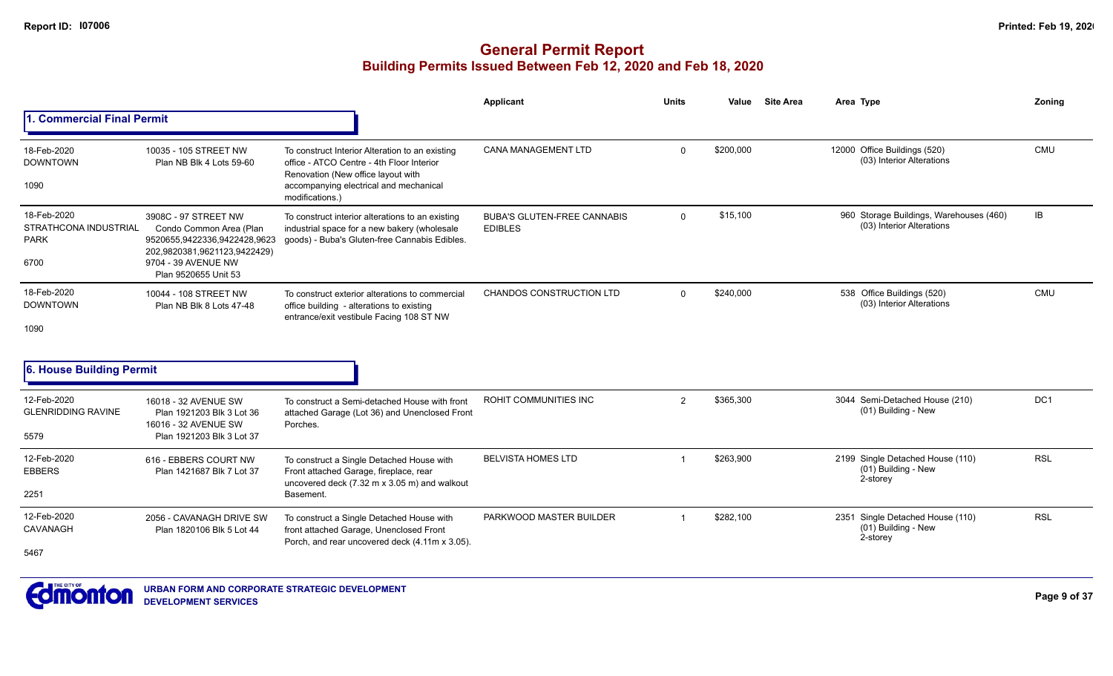|                                                                    |                                                                                                                                                                |                                                                                                                                                                                                 | <b>Applicant</b>                                     | <b>Units</b> | Value     | <b>Site Area</b> | Area Type                                                            | Zoning          |
|--------------------------------------------------------------------|----------------------------------------------------------------------------------------------------------------------------------------------------------------|-------------------------------------------------------------------------------------------------------------------------------------------------------------------------------------------------|------------------------------------------------------|--------------|-----------|------------------|----------------------------------------------------------------------|-----------------|
| <b>Commercial Final Permit</b>                                     |                                                                                                                                                                |                                                                                                                                                                                                 |                                                      |              |           |                  |                                                                      |                 |
| 18-Feb-2020<br><b>DOWNTOWN</b><br>1090                             | 10035 - 105 STREET NW<br>Plan NB Blk 4 Lots 59-60                                                                                                              | To construct Interior Alteration to an existing<br>office - ATCO Centre - 4th Floor Interior<br>Renovation (New office layout with<br>accompanying electrical and mechanical<br>modifications.) | <b>CANA MANAGEMENT LTD</b>                           | $\Omega$     | \$200,000 |                  | 12000 Office Buildings (520)<br>(03) Interior Alterations            | <b>CMU</b>      |
| 18-Feb-2020<br><b>STRATHCONA INDUSTRIAL</b><br><b>PARK</b><br>6700 | 3908C - 97 STREET NW<br>Condo Common Area (Plan<br>9520655,9422336,9422428,9623<br>202,9820381,9621123,9422429)<br>9704 - 39 AVENUE NW<br>Plan 9520655 Unit 53 | To construct interior alterations to an existing<br>industrial space for a new bakery (wholesale<br>goods) - Buba's Gluten-free Cannabis Edibles.                                               | <b>BUBA'S GLUTEN-FREE CANNABIS</b><br><b>EDIBLES</b> | $\mathbf{0}$ | \$15,100  |                  | 960 Storage Buildings, Warehouses (460)<br>(03) Interior Alterations | IB              |
| 18-Feb-2020<br><b>DOWNTOWN</b><br>1090                             | 10044 - 108 STREET NW<br>Plan NB Blk 8 Lots 47-48                                                                                                              | To construct exterior alterations to commercial<br>office building - alterations to existing<br>entrance/exit vestibule Facing 108 ST NW                                                        | <b>CHANDOS CONSTRUCTION LTD</b>                      | $\Omega$     | \$240,000 |                  | 538 Office Buildings (520)<br>(03) Interior Alterations              | <b>CMU</b>      |
| 6. House Building Permit                                           |                                                                                                                                                                |                                                                                                                                                                                                 |                                                      |              |           |                  |                                                                      |                 |
| 12-Feb-2020<br><b>GLENRIDDING RAVINE</b><br>5579                   | 16018 - 32 AVENUE SW<br>Plan 1921203 Blk 3 Lot 36<br>16016 - 32 AVENUE SW<br>Plan 1921203 Blk 3 Lot 37                                                         | To construct a Semi-detached House with front<br>attached Garage (Lot 36) and Unenclosed Front<br>Porches.                                                                                      | <b>ROHIT COMMUNITIES INC</b>                         | 2            | \$365,300 |                  | 3044 Semi-Detached House (210)<br>(01) Building - New                | DC <sub>1</sub> |
| 12-Feb-2020<br><b>EBBERS</b><br>2251                               | 616 - EBBERS COURT NW<br>Plan 1421687 Blk 7 Lot 37                                                                                                             | To construct a Single Detached House with<br>Front attached Garage, fireplace, rear<br>uncovered deck (7.32 m x 3.05 m) and walkout<br>Basement.                                                | <b>BELVISTA HOMES LTD</b>                            |              | \$263,900 |                  | 2199 Single Detached House (110)<br>(01) Building - New<br>2-storey  | <b>RSL</b>      |
| 12-Feb-2020<br>CAVANAGH<br>5467                                    | 2056 - CAVANAGH DRIVE SW<br>Plan 1820106 Blk 5 Lot 44                                                                                                          | To construct a Single Detached House with<br>front attached Garage, Unenclosed Front<br>Porch, and rear uncovered deck (4.11m x 3.05).                                                          | PARKWOOD MASTER BUILDER                              |              | \$282,100 |                  | 2351 Single Detached House (110)<br>(01) Building - New<br>2-storey  | <b>RSL</b>      |

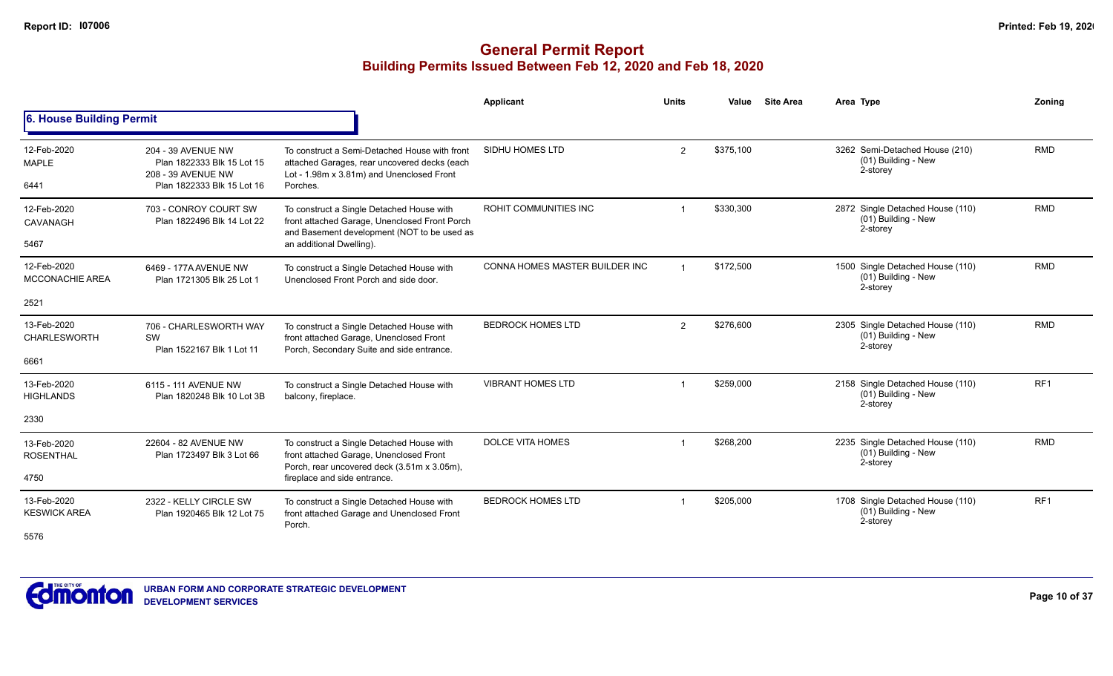|                                            |                                                                                                      |                                                                                                                                                                       | Applicant                      | <b>Units</b>   | Value     | <b>Site Area</b> | Area Type                                                           | Zoning          |
|--------------------------------------------|------------------------------------------------------------------------------------------------------|-----------------------------------------------------------------------------------------------------------------------------------------------------------------------|--------------------------------|----------------|-----------|------------------|---------------------------------------------------------------------|-----------------|
| 6. House Building Permit                   |                                                                                                      |                                                                                                                                                                       |                                |                |           |                  |                                                                     |                 |
| 12-Feb-2020<br><b>MAPLE</b><br>6441        | 204 - 39 AVENUE NW<br>Plan 1822333 Blk 15 Lot 15<br>208 - 39 AVENUE NW<br>Plan 1822333 Blk 15 Lot 16 | To construct a Semi-Detached House with front<br>attached Garages, rear uncovered decks (each<br>Lot - 1.98m x 3.81m) and Unenclosed Front<br>Porches.                | SIDHU HOMES LTD                | $\overline{2}$ | \$375,100 |                  | 3262 Semi-Detached House (210)<br>(01) Building - New<br>2-storey   | <b>RMD</b>      |
| 12-Feb-2020<br>CAVANAGH<br>5467            | 703 - CONROY COURT SW<br>Plan 1822496 Blk 14 Lot 22                                                  | To construct a Single Detached House with<br>front attached Garage, Unenclosed Front Porch<br>and Basement development (NOT to be used as<br>an additional Dwelling). | ROHIT COMMUNITIES INC          | $\overline{1}$ | \$330,300 |                  | 2872 Single Detached House (110)<br>(01) Building - New<br>2-storey | <b>RMD</b>      |
| 12-Feb-2020<br><b>MCCONACHIE AREA</b>      | 6469 - 177A AVENUE NW<br>Plan 1721305 Blk 25 Lot 1                                                   | To construct a Single Detached House with<br>Unenclosed Front Porch and side door.                                                                                    | CONNA HOMES MASTER BUILDER INC | $\overline{1}$ | \$172,500 |                  | 1500 Single Detached House (110)<br>(01) Building - New<br>2-storey | <b>RMD</b>      |
| 2521                                       |                                                                                                      |                                                                                                                                                                       |                                |                |           |                  |                                                                     |                 |
| 13-Feb-2020<br><b>CHARLESWORTH</b>         | 706 - CHARLESWORTH WAY<br>SW<br>Plan 1522167 Blk 1 Lot 11                                            | To construct a Single Detached House with<br>front attached Garage, Unenclosed Front<br>Porch, Secondary Suite and side entrance.                                     | <b>BEDROCK HOMES LTD</b>       | $\overline{2}$ | \$276,600 |                  | 2305 Single Detached House (110)<br>(01) Building - New<br>2-storey | <b>RMD</b>      |
| 6661                                       |                                                                                                      |                                                                                                                                                                       |                                |                |           |                  |                                                                     |                 |
| 13-Feb-2020<br><b>HIGHLANDS</b>            | 6115 - 111 AVENUE NW<br>Plan 1820248 Blk 10 Lot 3B                                                   | To construct a Single Detached House with<br>balcony, fireplace.                                                                                                      | <b>VIBRANT HOMES LTD</b>       |                | \$259,000 |                  | 2158 Single Detached House (110)<br>(01) Building - New<br>2-storey | RF <sub>1</sub> |
| 2330                                       |                                                                                                      |                                                                                                                                                                       |                                |                |           |                  |                                                                     |                 |
| 13-Feb-2020<br><b>ROSENTHAL</b><br>4750    | 22604 - 82 AVENUE NW<br>Plan 1723497 Blk 3 Lot 66                                                    | To construct a Single Detached House with<br>front attached Garage, Unenclosed Front<br>Porch, rear uncovered deck (3.51m x 3.05m),<br>fireplace and side entrance.   | <b>DOLCE VITA HOMES</b>        |                | \$268,200 |                  | 2235 Single Detached House (110)<br>(01) Building - New<br>2-storey | <b>RMD</b>      |
| 13-Feb-2020<br><b>KESWICK AREA</b><br>5576 | 2322 - KELLY CIRCLE SW<br>Plan 1920465 Blk 12 Lot 75                                                 | To construct a Single Detached House with<br>front attached Garage and Unenclosed Front<br>Porch.                                                                     | <b>BEDROCK HOMES LTD</b>       |                | \$205,000 |                  | 1708 Single Detached House (110)<br>(01) Building - New<br>2-storey | RF <sub>1</sub> |

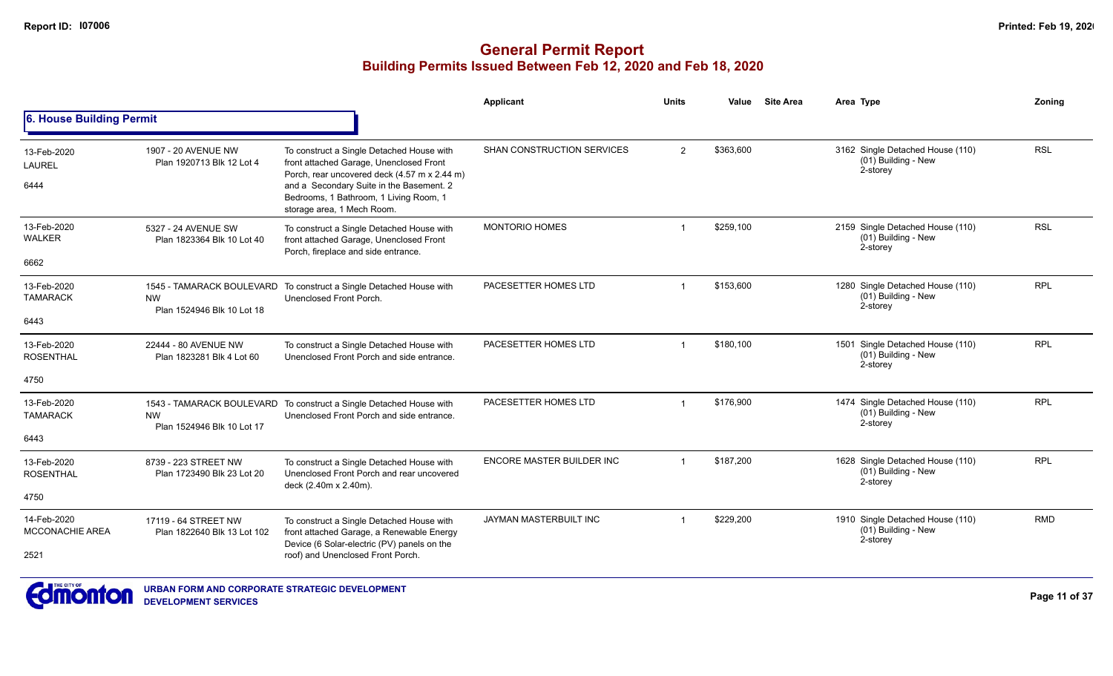### **General Permit Report Building Permits Issued Between Feb 12, 2020 and Feb 18, 2020**

|                                               |                                                     |                                                                                                                                                                                                                                                          | <b>Applicant</b>              | <b>Units</b>   | Value     | <b>Site Area</b> | Area Type                                                             | Zonina     |
|-----------------------------------------------|-----------------------------------------------------|----------------------------------------------------------------------------------------------------------------------------------------------------------------------------------------------------------------------------------------------------------|-------------------------------|----------------|-----------|------------------|-----------------------------------------------------------------------|------------|
| 6. House Building Permit                      |                                                     |                                                                                                                                                                                                                                                          |                               |                |           |                  |                                                                       |            |
| 13-Feb-2020<br>LAUREL<br>6444                 | 1907 - 20 AVENUE NW<br>Plan 1920713 Blk 12 Lot 4    | To construct a Single Detached House with<br>front attached Garage, Unenclosed Front<br>Porch, rear uncovered deck (4.57 m x 2.44 m)<br>and a Secondary Suite in the Basement. 2<br>Bedrooms, 1 Bathroom, 1 Living Room, 1<br>storage area, 1 Mech Room. | SHAN CONSTRUCTION SERVICES    | 2              | \$363.600 |                  | 3162 Single Detached House (110)<br>$(01)$ Building - New<br>2-storey | <b>RSL</b> |
| 13-Feb-2020<br><b>WALKER</b><br>6662          | 5327 - 24 AVENUE SW<br>Plan 1823364 Blk 10 Lot 40   | To construct a Single Detached House with<br>front attached Garage, Unenclosed Front<br>Porch, fireplace and side entrance.                                                                                                                              | <b>MONTORIO HOMES</b>         |                | \$259,100 |                  | 2159 Single Detached House (110)<br>(01) Building - New<br>2-storey   | <b>RSL</b> |
| 13-Feb-2020<br><b>TAMARACK</b><br>6443        | <b>NW</b><br>Plan 1524946 Blk 10 Lot 18             | 1545 - TAMARACK BOULEVARD To construct a Single Detached House with<br>Unenclosed Front Porch.                                                                                                                                                           | PACESETTER HOMES LTD          |                | \$153,600 |                  | 1280 Single Detached House (110)<br>(01) Building - New<br>2-storey   | <b>RPL</b> |
| 13-Feb-2020<br><b>ROSENTHAL</b><br>4750       | 22444 - 80 AVENUE NW<br>Plan 1823281 Blk 4 Lot 60   | To construct a Single Detached House with<br>Unenclosed Front Porch and side entrance.                                                                                                                                                                   | PACESETTER HOMES LTD          |                | \$180,100 |                  | 1501 Single Detached House (110)<br>(01) Building - New<br>2-storey   | <b>RPL</b> |
| 13-Feb-2020<br><b>TAMARACK</b><br>6443        | <b>NW</b><br>Plan 1524946 Blk 10 Lot 17             | 1543 - TAMARACK BOULEVARD To construct a Single Detached House with<br>Unenclosed Front Porch and side entrance.                                                                                                                                         | PACESETTER HOMES LTD          | $\overline{1}$ | \$176,900 |                  | 1474 Single Detached House (110)<br>$(01)$ Building - New<br>2-storey | <b>RPL</b> |
| 13-Feb-2020<br><b>ROSENTHAL</b><br>4750       | 8739 - 223 STREET NW<br>Plan 1723490 Blk 23 Lot 20  | To construct a Single Detached House with<br>Unenclosed Front Porch and rear uncovered<br>deck (2.40m x 2.40m).                                                                                                                                          | ENCORE MASTER BUILDER INC     |                | \$187,200 |                  | 1628 Single Detached House (110)<br>(01) Building - New<br>2-storey   | <b>RPL</b> |
| 14-Feb-2020<br><b>MCCONACHIE AREA</b><br>2521 | 17119 - 64 STREET NW<br>Plan 1822640 Blk 13 Lot 102 | To construct a Single Detached House with<br>front attached Garage, a Renewable Energy<br>Device (6 Solar-electric (PV) panels on the<br>roof) and Unenclosed Front Porch.                                                                               | <b>JAYMAN MASTERBUILT INC</b> |                | \$229,200 |                  | 1910 Single Detached House (110)<br>(01) Building - New<br>2-storey   | <b>RMD</b> |



**URBAN FORM AND CORPORATE STRATEGIC DEVELOPMENT DEVELOPMENT SERVICES**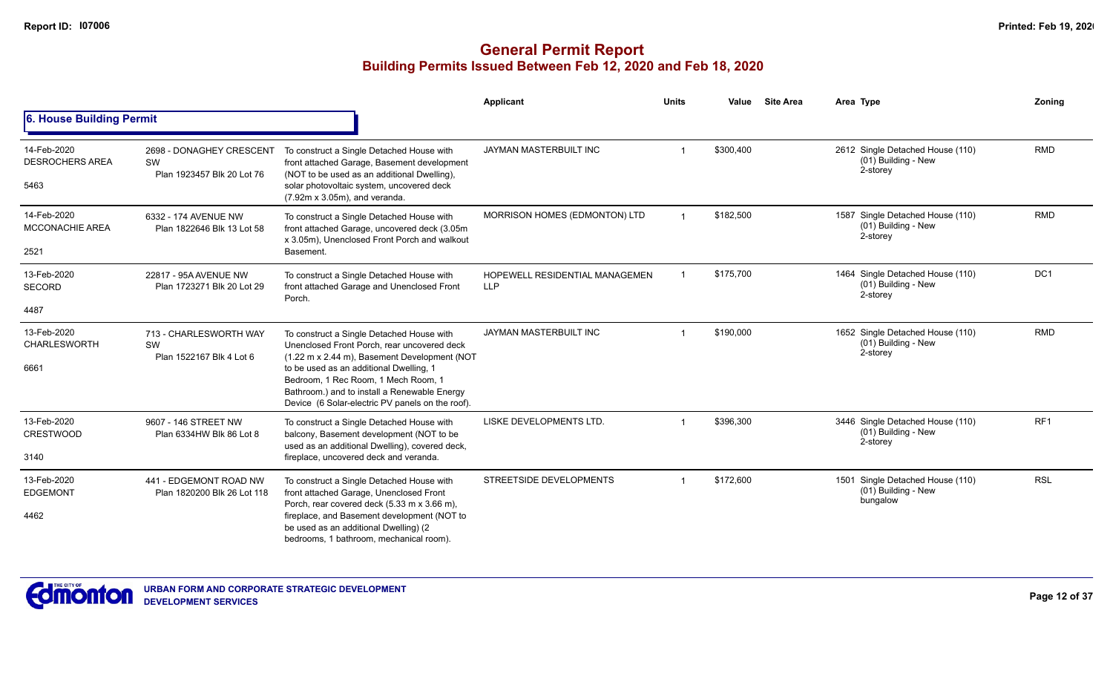|                                               |                                                              |                                                                                                                                                                                                                                                                                                                                | Applicant                                           | <b>Units</b> | Value     | <b>Site Area</b> | Area Type                                                           | Zoning          |
|-----------------------------------------------|--------------------------------------------------------------|--------------------------------------------------------------------------------------------------------------------------------------------------------------------------------------------------------------------------------------------------------------------------------------------------------------------------------|-----------------------------------------------------|--------------|-----------|------------------|---------------------------------------------------------------------|-----------------|
| 6. House Building Permit                      |                                                              |                                                                                                                                                                                                                                                                                                                                |                                                     |              |           |                  |                                                                     |                 |
| 14-Feb-2020<br><b>DESROCHERS AREA</b><br>5463 | 2698 - DONAGHEY CRESCENT<br>SW<br>Plan 1923457 Blk 20 Lot 76 | To construct a Single Detached House with<br>front attached Garage, Basement development<br>(NOT to be used as an additional Dwelling),<br>solar photovoltaic system, uncovered deck<br>(7.92m x 3.05m), and veranda.                                                                                                          | JAYMAN MASTERBUILT INC                              | -1           | \$300,400 |                  | 2612 Single Detached House (110)<br>(01) Building - New<br>2-storey | <b>RMD</b>      |
| 14-Feb-2020<br><b>MCCONACHIE AREA</b><br>2521 | 6332 - 174 AVENUE NW<br>Plan 1822646 Blk 13 Lot 58           | To construct a Single Detached House with<br>front attached Garage, uncovered deck (3.05m<br>x 3.05m), Unenclosed Front Porch and walkout<br>Basement.                                                                                                                                                                         | MORRISON HOMES (EDMONTON) LTD                       |              | \$182,500 |                  | 1587 Single Detached House (110)<br>(01) Building - New<br>2-storey | <b>RMD</b>      |
| 13-Feb-2020<br><b>SECORD</b>                  | 22817 - 95A AVENUE NW<br>Plan 1723271 Blk 20 Lot 29          | To construct a Single Detached House with<br>front attached Garage and Unenclosed Front<br>Porch.                                                                                                                                                                                                                              | <b>HOPEWELL RESIDENTIAL MANAGEMEN</b><br><b>LLP</b> |              | \$175,700 |                  | 1464 Single Detached House (110)<br>(01) Building - New<br>2-storey | DC <sub>1</sub> |
| 4487                                          |                                                              |                                                                                                                                                                                                                                                                                                                                |                                                     |              |           |                  |                                                                     |                 |
| 13-Feb-2020<br><b>CHARLESWORTH</b><br>6661    | 713 - CHARLESWORTH WAY<br>SW<br>Plan 1522167 Blk 4 Lot 6     | To construct a Single Detached House with<br>Unenclosed Front Porch, rear uncovered deck<br>(1.22 m x 2.44 m), Basement Development (NOT<br>to be used as an additional Dwelling, 1<br>Bedroom, 1 Rec Room, 1 Mech Room, 1<br>Bathroom.) and to install a Renewable Energy<br>Device (6 Solar-electric PV panels on the roof). | <b>JAYMAN MASTERBUILT INC</b>                       |              | \$190,000 |                  | 1652 Single Detached House (110)<br>(01) Building - New<br>2-storey | <b>RMD</b>      |
| 13-Feb-2020<br><b>CRESTWOOD</b><br>3140       | 9607 - 146 STREET NW<br>Plan 6334HW Blk 86 Lot 8             | To construct a Single Detached House with<br>balcony, Basement development (NOT to be<br>used as an additional Dwelling), covered deck,<br>fireplace, uncovered deck and veranda.                                                                                                                                              | LISKE DEVELOPMENTS LTD.                             |              | \$396,300 |                  | 3446 Single Detached House (110)<br>(01) Building - New<br>2-storey | RF <sub>1</sub> |
| 13-Feb-2020<br><b>EDGEMONT</b><br>4462        | 441 - EDGEMONT ROAD NW<br>Plan 1820200 Blk 26 Lot 118        | To construct a Single Detached House with<br>front attached Garage, Unenclosed Front<br>Porch, rear covered deck (5.33 m x 3.66 m),<br>fireplace, and Basement development (NOT to<br>be used as an additional Dwelling) (2<br>bedrooms, 1 bathroom, mechanical room).                                                         | STREETSIDE DEVELOPMENTS                             | -1           | \$172,600 |                  | 1501 Single Detached House (110)<br>(01) Building - New<br>bungalow | <b>RSL</b>      |

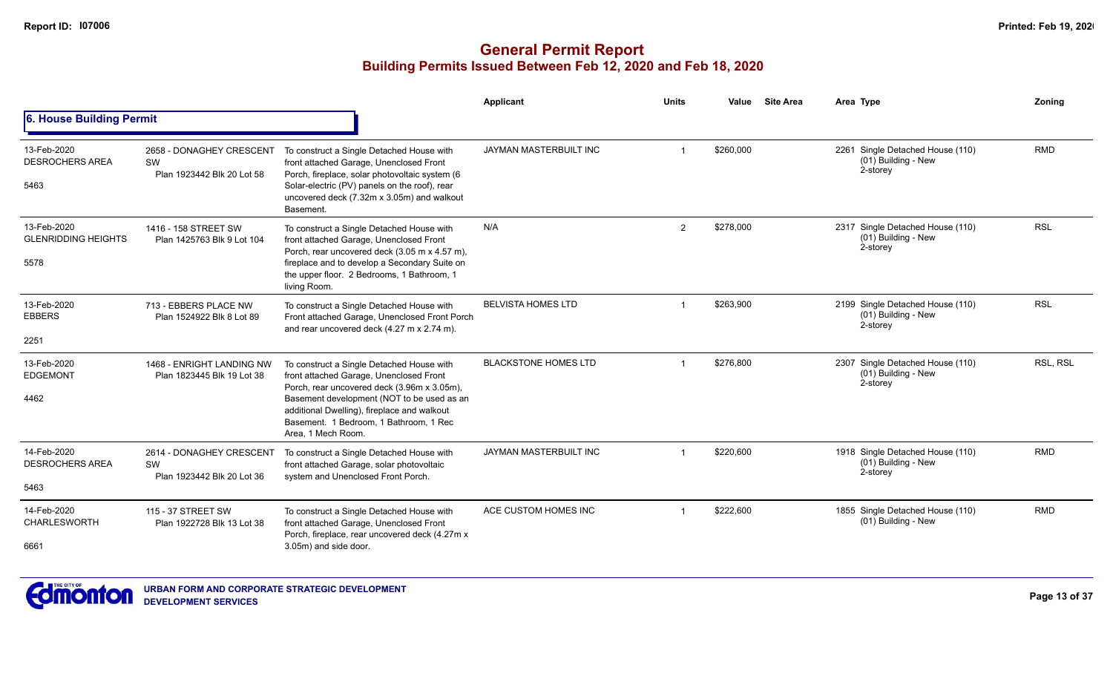|                                                   |                                                                     |                                                                                                                                                                                                                                                                                                  | Applicant                   | <b>Units</b> | Value     | <b>Site Area</b> | Area Type                                                           | Zoning     |
|---------------------------------------------------|---------------------------------------------------------------------|--------------------------------------------------------------------------------------------------------------------------------------------------------------------------------------------------------------------------------------------------------------------------------------------------|-----------------------------|--------------|-----------|------------------|---------------------------------------------------------------------|------------|
| <b>6. House Building Permit</b>                   |                                                                     |                                                                                                                                                                                                                                                                                                  |                             |              |           |                  |                                                                     |            |
| 13-Feb-2020<br><b>DESROCHERS AREA</b><br>5463     | 2658 - DONAGHEY CRESCENT<br>SW<br>Plan 1923442 Blk 20 Lot 58        | To construct a Single Detached House with<br>front attached Garage, Unenclosed Front<br>Porch, fireplace, solar photovoltaic system (6<br>Solar-electric (PV) panels on the roof), rear<br>uncovered deck (7.32m x 3.05m) and walkout<br>Basement.                                               | JAYMAN MASTERBUILT INC      |              | \$260,000 |                  | 2261 Single Detached House (110)<br>(01) Building - New<br>2-storey | <b>RMD</b> |
| 13-Feb-2020<br><b>GLENRIDDING HEIGHTS</b><br>5578 | 1416 - 158 STREET SW<br>Plan 1425763 Blk 9 Lot 104                  | To construct a Single Detached House with<br>front attached Garage, Unenclosed Front<br>Porch, rear uncovered deck (3.05 m x 4.57 m),<br>fireplace and to develop a Secondary Suite on<br>the upper floor. 2 Bedrooms, 1 Bathroom, 1<br>living Room.                                             | N/A                         | 2            | \$278,000 |                  | 2317 Single Detached House (110)<br>(01) Building - New<br>2-storey | <b>RSL</b> |
| 13-Feb-2020<br><b>EBBERS</b><br>2251              | 713 - EBBERS PLACE NW<br>Plan 1524922 Blk 8 Lot 89                  | To construct a Single Detached House with<br>Front attached Garage, Unenclosed Front Porch<br>and rear uncovered deck (4.27 m x 2.74 m).                                                                                                                                                         | <b>BELVISTA HOMES LTD</b>   |              | \$263,900 |                  | 2199 Single Detached House (110)<br>(01) Building - New<br>2-storey | <b>RSL</b> |
| 13-Feb-2020<br><b>EDGEMONT</b><br>4462            | 1468 - ENRIGHT LANDING NW<br>Plan 1823445 Blk 19 Lot 38             | To construct a Single Detached House with<br>front attached Garage, Unenclosed Front<br>Porch, rear uncovered deck (3.96m x 3.05m),<br>Basement development (NOT to be used as an<br>additional Dwelling), fireplace and walkout<br>Basement. 1 Bedroom, 1 Bathroom, 1 Rec<br>Area, 1 Mech Room. | <b>BLACKSTONE HOMES LTD</b> |              | \$276,800 |                  | 2307 Single Detached House (110)<br>(01) Building - New<br>2-storey | RSL, RSL   |
| 14-Feb-2020<br><b>DESROCHERS AREA</b><br>5463     | 2614 - DONAGHEY CRESCENT<br><b>SW</b><br>Plan 1923442 Blk 20 Lot 36 | To construct a Single Detached House with<br>front attached Garage, solar photovoltaic<br>system and Unenclosed Front Porch.                                                                                                                                                                     | JAYMAN MASTERBUILT INC      |              | \$220,600 |                  | 1918 Single Detached House (110)<br>(01) Building - New<br>2-storey | <b>RMD</b> |
| 14-Feb-2020<br><b>CHARLESWORTH</b><br>6661        | 115 - 37 STREET SW<br>Plan 1922728 Blk 13 Lot 38                    | To construct a Single Detached House with<br>front attached Garage, Unenclosed Front<br>Porch, fireplace, rear uncovered deck (4.27m x<br>3.05m) and side door.                                                                                                                                  | ACE CUSTOM HOMES INC        |              | \$222.600 |                  | 1855 Single Detached House (110)<br>(01) Building - New             | <b>RMD</b> |

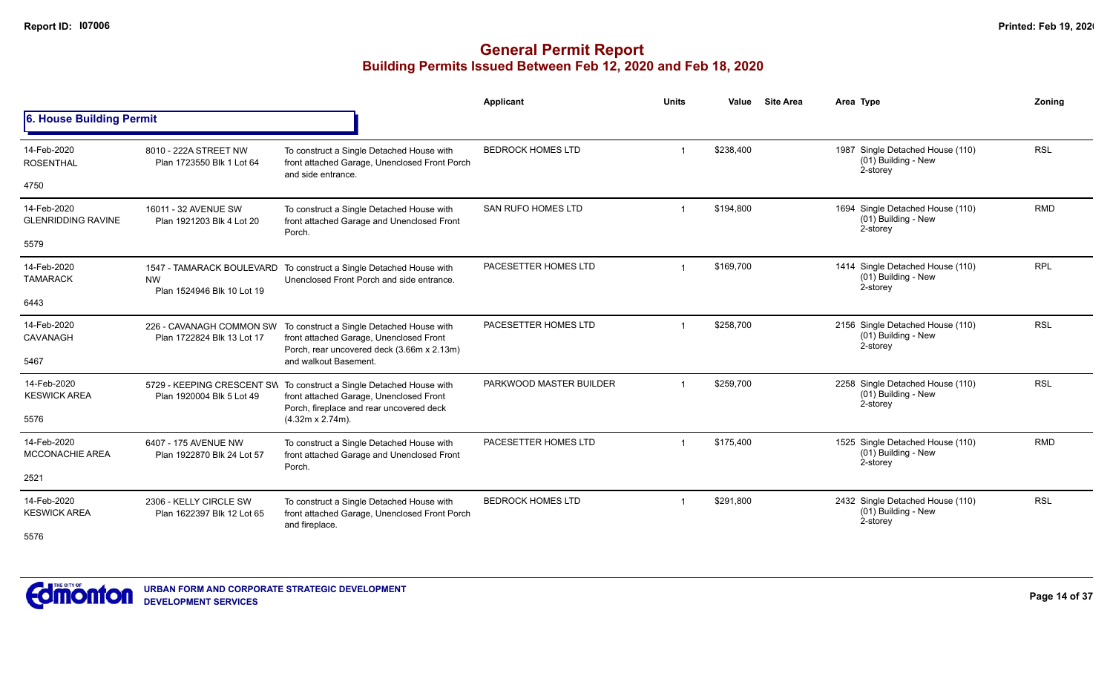|                                          |                                                      |                                                                                                                                                             | <b>Applicant</b>         | <b>Units</b> | Value     | <b>Site Area</b> | Area Type                                                           | Zoning     |
|------------------------------------------|------------------------------------------------------|-------------------------------------------------------------------------------------------------------------------------------------------------------------|--------------------------|--------------|-----------|------------------|---------------------------------------------------------------------|------------|
| <b>6. House Building Permit</b>          |                                                      |                                                                                                                                                             |                          |              |           |                  |                                                                     |            |
| 14-Feb-2020<br><b>ROSENTHAL</b>          | 8010 - 222A STREET NW<br>Plan 1723550 Blk 1 Lot 64   | To construct a Single Detached House with<br>front attached Garage, Unenclosed Front Porch<br>and side entrance.                                            | <b>BEDROCK HOMES LTD</b> |              | \$238,400 |                  | 1987 Single Detached House (110)<br>(01) Building - New<br>2-storey | <b>RSL</b> |
| 4750                                     |                                                      |                                                                                                                                                             |                          |              |           |                  |                                                                     |            |
| 14-Feb-2020<br><b>GLENRIDDING RAVINE</b> | 16011 - 32 AVENUE SW<br>Plan 1921203 Blk 4 Lot 20    | To construct a Single Detached House with<br>front attached Garage and Unenclosed Front<br>Porch.                                                           | SAN RUFO HOMES LTD       |              | \$194,800 |                  | 1694 Single Detached House (110)<br>(01) Building - New<br>2-storey | <b>RMD</b> |
| 5579                                     |                                                      |                                                                                                                                                             |                          |              |           |                  |                                                                     |            |
| 14-Feb-2020<br><b>TAMARACK</b>           | <b>NW</b><br>Plan 1524946 Blk 10 Lot 19              | 1547 - TAMARACK BOULEVARD To construct a Single Detached House with<br>Unenclosed Front Porch and side entrance.                                            | PACESETTER HOMES LTD     |              | \$169,700 |                  | 1414 Single Detached House (110)<br>(01) Building - New<br>2-storey | <b>RPL</b> |
| 6443                                     |                                                      |                                                                                                                                                             |                          |              |           |                  |                                                                     |            |
| 14-Feb-2020<br>CAVANAGH                  | Plan 1722824 Blk 13 Lot 17                           | 226 - CAVANAGH COMMON SW To construct a Single Detached House with<br>front attached Garage, Unenclosed Front<br>Porch, rear uncovered deck (3.66m x 2.13m) | PACESETTER HOMES LTD     |              | \$258,700 |                  | 2156 Single Detached House (110)<br>(01) Building - New<br>2-storey | <b>RSL</b> |
| 5467                                     |                                                      | and walkout Basement.                                                                                                                                       |                          |              |           |                  |                                                                     |            |
| 14-Feb-2020<br><b>KESWICK AREA</b>       | Plan 1920004 Blk 5 Lot 49                            | 5729 - KEEPING CRESCENT SW To construct a Single Detached House with<br>front attached Garage, Unenclosed Front<br>Porch, fireplace and rear uncovered deck | PARKWOOD MASTER BUILDER  |              | \$259,700 |                  | 2258 Single Detached House (110)<br>(01) Building - New<br>2-storey | <b>RSL</b> |
| 5576                                     |                                                      | $(4.32m \times 2.74m)$ .                                                                                                                                    |                          |              |           |                  |                                                                     |            |
| 14-Feb-2020<br><b>MCCONACHIE AREA</b>    | 6407 - 175 AVENUE NW<br>Plan 1922870 Blk 24 Lot 57   | To construct a Single Detached House with<br>front attached Garage and Unenclosed Front<br>Porch.                                                           | PACESETTER HOMES LTD     |              | \$175,400 |                  | 1525 Single Detached House (110)<br>(01) Building - New<br>2-storey | <b>RMD</b> |
| 2521                                     |                                                      |                                                                                                                                                             |                          |              |           |                  |                                                                     |            |
| 14-Feb-2020<br><b>KESWICK AREA</b>       | 2306 - KELLY CIRCLE SW<br>Plan 1622397 Blk 12 Lot 65 | To construct a Single Detached House with<br>front attached Garage, Unenclosed Front Porch<br>and fireplace.                                                | <b>BEDROCK HOMES LTD</b> |              | \$291,800 |                  | 2432 Single Detached House (110)<br>(01) Building - New<br>2-storey | <b>RSL</b> |
| 5576                                     |                                                      |                                                                                                                                                             |                          |              |           |                  |                                                                     |            |

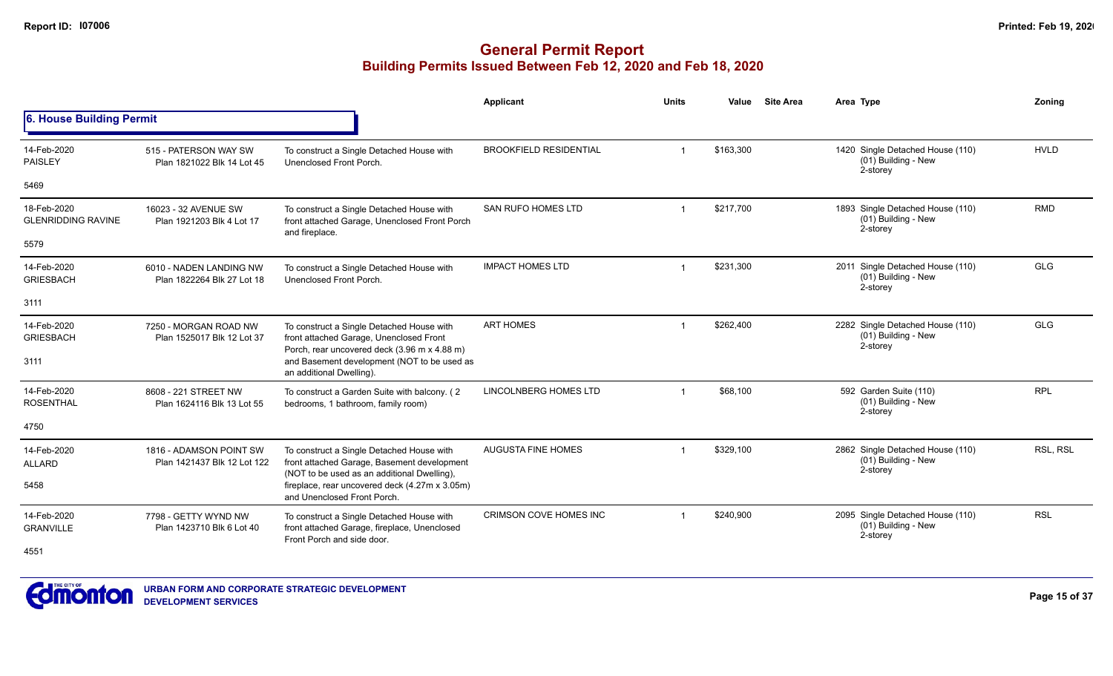|                                          |                                                                                                                              |                                                                                                                                      | Applicant                     | Units                | Value     | <b>Site Area</b> | Area Type                                                           | Zoning      |
|------------------------------------------|------------------------------------------------------------------------------------------------------------------------------|--------------------------------------------------------------------------------------------------------------------------------------|-------------------------------|----------------------|-----------|------------------|---------------------------------------------------------------------|-------------|
| 6. House Building Permit                 |                                                                                                                              |                                                                                                                                      |                               |                      |           |                  |                                                                     |             |
| 14-Feb-2020<br><b>PAISLEY</b>            | 515 - PATERSON WAY SW<br>Plan 1821022 Blk 14 Lot 45                                                                          | To construct a Single Detached House with<br>Unenclosed Front Porch.                                                                 | <b>BROOKFIELD RESIDENTIAL</b> | $\mathbf 1$          | \$163,300 |                  | 1420 Single Detached House (110)<br>(01) Building - New<br>2-storey | <b>HVLD</b> |
| 5469                                     |                                                                                                                              |                                                                                                                                      |                               |                      |           |                  |                                                                     |             |
| 18-Feb-2020<br><b>GLENRIDDING RAVINE</b> | 16023 - 32 AVENUE SW<br>Plan 1921203 Blk 4 Lot 17                                                                            | To construct a Single Detached House with<br>front attached Garage, Unenclosed Front Porch<br>and fireplace.                         | SAN RUFO HOMES LTD            | $\overline{1}$       | \$217.700 |                  | 1893 Single Detached House (110)<br>(01) Building - New<br>2-storey | <b>RMD</b>  |
| 5579                                     |                                                                                                                              |                                                                                                                                      |                               |                      |           |                  |                                                                     |             |
| 14-Feb-2020<br><b>GRIESBACH</b>          | 6010 - NADEN LANDING NW<br>Plan 1822264 Blk 27 Lot 18                                                                        | To construct a Single Detached House with<br>Unenclosed Front Porch.                                                                 | <b>IMPACT HOMES LTD</b>       | $\mathbf 1$          | \$231,300 |                  | 2011 Single Detached House (110)<br>(01) Building - New<br>2-storey | <b>GLG</b>  |
| 3111                                     |                                                                                                                              |                                                                                                                                      |                               |                      |           |                  |                                                                     |             |
| 14-Feb-2020<br><b>GRIESBACH</b>          | 7250 - MORGAN ROAD NW<br>Plan 1525017 Blk 12 Lot 37                                                                          | To construct a Single Detached House with<br>front attached Garage, Unenclosed Front<br>Porch, rear uncovered deck (3.96 m x 4.88 m) | <b>ART HOMES</b>              |                      | \$262,400 |                  | 2282 Single Detached House (110)<br>(01) Building - New<br>2-storey | <b>GLG</b>  |
| 3111                                     |                                                                                                                              | and Basement development (NOT to be used as<br>an additional Dwelling).                                                              |                               |                      |           |                  |                                                                     |             |
| 14-Feb-2020<br><b>ROSENTHAL</b>          | 8608 - 221 STREET NW<br>Plan 1624116 Blk 13 Lot 55                                                                           | To construct a Garden Suite with balcony. (2<br>bedrooms, 1 bathroom, family room)                                                   | <b>LINCOLNBERG HOMES LTD</b>  | $\blacktriangleleft$ | \$68,100  |                  | 592 Garden Suite (110)<br>(01) Building - New<br>2-storey           | <b>RPL</b>  |
| 4750                                     |                                                                                                                              |                                                                                                                                      |                               |                      |           |                  |                                                                     |             |
| 14-Feb-2020<br><b>ALLARD</b>             | 1816 - ADAMSON POINT SW<br>Plan 1421437 Blk 12 Lot 122                                                                       | To construct a Single Detached House with<br>front attached Garage, Basement development                                             | <b>AUGUSTA FINE HOMES</b>     |                      | \$329,100 |                  | 2862 Single Detached House (110)<br>(01) Building - New<br>2-storey | RSL, RSL    |
| 5458                                     | (NOT to be used as an additional Dwelling),<br>fireplace, rear uncovered deck (4.27m x 3.05m)<br>and Unenclosed Front Porch. |                                                                                                                                      |                               |                      |           |                  |                                                                     |             |
| 14-Feb-2020                              | 7798 - GETTY WYND NW                                                                                                         | To construct a Single Detached House with                                                                                            | CRIMSON COVE HOMES INC        |                      | \$240,900 |                  | 2095 Single Detached House (110)<br>(01) Building - New             | <b>RSL</b>  |
| <b>GRANVILLE</b>                         | front attached Garage, fireplace, Unenclosed<br>Plan 1423710 Blk 6 Lot 40<br>Front Porch and side door.                      |                                                                                                                                      |                               |                      |           | 2-storey         |                                                                     |             |
| 4551                                     |                                                                                                                              |                                                                                                                                      |                               |                      |           |                  |                                                                     |             |

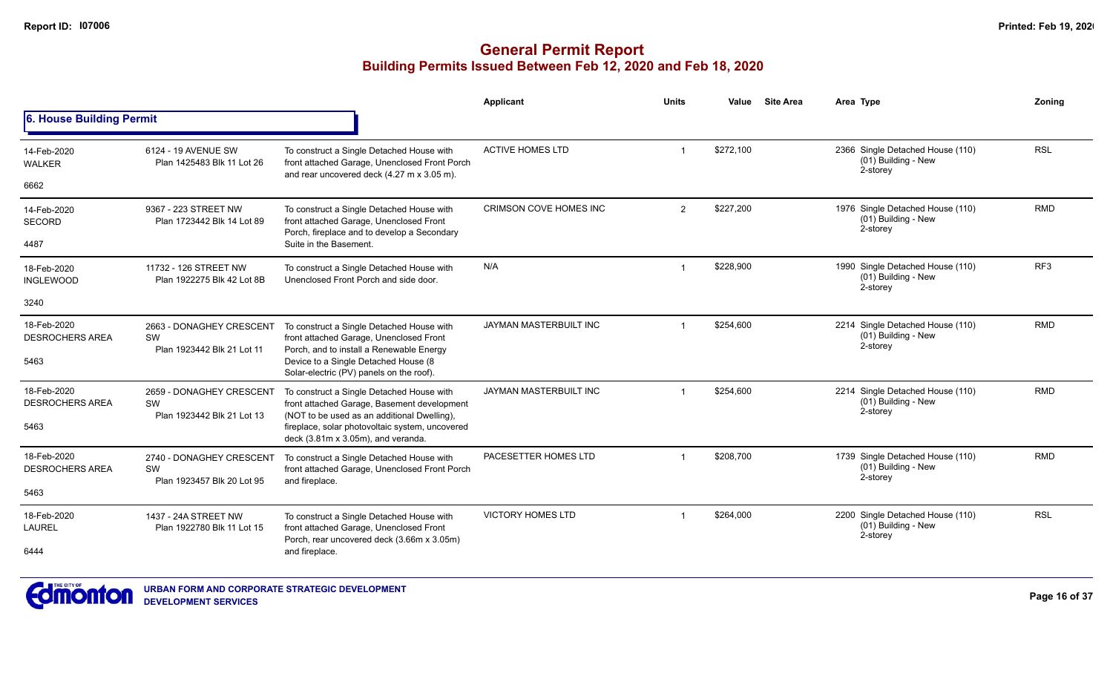|                                               |                                                                     |                                                                                                                                                                                                                                  | <b>Applicant</b>              | Units          | Value     | <b>Site Area</b> | Area Type                                                           | Zoning          |
|-----------------------------------------------|---------------------------------------------------------------------|----------------------------------------------------------------------------------------------------------------------------------------------------------------------------------------------------------------------------------|-------------------------------|----------------|-----------|------------------|---------------------------------------------------------------------|-----------------|
| 6. House Building Permit                      |                                                                     |                                                                                                                                                                                                                                  |                               |                |           |                  |                                                                     |                 |
| 14-Feb-2020<br><b>WALKER</b>                  | 6124 - 19 AVENUE SW<br>Plan 1425483 Blk 11 Lot 26                   | To construct a Single Detached House with<br>front attached Garage, Unenclosed Front Porch<br>and rear uncovered deck (4.27 m x 3.05 m).                                                                                         | <b>ACTIVE HOMES LTD</b>       |                | \$272,100 |                  | 2366 Single Detached House (110)<br>(01) Building - New<br>2-storey | <b>RSL</b>      |
| 6662                                          |                                                                     |                                                                                                                                                                                                                                  |                               |                |           |                  |                                                                     |                 |
| 14-Feb-2020<br>SECORD                         | 9367 - 223 STREET NW<br>Plan 1723442 Blk 14 Lot 89                  | To construct a Single Detached House with<br>front attached Garage, Unenclosed Front<br>Porch, fireplace and to develop a Secondary                                                                                              | <b>CRIMSON COVE HOMES INC</b> | $\overline{2}$ | \$227,200 |                  | 1976 Single Detached House (110)<br>(01) Building - New<br>2-storey | <b>RMD</b>      |
| 4487                                          |                                                                     | Suite in the Basement.                                                                                                                                                                                                           |                               |                |           |                  |                                                                     |                 |
| 18-Feb-2020<br><b>INGLEWOOD</b>               | 11732 - 126 STREET NW<br>Plan 1922275 Blk 42 Lot 8B                 | To construct a Single Detached House with<br>Unenclosed Front Porch and side door.                                                                                                                                               | N/A                           |                | \$228,900 |                  | 1990 Single Detached House (110)<br>(01) Building - New<br>2-storey | RF <sub>3</sub> |
| 3240                                          |                                                                     |                                                                                                                                                                                                                                  |                               |                |           |                  |                                                                     |                 |
| 18-Feb-2020<br><b>DESROCHERS AREA</b><br>5463 | 2663 - DONAGHEY CRESCENT<br>SW<br>Plan 1923442 Blk 21 Lot 11        | To construct a Single Detached House with<br>front attached Garage, Unenclosed Front<br>Porch, and to install a Renewable Energy<br>Device to a Single Detached House (8<br>Solar-electric (PV) panels on the roof).             | JAYMAN MASTERBUILT INC        |                | \$254,600 |                  | 2214 Single Detached House (110)<br>(01) Building - New<br>2-storey | <b>RMD</b>      |
| 18-Feb-2020<br><b>DESROCHERS AREA</b><br>5463 | 2659 - DONAGHEY CRESCENT<br>SW<br>Plan 1923442 Blk 21 Lot 13        | To construct a Single Detached House with<br>front attached Garage, Basement development<br>(NOT to be used as an additional Dwelling),<br>fireplace, solar photovoltaic system, uncovered<br>deck (3.81m x 3.05m), and veranda. | JAYMAN MASTERBUILT INC        |                | \$254.600 |                  | 2214 Single Detached House (110)<br>(01) Building - New<br>2-storey | <b>RMD</b>      |
| 18-Feb-2020<br><b>DESROCHERS AREA</b>         | 2740 - DONAGHEY CRESCENT<br><b>SW</b><br>Plan 1923457 Blk 20 Lot 95 | To construct a Single Detached House with<br>front attached Garage, Unenclosed Front Porch<br>and fireplace.                                                                                                                     | PACESETTER HOMES LTD          |                | \$208,700 |                  | 1739 Single Detached House (110)<br>(01) Building - New<br>2-storey | <b>RMD</b>      |
| 5463                                          |                                                                     |                                                                                                                                                                                                                                  |                               |                |           |                  |                                                                     |                 |
| 18-Feb-2020<br><b>LAUREL</b>                  | 1437 - 24A STREET NW<br>Plan 1922780 Blk 11 Lot 15                  | To construct a Single Detached House with<br>front attached Garage, Unenclosed Front<br>Porch, rear uncovered deck (3.66m x 3.05m)                                                                                               | <b>VICTORY HOMES LTD</b>      | $\mathbf 1$    | \$264,000 |                  | 2200 Single Detached House (110)<br>(01) Building - New<br>2-storey | <b>RSL</b>      |
| 6444                                          |                                                                     | and fireplace.                                                                                                                                                                                                                   |                               |                |           |                  |                                                                     |                 |

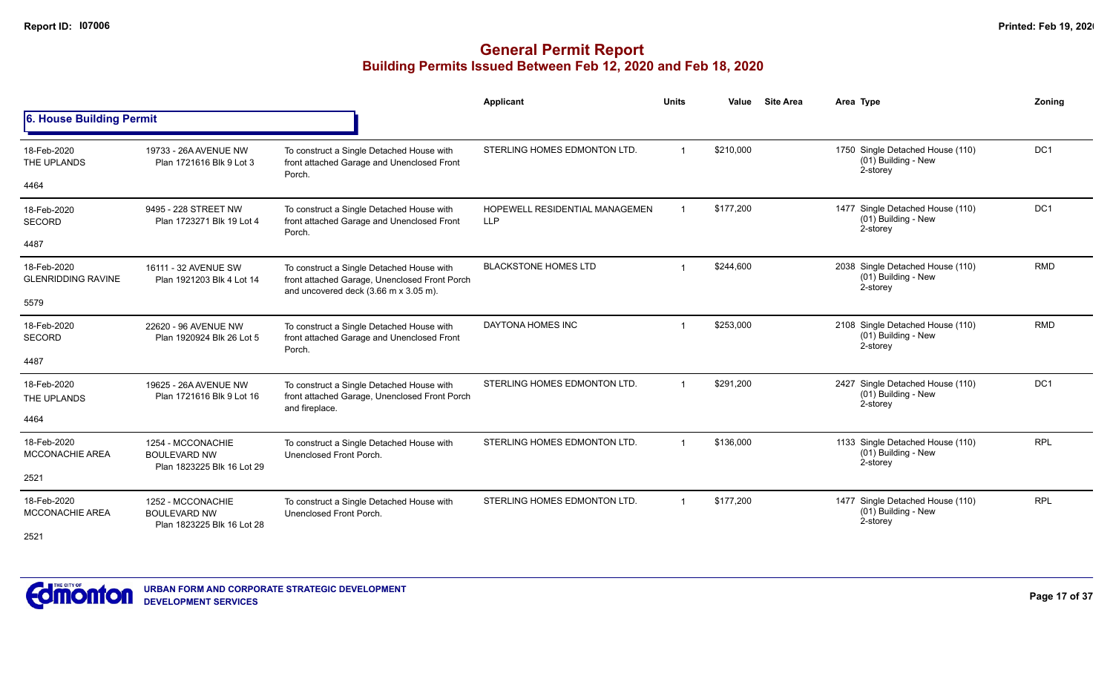|                                               |                                                                        |                                                                                                                                                             | Applicant                                    | <b>Units</b>   | Value     | <b>Site Area</b> | Area Type                                                           | Zoning          |
|-----------------------------------------------|------------------------------------------------------------------------|-------------------------------------------------------------------------------------------------------------------------------------------------------------|----------------------------------------------|----------------|-----------|------------------|---------------------------------------------------------------------|-----------------|
| 6. House Building Permit                      |                                                                        |                                                                                                                                                             |                                              |                |           |                  |                                                                     |                 |
| 18-Feb-2020<br>THE UPLANDS                    | 19733 - 26A AVENUE NW<br>Plan 1721616 Blk 9 Lot 3                      | To construct a Single Detached House with<br>front attached Garage and Unenclosed Front<br>Porch.                                                           | STERLING HOMES EDMONTON LTD.                 |                | \$210,000 |                  | 1750 Single Detached House (110)<br>(01) Building - New<br>2-storey | DC <sub>1</sub> |
| 4464                                          |                                                                        |                                                                                                                                                             |                                              |                |           |                  |                                                                     |                 |
| 18-Feb-2020<br><b>SECORD</b>                  | 9495 - 228 STREET NW<br>Plan 1723271 Blk 19 Lot 4                      | To construct a Single Detached House with<br>front attached Garage and Unenclosed Front<br>Porch.                                                           | HOPEWELL RESIDENTIAL MANAGEMEN<br><b>LLP</b> |                | \$177,200 |                  | 1477 Single Detached House (110)<br>(01) Building - New<br>2-storey | DC1             |
| 4487                                          |                                                                        |                                                                                                                                                             |                                              |                |           |                  |                                                                     |                 |
| 18-Feb-2020<br><b>GLENRIDDING RAVINE</b>      | 16111 - 32 AVENUE SW<br>Plan 1921203 Blk 4 Lot 14                      | To construct a Single Detached House with<br>front attached Garage, Unenclosed Front Porch<br>and uncovered deck $(3.66 \text{ m} \times 3.05 \text{ m})$ . | <b>BLACKSTONE HOMES LTD</b>                  |                | \$244,600 |                  | 2038 Single Detached House (110)<br>(01) Building - New<br>2-storey | <b>RMD</b>      |
| 5579                                          |                                                                        |                                                                                                                                                             |                                              |                |           |                  |                                                                     |                 |
| 18-Feb-2020<br><b>SECORD</b>                  | 22620 - 96 AVENUE NW<br>Plan 1920924 Blk 26 Lot 5                      | To construct a Single Detached House with<br>front attached Garage and Unenclosed Front                                                                     | DAYTONA HOMES INC                            |                | \$253,000 |                  | 2108 Single Detached House (110)<br>(01) Building - New<br>2-storey | <b>RMD</b>      |
| 4487                                          |                                                                        | Porch.                                                                                                                                                      |                                              |                |           |                  |                                                                     |                 |
| 18-Feb-2020<br>THE UPLANDS                    | 19625 - 26A AVENUE NW<br>Plan 1721616 Blk 9 Lot 16                     | To construct a Single Detached House with<br>front attached Garage, Unenclosed Front Porch<br>and fireplace.                                                | STERLING HOMES EDMONTON LTD.                 | $\overline{1}$ | \$291.200 |                  | 2427 Single Detached House (110)<br>(01) Building - New<br>2-storey | DC <sub>1</sub> |
| 4464                                          |                                                                        |                                                                                                                                                             |                                              |                |           |                  |                                                                     |                 |
| 18-Feb-2020<br><b>MCCONACHIE AREA</b>         | 1254 - MCCONACHIE<br><b>BOULEVARD NW</b>                               | To construct a Single Detached House with<br>Unenclosed Front Porch.                                                                                        | STERLING HOMES EDMONTON LTD.                 |                | \$136,000 |                  | 1133 Single Detached House (110)<br>(01) Building - New<br>2-storey | <b>RPL</b>      |
| 2521                                          | Plan 1823225 Blk 16 Lot 29                                             |                                                                                                                                                             |                                              |                |           |                  |                                                                     |                 |
| 18-Feb-2020<br><b>MCCONACHIE AREA</b><br>2521 | 1252 - MCCONACHIE<br><b>BOULEVARD NW</b><br>Plan 1823225 Blk 16 Lot 28 | To construct a Single Detached House with<br>Unenclosed Front Porch.                                                                                        | STERLING HOMES EDMONTON LTD.                 | $\overline{1}$ | \$177,200 |                  | 1477 Single Detached House (110)<br>(01) Building - New<br>2-storey | <b>RPL</b>      |

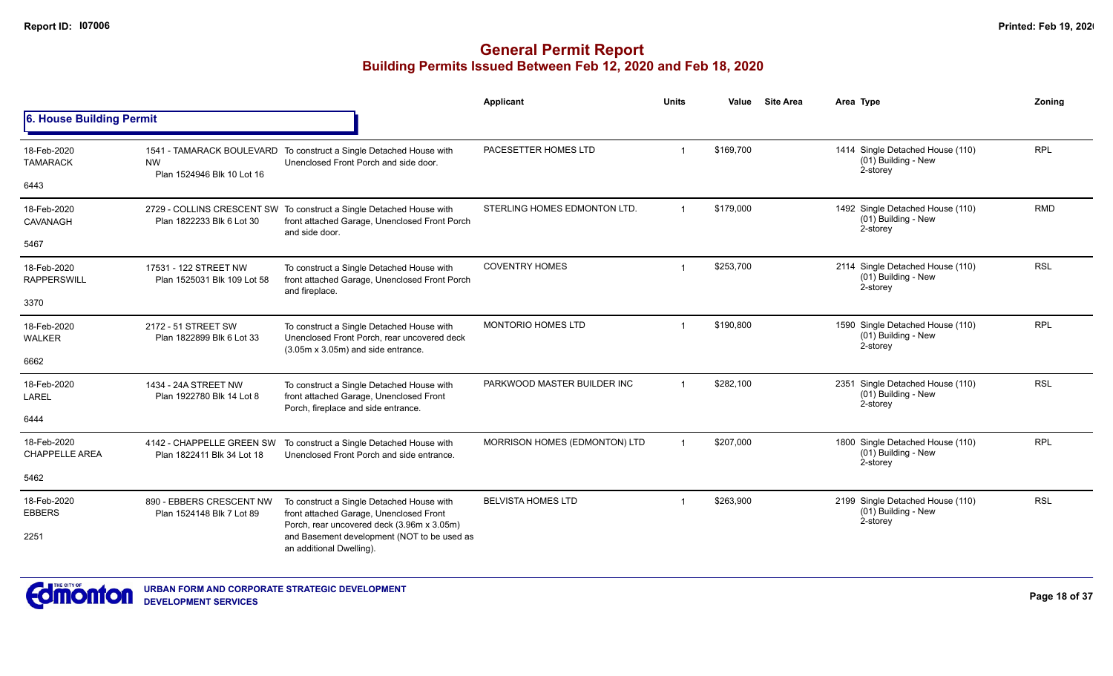|                                      |                                                         |                                                                                                                                         | <b>Applicant</b>              | <b>Units</b>   | Value     | <b>Site Area</b> | Area Type                                                                | Zoning     |
|--------------------------------------|---------------------------------------------------------|-----------------------------------------------------------------------------------------------------------------------------------------|-------------------------------|----------------|-----------|------------------|--------------------------------------------------------------------------|------------|
| <b>6. House Building Permit</b>      |                                                         |                                                                                                                                         |                               |                |           |                  |                                                                          |            |
| 18-Feb-2020<br><b>TAMARACK</b>       | <b>NW</b><br>Plan 1524946 Blk 10 Lot 16                 | 1541 - TAMARACK BOULEVARD To construct a Single Detached House with<br>Unenclosed Front Porch and side door.                            | PACESETTER HOMES LTD          |                | \$169,700 |                  | 1414 Single Detached House (110)<br>(01) Building - New<br>2-storey      | <b>RPL</b> |
| 6443                                 |                                                         |                                                                                                                                         |                               |                |           |                  |                                                                          |            |
| 18-Feb-2020<br>CAVANAGH              | Plan 1822233 Blk 6 Lot 30                               | 2729 - COLLINS CRESCENT SW To construct a Single Detached House with<br>front attached Garage, Unenclosed Front Porch<br>and side door. | STERLING HOMES EDMONTON LTD.  | $\overline{1}$ | \$179,000 |                  | 1492 Single Detached House (110)<br>(01) Building - New<br>2-storey      | <b>RMD</b> |
| 5467                                 |                                                         |                                                                                                                                         |                               |                |           |                  |                                                                          |            |
| 18-Feb-2020<br><b>RAPPERSWILL</b>    | 17531 - 122 STREET NW<br>Plan 1525031 Blk 109 Lot 58    | To construct a Single Detached House with<br>front attached Garage, Unenclosed Front Porch<br>and fireplace.                            | <b>COVENTRY HOMES</b>         |                | \$253,700 |                  | 2114 Single Detached House (110)<br>(01) Building - New<br>2-storey      | <b>RSL</b> |
| 3370                                 |                                                         |                                                                                                                                         |                               |                |           |                  | 1590 Single Detached House (110)<br>(01) Building - New                  |            |
| 18-Feb-2020<br><b>WALKER</b>         | 2172 - 51 STREET SW<br>Plan 1822899 Blk 6 Lot 33        | To construct a Single Detached House with<br>Unenclosed Front Porch, rear uncovered deck<br>(3.05m x 3.05m) and side entrance.          | MONTORIO HOMES LTD            |                | \$190,800 |                  | 2-storey                                                                 | <b>RPL</b> |
| 6662                                 |                                                         |                                                                                                                                         |                               |                |           |                  |                                                                          |            |
| 18-Feb-2020<br>LAREL                 | 1434 - 24A STREET NW<br>Plan 1922780 Blk 14 Lot 8       | To construct a Single Detached House with<br>front attached Garage, Unenclosed Front<br>Porch, fireplace and side entrance.             | PARKWOOD MASTER BUILDER INC   | $\overline{1}$ | \$282.100 |                  | Single Detached House (110)<br>2351<br>$(01)$ Building - New<br>2-storey | <b>RSL</b> |
| 6444                                 |                                                         |                                                                                                                                         |                               |                |           |                  |                                                                          |            |
| 18-Feb-2020<br><b>CHAPPELLE AREA</b> | 4142 - CHAPPELLE GREEN SW<br>Plan 1822411 Blk 34 Lot 18 | To construct a Single Detached House with<br>Unenclosed Front Porch and side entrance.                                                  | MORRISON HOMES (EDMONTON) LTD |                | \$207,000 |                  | 1800 Single Detached House (110)<br>(01) Building - New<br>2-storey      | <b>RPL</b> |
| 5462                                 |                                                         |                                                                                                                                         |                               |                |           |                  |                                                                          |            |
| 18-Feb-2020<br><b>EBBERS</b>         | 890 - EBBERS CRESCENT NW<br>Plan 1524148 Blk 7 Lot 89   | To construct a Single Detached House with<br>front attached Garage, Unenclosed Front                                                    | <b>BELVISTA HOMES LTD</b>     |                | \$263,900 |                  | 2199 Single Detached House (110)<br>(01) Building - New<br>2-storey      | <b>RSL</b> |
| 2251                                 |                                                         | Porch, rear uncovered deck (3.96m x 3.05m)<br>and Basement development (NOT to be used as<br>an additional Dwelling).                   |                               |                |           |                  |                                                                          |            |

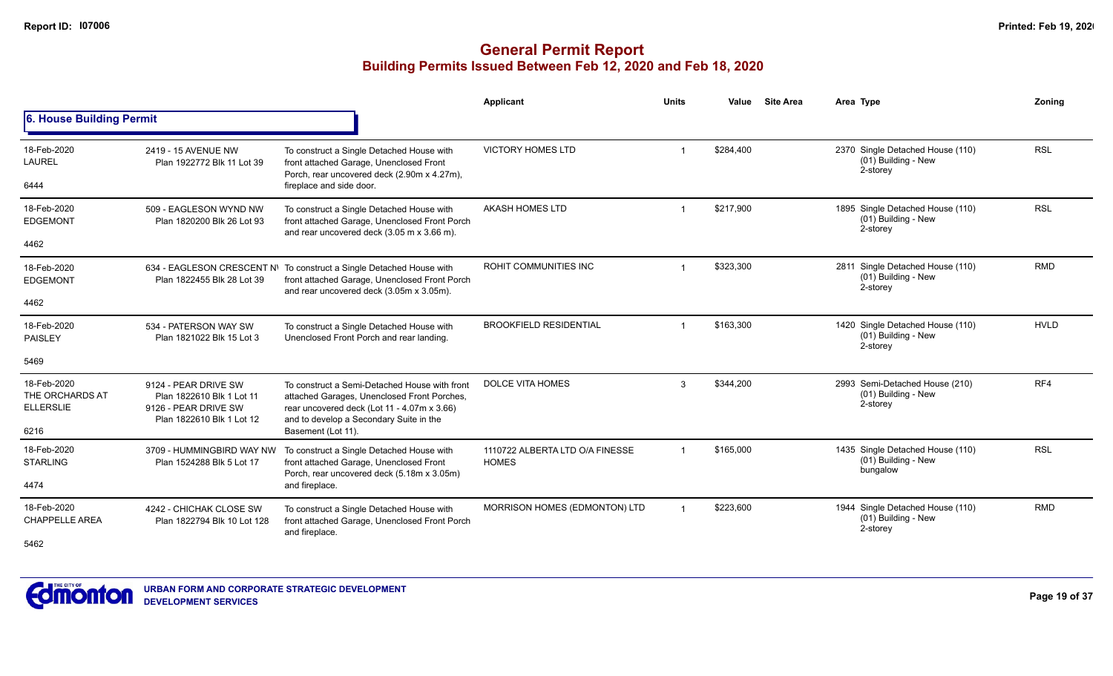|                                                    |                                                                                                        |                                                                                                                                                                                        | Applicant                                       | <b>Units</b> | Value     | <b>Site Area</b> | Area Type                                                           | Zoning      |
|----------------------------------------------------|--------------------------------------------------------------------------------------------------------|----------------------------------------------------------------------------------------------------------------------------------------------------------------------------------------|-------------------------------------------------|--------------|-----------|------------------|---------------------------------------------------------------------|-------------|
| 6. House Building Permit                           |                                                                                                        |                                                                                                                                                                                        |                                                 |              |           |                  |                                                                     |             |
| 18-Feb-2020<br><b>LAUREL</b>                       | 2419 - 15 AVENUE NW<br>Plan 1922772 Blk 11 Lot 39                                                      | To construct a Single Detached House with<br>front attached Garage, Unenclosed Front<br>Porch, rear uncovered deck (2.90m x 4.27m),                                                    | <b>VICTORY HOMES LTD</b>                        |              | \$284,400 |                  | 2370 Single Detached House (110)<br>(01) Building - New<br>2-storey | <b>RSL</b>  |
| 6444                                               |                                                                                                        | fireplace and side door.                                                                                                                                                               |                                                 |              |           |                  |                                                                     |             |
| 18-Feb-2020<br><b>EDGEMONT</b>                     | 509 - EAGLESON WYND NW<br>Plan 1820200 Blk 26 Lot 93                                                   | To construct a Single Detached House with<br>front attached Garage, Unenclosed Front Porch<br>and rear uncovered deck (3.05 m x 3.66 m).                                               | <b>AKASH HOMES LTD</b>                          |              | \$217,900 |                  | 1895 Single Detached House (110)<br>(01) Building - New<br>2-storey | <b>RSL</b>  |
| 4462                                               |                                                                                                        |                                                                                                                                                                                        |                                                 |              |           |                  |                                                                     |             |
| 18-Feb-2020<br><b>EDGEMONT</b>                     | Plan 1822455 Blk 28 Lot 39                                                                             | 634 - EAGLESON CRESCENT N\ To construct a Single Detached House with<br>front attached Garage, Unenclosed Front Porch<br>and rear uncovered deck (3.05m x 3.05m).                      | ROHIT COMMUNITIES INC                           |              | \$323,300 |                  | 2811 Single Detached House (110)<br>(01) Building - New<br>2-storey | <b>RMD</b>  |
| 4462                                               |                                                                                                        |                                                                                                                                                                                        |                                                 |              |           |                  |                                                                     |             |
| 18-Feb-2020<br>PAISLEY                             | 534 - PATERSON WAY SW<br>Plan 1821022 Blk 15 Lot 3                                                     | To construct a Single Detached House with<br>Unenclosed Front Porch and rear landing.                                                                                                  | <b>BROOKFIELD RESIDENTIAL</b>                   |              | \$163,300 |                  | 1420 Single Detached House (110)<br>(01) Building - New<br>2-storey | <b>HVLD</b> |
| 5469                                               |                                                                                                        |                                                                                                                                                                                        |                                                 |              |           |                  |                                                                     |             |
| 18-Feb-2020<br>THE ORCHARDS AT<br><b>ELLERSLIE</b> | 9124 - PEAR DRIVE SW<br>Plan 1822610 Blk 1 Lot 11<br>9126 - PEAR DRIVE SW<br>Plan 1822610 Blk 1 Lot 12 | To construct a Semi-Detached House with front<br>attached Garages, Unenclosed Front Porches,<br>rear uncovered deck (Lot 11 - 4.07m x 3.66)<br>and to develop a Secondary Suite in the | <b>DOLCE VITA HOMES</b>                         | 3            | \$344,200 |                  | 2993 Semi-Detached House (210)<br>(01) Building - New<br>2-storey   | RF4         |
| 6216                                               |                                                                                                        | Basement (Lot 11).                                                                                                                                                                     |                                                 |              |           |                  |                                                                     |             |
| 18-Feb-2020<br><b>STARLING</b>                     | 3709 - HUMMINGBIRD WAY NW<br>Plan 1524288 Blk 5 Lot 17                                                 | To construct a Single Detached House with<br>front attached Garage, Unenclosed Front<br>Porch, rear uncovered deck (5.18m x 3.05m)                                                     | 1110722 ALBERTA LTD O/A FINESSE<br><b>HOMES</b> |              | \$165,000 |                  | 1435 Single Detached House (110)<br>(01) Building - New<br>bungalow | <b>RSL</b>  |
| 4474                                               |                                                                                                        | and fireplace.                                                                                                                                                                         |                                                 |              |           |                  |                                                                     |             |
| 18-Feb-2020<br><b>CHAPPELLE AREA</b><br>5462       | 4242 - CHICHAK CLOSE SW<br>Plan 1822794 Blk 10 Lot 128                                                 | To construct a Single Detached House with<br>front attached Garage, Unenclosed Front Porch<br>and fireplace.                                                                           | MORRISON HOMES (EDMONTON) LTD                   |              | \$223.600 |                  | 1944 Single Detached House (110)<br>(01) Building - New<br>2-storey | <b>RMD</b>  |
|                                                    |                                                                                                        |                                                                                                                                                                                        |                                                 |              |           |                  |                                                                     |             |

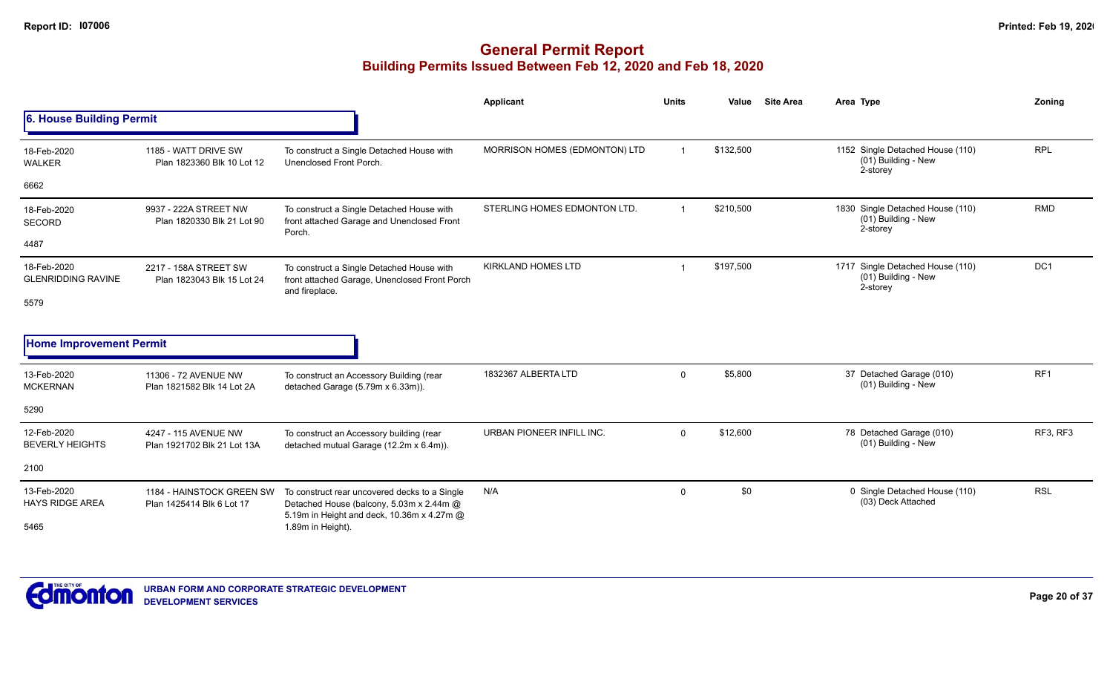# **General Permit Report Building Permits Issued Between Feb 12, 2020 and Feb 18, 2020**

|                                          |                                                        |                                                                                                                                         | Applicant                     | <b>Units</b>   | Value     | <b>Site Area</b> | Area Type                                                           | Zoning          |
|------------------------------------------|--------------------------------------------------------|-----------------------------------------------------------------------------------------------------------------------------------------|-------------------------------|----------------|-----------|------------------|---------------------------------------------------------------------|-----------------|
| 6. House Building Permit                 |                                                        |                                                                                                                                         |                               |                |           |                  |                                                                     |                 |
| 18-Feb-2020<br><b>WALKER</b>             | 1185 - WATT DRIVE SW<br>Plan 1823360 Blk 10 Lot 12     | To construct a Single Detached House with<br>Unenclosed Front Porch.                                                                    | MORRISON HOMES (EDMONTON) LTD | $\overline{1}$ | \$132,500 |                  | 1152 Single Detached House (110)<br>(01) Building - New<br>2-storey | <b>RPL</b>      |
| 6662                                     |                                                        |                                                                                                                                         |                               |                |           |                  |                                                                     |                 |
| 18-Feb-2020<br><b>SECORD</b>             | 9937 - 222A STREET NW<br>Plan 1820330 Blk 21 Lot 90    | To construct a Single Detached House with<br>front attached Garage and Unenclosed Front<br>Porch.                                       | STERLING HOMES EDMONTON LTD.  |                | \$210,500 |                  | 1830 Single Detached House (110)<br>(01) Building - New<br>2-storey | <b>RMD</b>      |
| 4487                                     |                                                        |                                                                                                                                         |                               |                |           |                  |                                                                     |                 |
| 18-Feb-2020<br><b>GLENRIDDING RAVINE</b> | 2217 - 158A STREET SW<br>Plan 1823043 Blk 15 Lot 24    | To construct a Single Detached House with<br>front attached Garage, Unenclosed Front Porch<br>and fireplace.                            | <b>KIRKLAND HOMES LTD</b>     |                | \$197,500 |                  | 1717 Single Detached House (110)<br>(01) Building - New<br>2-storey | DC1             |
| 5579                                     |                                                        |                                                                                                                                         |                               |                |           |                  |                                                                     |                 |
| <b>Home Improvement Permit</b>           |                                                        |                                                                                                                                         |                               |                |           |                  |                                                                     |                 |
| 13-Feb-2020<br><b>MCKERNAN</b>           | 11306 - 72 AVENUE NW<br>Plan 1821582 Blk 14 Lot 2A     | To construct an Accessory Building (rear<br>detached Garage (5.79m x 6.33m)).                                                           | 1832367 ALBERTA LTD           | $\mathbf 0$    | \$5,800   |                  | 37 Detached Garage (010)<br>(01) Building - New                     | RF <sub>1</sub> |
| 5290                                     |                                                        |                                                                                                                                         |                               |                |           |                  |                                                                     |                 |
| 12-Feb-2020<br><b>BEVERLY HEIGHTS</b>    | 4247 - 115 AVENUE NW<br>Plan 1921702 Blk 21 Lot 13A    | To construct an Accessory building (rear<br>detached mutual Garage (12.2m x 6.4m)).                                                     | URBAN PIONEER INFILL INC.     | $\mathbf{0}$   | \$12,600  |                  | 78 Detached Garage (010)<br>(01) Building - New                     | RF3, RF3        |
| 2100                                     |                                                        |                                                                                                                                         |                               |                |           |                  |                                                                     |                 |
| 13-Feb-2020<br><b>HAYS RIDGE AREA</b>    | 1184 - HAINSTOCK GREEN SW<br>Plan 1425414 Blk 6 Lot 17 | To construct rear uncovered decks to a Single<br>Detached House (balcony, 5.03m x 2.44m @<br>5.19m in Height and deck, 10.36m x 4.27m @ | N/A                           | $\mathbf{0}$   | \$0       |                  | 0 Single Detached House (110)<br>(03) Deck Attached                 | <b>RSL</b>      |
| 5465                                     |                                                        | 1.89m in Height).                                                                                                                       |                               |                |           |                  |                                                                     |                 |



**Page 20 of 37**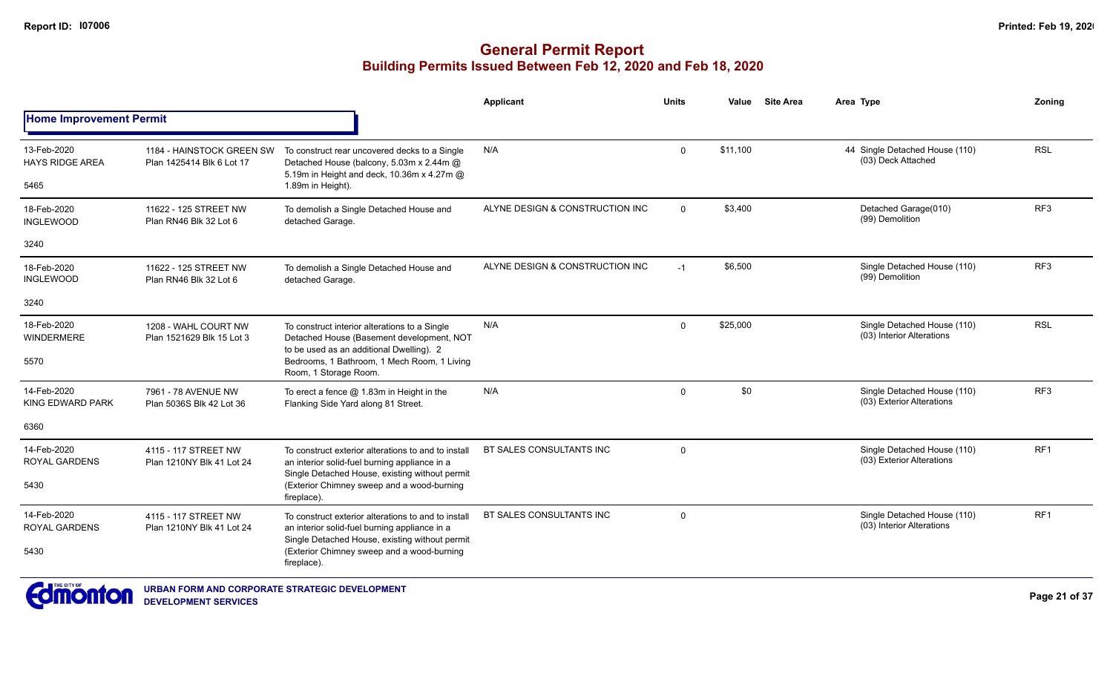|                                               |                                                        |                                                                                                                                                              | Applicant                       | <b>Units</b> | Value    | <b>Site Area</b> | Area Type                                                | Zoning          |
|-----------------------------------------------|--------------------------------------------------------|--------------------------------------------------------------------------------------------------------------------------------------------------------------|---------------------------------|--------------|----------|------------------|----------------------------------------------------------|-----------------|
| <b>Home Improvement Permit</b>                |                                                        |                                                                                                                                                              |                                 |              |          |                  |                                                          |                 |
| 13-Feb-2020<br><b>HAYS RIDGE AREA</b><br>5465 | 1184 - HAINSTOCK GREEN SW<br>Plan 1425414 Blk 6 Lot 17 | To construct rear uncovered decks to a Single<br>Detached House (balcony, 5.03m x 2.44m @<br>5.19m in Height and deck, 10.36m x 4.27m @<br>1.89m in Height). | N/A                             | $\mathbf 0$  | \$11,100 |                  | 44 Single Detached House (110)<br>(03) Deck Attached     | <b>RSL</b>      |
|                                               |                                                        |                                                                                                                                                              |                                 |              |          |                  |                                                          |                 |
| 18-Feb-2020<br><b>INGLEWOOD</b>               | 11622 - 125 STREET NW<br>Plan RN46 Blk 32 Lot 6        | To demolish a Single Detached House and<br>detached Garage.                                                                                                  | ALYNE DESIGN & CONSTRUCTION INC | $\Omega$     | \$3,400  |                  | Detached Garage(010)<br>(99) Demolition                  | RF3             |
| 3240                                          |                                                        |                                                                                                                                                              |                                 |              |          |                  |                                                          |                 |
| 18-Feb-2020<br><b>INGLEWOOD</b>               | 11622 - 125 STREET NW<br>Plan RN46 Blk 32 Lot 6        | To demolish a Single Detached House and<br>detached Garage.                                                                                                  | ALYNE DESIGN & CONSTRUCTION INC | $-1$         | \$6,500  |                  | Single Detached House (110)<br>(99) Demolition           | RF3             |
| 3240                                          |                                                        |                                                                                                                                                              |                                 |              |          |                  |                                                          |                 |
| 18-Feb-2020<br>WINDERMERE                     | 1208 - WAHL COURT NW<br>Plan 1521629 Blk 15 Lot 3      | To construct interior alterations to a Single<br>Detached House (Basement development, NOT<br>to be used as an additional Dwelling). 2                       | N/A                             | $\Omega$     | \$25,000 |                  | Single Detached House (110)<br>(03) Interior Alterations | <b>RSL</b>      |
| 5570                                          |                                                        | Bedrooms, 1 Bathroom, 1 Mech Room, 1 Living<br>Room, 1 Storage Room.                                                                                         |                                 |              |          |                  |                                                          |                 |
| 14-Feb-2020<br><b>KING EDWARD PARK</b>        | 7961 - 78 AVENUE NW<br>Plan 5036S Blk 42 Lot 36        | To erect a fence $@$ 1.83m in Height in the<br>Flanking Side Yard along 81 Street.                                                                           | N/A                             | $\Omega$     | \$0      |                  | Single Detached House (110)<br>(03) Exterior Alterations | RF <sub>3</sub> |
| 6360                                          |                                                        |                                                                                                                                                              |                                 |              |          |                  |                                                          |                 |
| 14-Feb-2020<br><b>ROYAL GARDENS</b>           | 4115 - 117 STREET NW<br>Plan 1210NY Blk 41 Lot 24      | To construct exterior alterations to and to install<br>an interior solid-fuel burning appliance in a                                                         | BT SALES CONSULTANTS INC        | $\mathbf 0$  |          |                  | Single Detached House (110)<br>(03) Exterior Alterations | RF <sub>1</sub> |
| 5430                                          |                                                        | Single Detached House, existing without permit<br>(Exterior Chimney sweep and a wood-burning<br>fireplace).                                                  |                                 |              |          |                  |                                                          |                 |
| 14-Feb-2020<br><b>ROYAL GARDENS</b>           | 4115 - 117 STREET NW<br>Plan 1210NY Blk 41 Lot 24      | To construct exterior alterations to and to install<br>an interior solid-fuel burning appliance in a                                                         | BT SALES CONSULTANTS INC        | $\mathbf 0$  |          |                  | Single Detached House (110)<br>(03) Interior Alterations | RF <sub>1</sub> |
| 5430                                          |                                                        | Single Detached House, existing without permit<br>(Exterior Chimney sweep and a wood-burning<br>fireplace).                                                  |                                 |              |          |                  |                                                          |                 |
| THE CITY OF<br>$\sim$ $\sim$                  |                                                        |                                                                                                                                                              |                                 |              |          |                  |                                                          |                 |

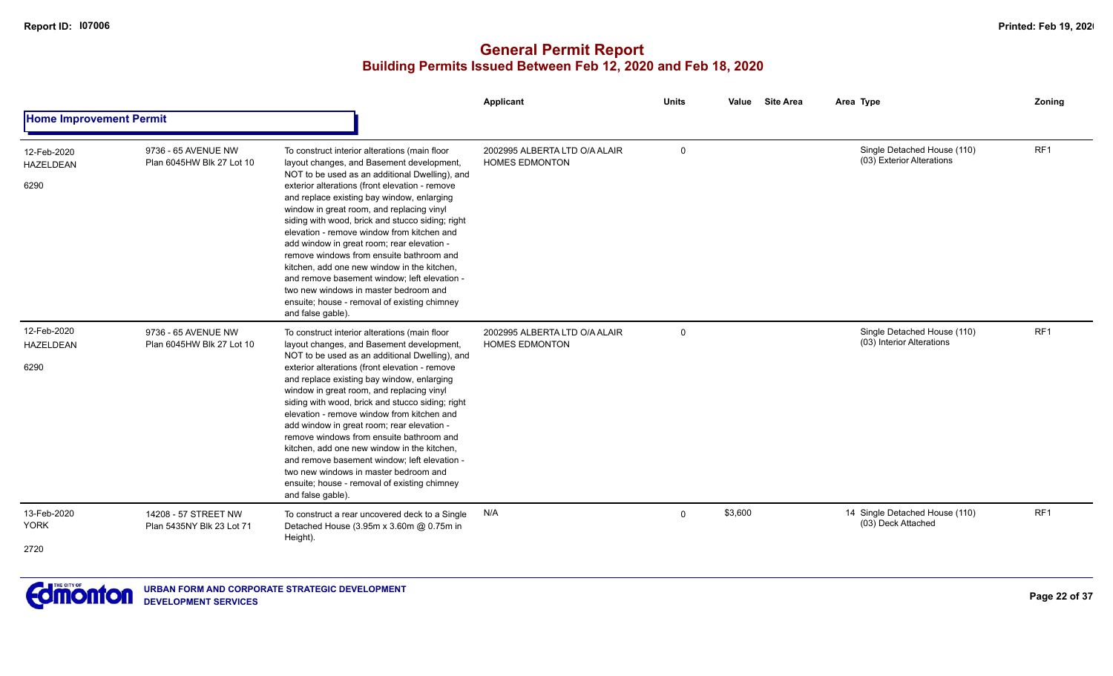|                                         |                                                   |                                                                                                                                                                                                                                                                                                                                                                                                                                                                                                                                                                                                                                                                                                    | <b>Applicant</b>                                       | <b>Units</b> | Site Area<br>Value | Area Type                                                | Zoning          |
|-----------------------------------------|---------------------------------------------------|----------------------------------------------------------------------------------------------------------------------------------------------------------------------------------------------------------------------------------------------------------------------------------------------------------------------------------------------------------------------------------------------------------------------------------------------------------------------------------------------------------------------------------------------------------------------------------------------------------------------------------------------------------------------------------------------------|--------------------------------------------------------|--------------|--------------------|----------------------------------------------------------|-----------------|
| <b>Home Improvement Permit</b>          |                                                   |                                                                                                                                                                                                                                                                                                                                                                                                                                                                                                                                                                                                                                                                                                    |                                                        |              |                    |                                                          |                 |
| 12-Feb-2020<br><b>HAZELDEAN</b><br>6290 | 9736 - 65 AVENUE NW<br>Plan 6045HW Blk 27 Lot 10  | To construct interior alterations (main floor<br>layout changes, and Basement development,<br>NOT to be used as an additional Dwelling), and<br>exterior alterations (front elevation - remove<br>and replace existing bay window, enlarging<br>window in great room, and replacing vinyl<br>siding with wood, brick and stucco siding; right<br>elevation - remove window from kitchen and<br>add window in great room; rear elevation -<br>remove windows from ensuite bathroom and<br>kitchen, add one new window in the kitchen,<br>and remove basement window; left elevation -<br>two new windows in master bedroom and<br>ensuite; house - removal of existing chimney<br>and false gable). | 2002995 ALBERTA LTD O/A ALAIR<br><b>HOMES EDMONTON</b> | $\mathbf 0$  |                    | Single Detached House (110)<br>(03) Exterior Alterations | RF1             |
| 12-Feb-2020<br><b>HAZELDEAN</b><br>6290 | 9736 - 65 AVENUE NW<br>Plan 6045HW Blk 27 Lot 10  | To construct interior alterations (main floor<br>layout changes, and Basement development,<br>NOT to be used as an additional Dwelling), and<br>exterior alterations (front elevation - remove<br>and replace existing bay window, enlarging<br>window in great room, and replacing vinyl<br>siding with wood, brick and stucco siding; right<br>elevation - remove window from kitchen and<br>add window in great room; rear elevation -<br>remove windows from ensuite bathroom and<br>kitchen, add one new window in the kitchen,<br>and remove basement window; left elevation -<br>two new windows in master bedroom and<br>ensuite; house - removal of existing chimney<br>and false gable). | 2002995 ALBERTA LTD O/A ALAIR<br><b>HOMES EDMONTON</b> | $\mathbf 0$  |                    | Single Detached House (110)<br>(03) Interior Alterations | RF <sub>1</sub> |
| 13-Feb-2020<br><b>YORK</b><br>2720      | 14208 - 57 STREET NW<br>Plan 5435NY Blk 23 Lot 71 | To construct a rear uncovered deck to a Single<br>Detached House (3.95m x 3.60m @ 0.75m in<br>Height).                                                                                                                                                                                                                                                                                                                                                                                                                                                                                                                                                                                             | N/A                                                    | $\Omega$     | \$3,600            | 14 Single Detached House (110)<br>(03) Deck Attached     | RF1             |

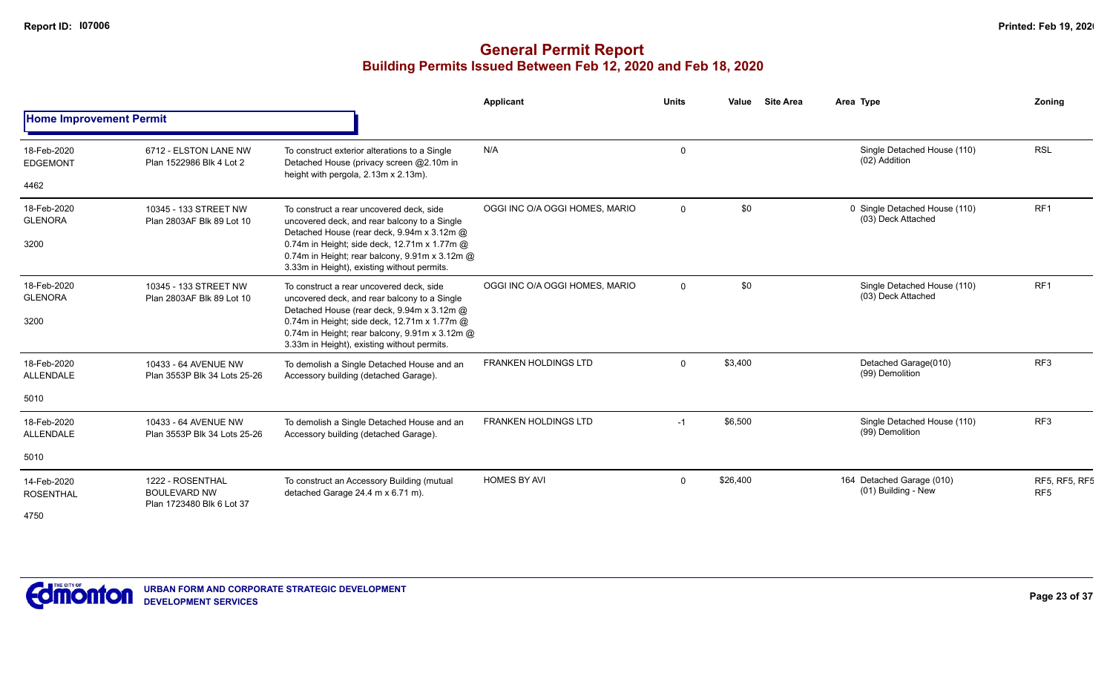|                                         |                                                                      |                                                                                                                                                                                                                                                                                         | Applicant                      | <b>Units</b> | <b>Site Area</b><br>Value | Area Type                                           | Zoning                                  |
|-----------------------------------------|----------------------------------------------------------------------|-----------------------------------------------------------------------------------------------------------------------------------------------------------------------------------------------------------------------------------------------------------------------------------------|--------------------------------|--------------|---------------------------|-----------------------------------------------------|-----------------------------------------|
| <b>Home Improvement Permit</b>          |                                                                      |                                                                                                                                                                                                                                                                                         |                                |              |                           |                                                     |                                         |
| 18-Feb-2020<br><b>EDGEMONT</b>          | 6712 - ELSTON LANE NW<br>Plan 1522986 Blk 4 Lot 2                    | To construct exterior alterations to a Single<br>Detached House (privacy screen @2.10m in<br>height with pergola, 2.13m x 2.13m).                                                                                                                                                       | N/A                            | $\Omega$     |                           | Single Detached House (110)<br>(02) Addition        | <b>RSL</b>                              |
| 4462                                    |                                                                      |                                                                                                                                                                                                                                                                                         |                                |              |                           |                                                     |                                         |
| 18-Feb-2020<br><b>GLENORA</b><br>3200   | 10345 - 133 STREET NW<br>Plan 2803AF Blk 89 Lot 10                   | To construct a rear uncovered deck, side<br>uncovered deck, and rear balcony to a Single<br>Detached House (rear deck, 9.94m x 3.12m @<br>0.74m in Height; side deck, 12.71m x 1.77m @<br>0.74m in Height; rear balcony, 9.91m x 3.12m @<br>3.33m in Height), existing without permits. | OGGI INC O/A OGGI HOMES, MARIO | $\Omega$     | \$0                       | 0 Single Detached House (110)<br>(03) Deck Attached | RF <sub>1</sub>                         |
| 18-Feb-2020<br><b>GLENORA</b><br>3200   | 10345 - 133 STREET NW<br>Plan 2803AF Blk 89 Lot 10                   | To construct a rear uncovered deck, side<br>uncovered deck, and rear balcony to a Single<br>Detached House (rear deck, 9.94m x 3.12m @<br>0.74m in Height; side deck, 12.71m x 1.77m @<br>0.74m in Height; rear balcony, 9.91m x 3.12m @<br>3.33m in Height), existing without permits. | OGGI INC O/A OGGI HOMES, MARIO | $\Omega$     | \$0                       | Single Detached House (110)<br>(03) Deck Attached   | RF <sub>1</sub>                         |
| 18-Feb-2020<br>ALLENDALE                | 10433 - 64 AVENUE NW<br>Plan 3553P Blk 34 Lots 25-26                 | To demolish a Single Detached House and an<br>Accessory building (detached Garage).                                                                                                                                                                                                     | <b>FRANKEN HOLDINGS LTD</b>    | $\Omega$     | \$3,400                   | Detached Garage(010)<br>(99) Demolition             | RF <sub>3</sub>                         |
| 5010                                    |                                                                      |                                                                                                                                                                                                                                                                                         |                                |              |                           |                                                     |                                         |
| 18-Feb-2020<br><b>ALLENDALE</b>         | 10433 - 64 AVENUE NW<br>Plan 3553P Blk 34 Lots 25-26                 | To demolish a Single Detached House and an<br>Accessory building (detached Garage).                                                                                                                                                                                                     | <b>FRANKEN HOLDINGS LTD</b>    | $-1$         | \$6,500                   | Single Detached House (110)<br>(99) Demolition      | RF <sub>3</sub>                         |
| 5010                                    |                                                                      |                                                                                                                                                                                                                                                                                         |                                |              |                           |                                                     |                                         |
| 14-Feb-2020<br><b>ROSENTHAL</b><br>4750 | 1222 - ROSENTHAL<br><b>BOULEVARD NW</b><br>Plan 1723480 Blk 6 Lot 37 | To construct an Accessory Building (mutual<br>detached Garage 24.4 m x 6.71 m).                                                                                                                                                                                                         | <b>HOMES BY AVI</b>            | $\Omega$     | \$26,400                  | 164 Detached Garage (010)<br>(01) Building - New    | <b>RF5, RF5, RF5</b><br>RF <sub>5</sub> |

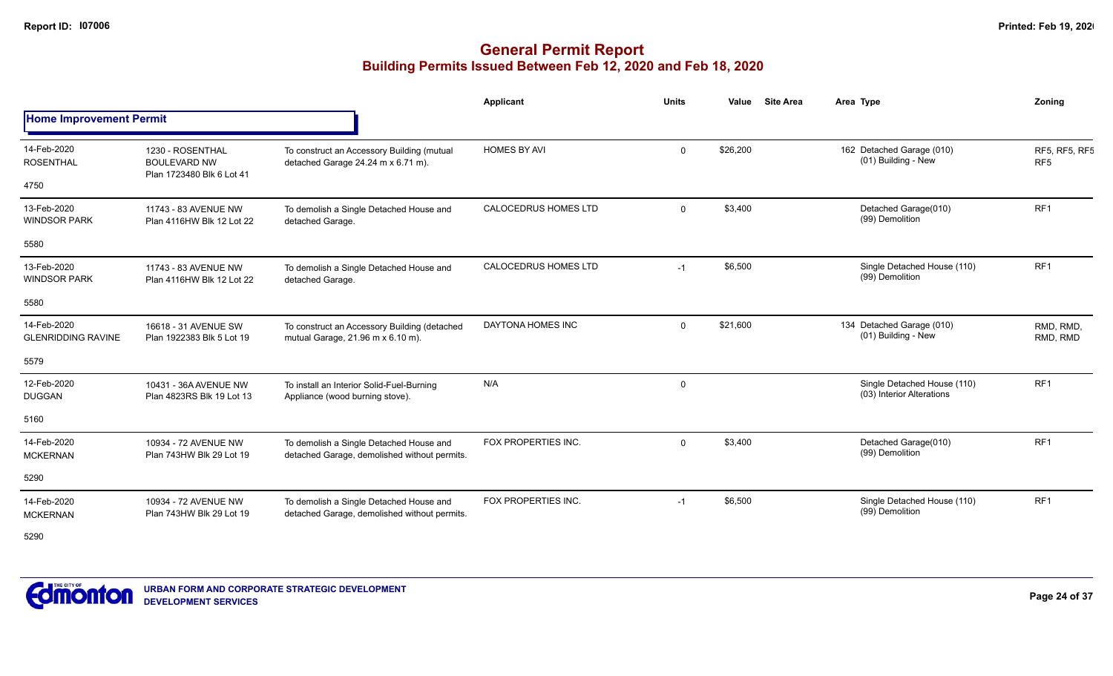## **General Permit Report Building Permits Issued Between Feb 12, 2020 and Feb 18, 2020**

|                                          |                                                                      |                                                                                         | <b>Applicant</b>            | <b>Units</b> | Value    | <b>Site Area</b> | Area Type                                                | Zoning                           |
|------------------------------------------|----------------------------------------------------------------------|-----------------------------------------------------------------------------------------|-----------------------------|--------------|----------|------------------|----------------------------------------------------------|----------------------------------|
| <b>Home Improvement Permit</b>           |                                                                      |                                                                                         |                             |              |          |                  |                                                          |                                  |
| 14-Feb-2020<br><b>ROSENTHAL</b><br>4750  | 1230 - ROSENTHAL<br><b>BOULEVARD NW</b><br>Plan 1723480 Blk 6 Lot 41 | To construct an Accessory Building (mutual<br>detached Garage 24.24 m x 6.71 m).        | <b>HOMES BY AVI</b>         | $\Omega$     | \$26,200 |                  | 162 Detached Garage (010)<br>(01) Building - New         | RF5, RF5, RF5<br>RF <sub>5</sub> |
|                                          |                                                                      |                                                                                         |                             |              |          |                  |                                                          |                                  |
| 13-Feb-2020<br><b>WINDSOR PARK</b>       | 11743 - 83 AVENUE NW<br>Plan 4116HW Blk 12 Lot 22                    | To demolish a Single Detached House and<br>detached Garage.                             | <b>CALOCEDRUS HOMES LTD</b> | $\mathbf 0$  | \$3,400  |                  | Detached Garage(010)<br>(99) Demolition                  | RF <sub>1</sub>                  |
| 5580                                     |                                                                      |                                                                                         |                             |              |          |                  |                                                          |                                  |
| 13-Feb-2020<br><b>WINDSOR PARK</b>       | 11743 - 83 AVENUE NW<br>Plan 4116HW Blk 12 Lot 22                    | To demolish a Single Detached House and<br>detached Garage.                             | <b>CALOCEDRUS HOMES LTD</b> | $-1$         | \$6,500  |                  | Single Detached House (110)<br>(99) Demolition           | RF <sub>1</sub>                  |
| 5580                                     |                                                                      |                                                                                         |                             |              |          |                  |                                                          |                                  |
| 14-Feb-2020<br><b>GLENRIDDING RAVINE</b> | 16618 - 31 AVENUE SW<br>Plan 1922383 Blk 5 Lot 19                    | To construct an Accessory Building (detached<br>mutual Garage, 21.96 m x 6.10 m).       | DAYTONA HOMES INC           | $\Omega$     | \$21,600 |                  | 134 Detached Garage (010)<br>(01) Building - New         | RMD, RMD,<br>RMD, RMD            |
| 5579                                     |                                                                      |                                                                                         |                             |              |          |                  |                                                          |                                  |
| 12-Feb-2020<br><b>DUGGAN</b>             | 10431 - 36A AVENUE NW<br>Plan 4823RS Blk 19 Lot 13                   | To install an Interior Solid-Fuel-Burning<br>Appliance (wood burning stove).            | N/A                         | $\Omega$     |          |                  | Single Detached House (110)<br>(03) Interior Alterations | RF <sub>1</sub>                  |
| 5160                                     |                                                                      |                                                                                         |                             |              |          |                  |                                                          |                                  |
| 14-Feb-2020<br><b>MCKERNAN</b>           | 10934 - 72 AVENUE NW<br>Plan 743HW Blk 29 Lot 19                     | To demolish a Single Detached House and<br>detached Garage, demolished without permits. | FOX PROPERTIES INC.         | $\Omega$     | \$3,400  |                  | Detached Garage(010)<br>(99) Demolition                  | RF <sub>1</sub>                  |
| 5290                                     |                                                                      |                                                                                         |                             |              |          |                  |                                                          |                                  |
| 14-Feb-2020<br><b>MCKERNAN</b>           | 10934 - 72 AVENUE NW<br>Plan 743HW Blk 29 Lot 19                     | To demolish a Single Detached House and<br>detached Garage, demolished without permits. | FOX PROPERTIES INC.         | $-1$         | \$6,500  |                  | Single Detached House (110)<br>(99) Demolition           | RF <sub>1</sub>                  |

5290

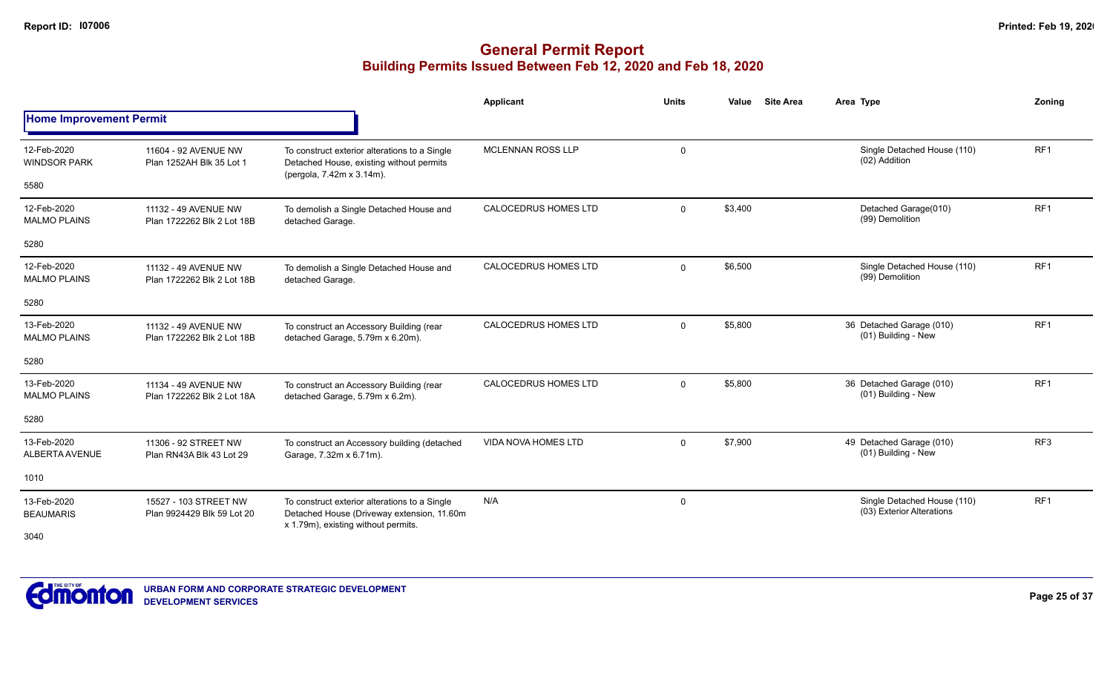|                                    |                                                     |                                                                                                                                    | Applicant                   | <b>Units</b> | <b>Site Area</b><br>Value | Area Type                                                | Zoning          |
|------------------------------------|-----------------------------------------------------|------------------------------------------------------------------------------------------------------------------------------------|-----------------------------|--------------|---------------------------|----------------------------------------------------------|-----------------|
| <b>Home Improvement Permit</b>     |                                                     |                                                                                                                                    |                             |              |                           |                                                          |                 |
| 12-Feb-2020<br><b>WINDSOR PARK</b> | 11604 - 92 AVENUE NW<br>Plan 1252AH Blk 35 Lot 1    | To construct exterior alterations to a Single<br>Detached House, existing without permits<br>(pergola, 7.42m x 3.14m).             | <b>MCLENNAN ROSS LLP</b>    | 0            |                           | Single Detached House (110)<br>(02) Addition             | RF <sub>1</sub> |
| 5580                               |                                                     |                                                                                                                                    |                             |              |                           |                                                          |                 |
| 12-Feb-2020<br><b>MALMO PLAINS</b> | 11132 - 49 AVENUE NW<br>Plan 1722262 Blk 2 Lot 18B  | To demolish a Single Detached House and<br>detached Garage.                                                                        | <b>CALOCEDRUS HOMES LTD</b> | $\Omega$     | \$3,400                   | Detached Garage(010)<br>(99) Demolition                  | RF <sub>1</sub> |
| 5280                               |                                                     |                                                                                                                                    |                             |              |                           |                                                          |                 |
| 12-Feb-2020<br><b>MALMO PLAINS</b> | 11132 - 49 AVENUE NW<br>Plan 1722262 Blk 2 Lot 18B  | To demolish a Single Detached House and<br>detached Garage.                                                                        | <b>CALOCEDRUS HOMES LTD</b> | $\Omega$     | \$6,500                   | Single Detached House (110)<br>(99) Demolition           | RF <sub>1</sub> |
| 5280                               |                                                     |                                                                                                                                    |                             |              |                           |                                                          |                 |
| 13-Feb-2020<br><b>MALMO PLAINS</b> | 11132 - 49 AVENUE NW<br>Plan 1722262 Blk 2 Lot 18B  | To construct an Accessory Building (rear<br>detached Garage, 5.79m x 6.20m).                                                       | <b>CALOCEDRUS HOMES LTD</b> | $\Omega$     | \$5,800                   | 36 Detached Garage (010)<br>(01) Building - New          | RF <sub>1</sub> |
| 5280                               |                                                     |                                                                                                                                    |                             |              |                           |                                                          |                 |
| 13-Feb-2020<br><b>MALMO PLAINS</b> | 11134 - 49 AVENUE NW<br>Plan 1722262 Blk 2 Lot 18A  | To construct an Accessory Building (rear<br>detached Garage, 5.79m x 6.2m).                                                        | <b>CALOCEDRUS HOMES LTD</b> | $\Omega$     | \$5,800                   | 36 Detached Garage (010)<br>(01) Building - New          | RF <sub>1</sub> |
| 5280                               |                                                     |                                                                                                                                    |                             |              |                           |                                                          |                 |
| 13-Feb-2020<br>ALBERTA AVENUE      | 11306 - 92 STREET NW<br>Plan RN43A Blk 43 Lot 29    | To construct an Accessory building (detached<br>Garage, 7.32m x 6.71m).                                                            | <b>VIDA NOVA HOMES LTD</b>  | $\mathbf 0$  | \$7,900                   | 49 Detached Garage (010)<br>(01) Building - New          | RF <sub>3</sub> |
| 1010                               |                                                     |                                                                                                                                    |                             |              |                           |                                                          |                 |
| 13-Feb-2020<br><b>BEAUMARIS</b>    | 15527 - 103 STREET NW<br>Plan 9924429 Blk 59 Lot 20 | To construct exterior alterations to a Single<br>Detached House (Driveway extension, 11.60m<br>x 1.79m), existing without permits. | N/A                         | 0            |                           | Single Detached House (110)<br>(03) Exterior Alterations | RF <sub>1</sub> |
| 3040                               |                                                     |                                                                                                                                    |                             |              |                           |                                                          |                 |

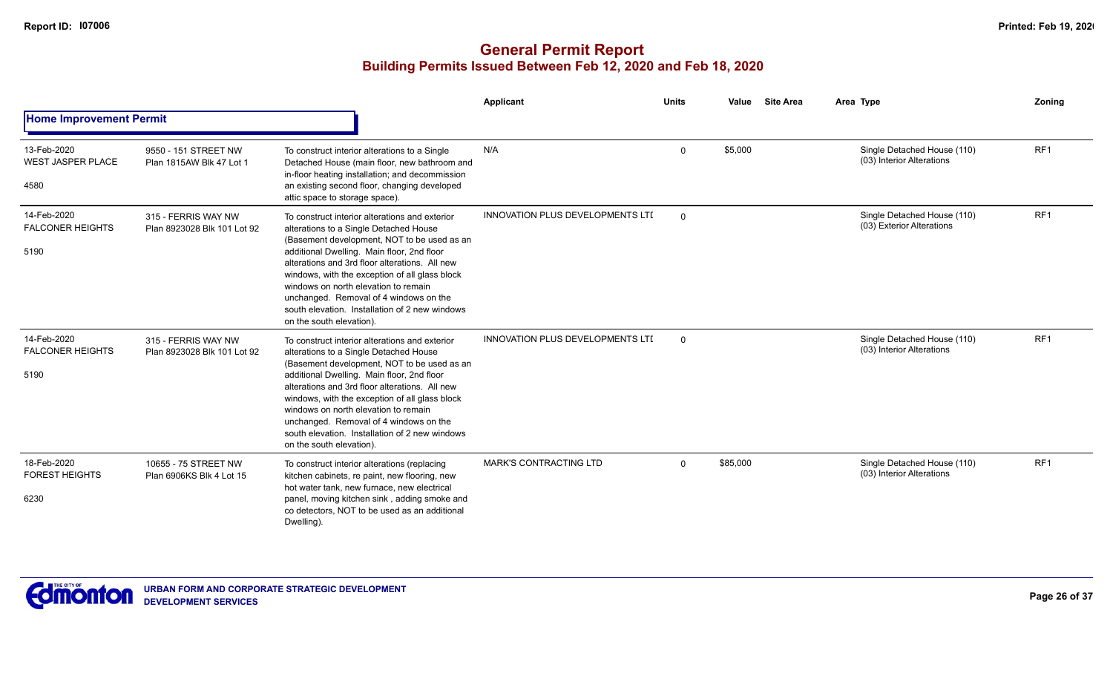|                                                 |                                                    |                                                                                                                                                                                                                                                                                                                                                                                                                                                           | Applicant                               | <b>Units</b> | <b>Site Area</b><br>Value | Area Type                                                | <b>Zoning</b>   |
|-------------------------------------------------|----------------------------------------------------|-----------------------------------------------------------------------------------------------------------------------------------------------------------------------------------------------------------------------------------------------------------------------------------------------------------------------------------------------------------------------------------------------------------------------------------------------------------|-----------------------------------------|--------------|---------------------------|----------------------------------------------------------|-----------------|
| <b>Home Improvement Permit</b>                  |                                                    |                                                                                                                                                                                                                                                                                                                                                                                                                                                           |                                         |              |                           |                                                          |                 |
| 13-Feb-2020<br><b>WEST JASPER PLACE</b><br>4580 | 9550 - 151 STREET NW<br>Plan 1815AW Blk 47 Lot 1   | To construct interior alterations to a Single<br>Detached House (main floor, new bathroom and<br>in-floor heating installation; and decommission<br>an existing second floor, changing developed<br>attic space to storage space).                                                                                                                                                                                                                        | N/A                                     | $\Omega$     | \$5,000                   | Single Detached House (110)<br>(03) Interior Alterations | RF <sub>1</sub> |
| 14-Feb-2020<br><b>FALCONER HEIGHTS</b><br>5190  | 315 - FERRIS WAY NW<br>Plan 8923028 Blk 101 Lot 92 | To construct interior alterations and exterior<br>alterations to a Single Detached House<br>(Basement development, NOT to be used as an<br>additional Dwelling. Main floor, 2nd floor<br>alterations and 3rd floor alterations. All new<br>windows, with the exception of all glass block<br>windows on north elevation to remain<br>unchanged. Removal of 4 windows on the<br>south elevation. Installation of 2 new windows<br>on the south elevation). | <b>INNOVATION PLUS DEVELOPMENTS LTI</b> | $\mathbf 0$  |                           | Single Detached House (110)<br>(03) Exterior Alterations | RF <sub>1</sub> |
| 14-Feb-2020<br><b>FALCONER HEIGHTS</b><br>5190  | 315 - FERRIS WAY NW<br>Plan 8923028 Blk 101 Lot 92 | To construct interior alterations and exterior<br>alterations to a Single Detached House<br>(Basement development, NOT to be used as an<br>additional Dwelling. Main floor, 2nd floor<br>alterations and 3rd floor alterations. All new<br>windows, with the exception of all glass block<br>windows on north elevation to remain<br>unchanged. Removal of 4 windows on the<br>south elevation. Installation of 2 new windows<br>on the south elevation). | INNOVATION PLUS DEVELOPMENTS LTI        | $\mathbf 0$  |                           | Single Detached House (110)<br>(03) Interior Alterations | RF <sub>1</sub> |
| 18-Feb-2020<br><b>FOREST HEIGHTS</b><br>6230    | 10655 - 75 STREET NW<br>Plan 6906KS Blk 4 Lot 15   | To construct interior alterations (replacing<br>kitchen cabinets, re paint, new flooring, new<br>hot water tank, new furnace, new electrical<br>panel, moving kitchen sink, adding smoke and<br>co detectors. NOT to be used as an additional<br>Dwelling).                                                                                                                                                                                               | <b>MARK'S CONTRACTING LTD</b>           | $\Omega$     | \$85,000                  | Single Detached House (110)<br>(03) Interior Alterations | RF <sub>1</sub> |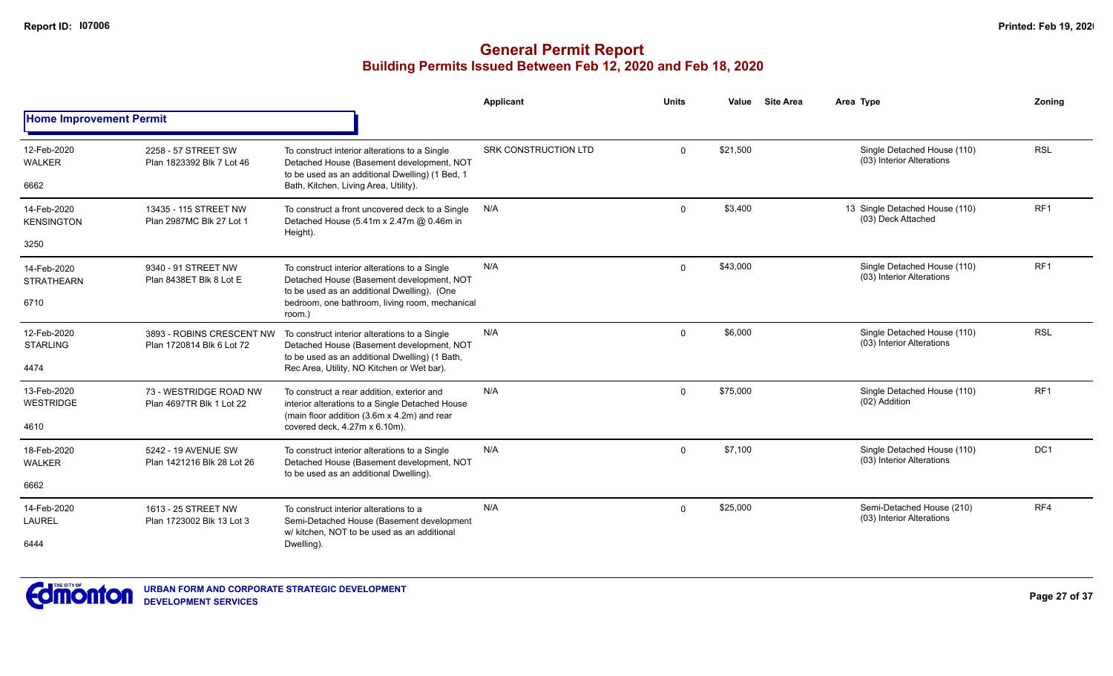|                                  |                                                        |                                                                                                                                               | <b>Applicant</b>            | <b>Units</b> | Value    | <b>Site Area</b> | Area Type                                                | Zoning          |
|----------------------------------|--------------------------------------------------------|-----------------------------------------------------------------------------------------------------------------------------------------------|-----------------------------|--------------|----------|------------------|----------------------------------------------------------|-----------------|
| <b>Home Improvement Permit</b>   |                                                        |                                                                                                                                               |                             |              |          |                  |                                                          |                 |
| 12-Feb-2020<br><b>WALKER</b>     | 2258 - 57 STREET SW<br>Plan 1823392 Blk 7 Lot 46       | To construct interior alterations to a Single<br>Detached House (Basement development, NOT<br>to be used as an additional Dwelling) (1 Bed, 1 | <b>SRK CONSTRUCTION LTD</b> | $\Omega$     | \$21,500 |                  | Single Detached House (110)<br>(03) Interior Alterations | <b>RSL</b>      |
| 6662                             |                                                        | Bath, Kitchen, Living Area, Utility).                                                                                                         |                             |              |          |                  |                                                          |                 |
| 14-Feb-2020<br><b>KENSINGTON</b> | 13435 - 115 STREET NW<br>Plan 2987MC Blk 27 Lot 1      | To construct a front uncovered deck to a Single<br>Detached House (5.41m x 2.47m @ 0.46m in<br>Height).                                       | N/A                         | $\Omega$     | \$3,400  |                  | 13 Single Detached House (110)<br>(03) Deck Attached     | RF <sub>1</sub> |
| 3250                             |                                                        |                                                                                                                                               |                             |              |          |                  |                                                          |                 |
| 14-Feb-2020<br><b>STRATHEARN</b> | 9340 - 91 STREET NW<br>Plan 8438ET Blk 8 Lot E         | To construct interior alterations to a Single<br>Detached House (Basement development, NOT<br>to be used as an additional Dwelling). (One     | N/A                         | $\Omega$     | \$43,000 |                  | Single Detached House (110)<br>(03) Interior Alterations | RF1             |
| 6710                             |                                                        | bedroom, one bathroom, living room, mechanical<br>room.)                                                                                      |                             |              |          |                  |                                                          |                 |
| 12-Feb-2020<br><b>STARLING</b>   | 3893 - ROBINS CRESCENT NW<br>Plan 1720814 Blk 6 Lot 72 | To construct interior alterations to a Single<br>Detached House (Basement development, NOT<br>to be used as an additional Dwelling) (1 Bath,  | N/A                         | $\Omega$     | \$6.000  |                  | Single Detached House (110)<br>(03) Interior Alterations | <b>RSL</b>      |
| 4474                             |                                                        | Rec Area, Utility, NO Kitchen or Wet bar).                                                                                                    |                             |              |          |                  |                                                          |                 |
| 13-Feb-2020<br><b>WESTRIDGE</b>  | 73 - WESTRIDGE ROAD NW<br>Plan 4697TR Blk 1 Lot 22     | To construct a rear addition, exterior and<br>interior alterations to a Single Detached House<br>(main floor addition (3.6m x 4.2m) and rear  | N/A                         | $\Omega$     | \$75,000 |                  | Single Detached House (110)<br>(02) Addition             | RF <sub>1</sub> |
| 4610                             |                                                        | covered deck, 4.27m x 6.10m).                                                                                                                 |                             |              |          |                  |                                                          |                 |
| 18-Feb-2020<br><b>WALKER</b>     | 5242 - 19 AVENUE SW<br>Plan 1421216 Blk 28 Lot 26      | To construct interior alterations to a Single<br>Detached House (Basement development, NOT                                                    | N/A                         | $\mathbf{0}$ | \$7.100  |                  | Single Detached House (110)<br>(03) Interior Alterations | DC <sub>1</sub> |
| 6662                             |                                                        | to be used as an additional Dwelling).                                                                                                        |                             |              |          |                  |                                                          |                 |
| 14-Feb-2020<br><b>LAUREL</b>     | 1613 - 25 STREET NW<br>Plan 1723002 Blk 13 Lot 3       | To construct interior alterations to a<br>Semi-Detached House (Basement development                                                           | N/A                         | $\Omega$     | \$25,000 |                  | Semi-Detached House (210)<br>(03) Interior Alterations   | RF4             |
| 6444                             |                                                        | w/ kitchen. NOT to be used as an additional<br>Dwelling).                                                                                     |                             |              |          |                  |                                                          |                 |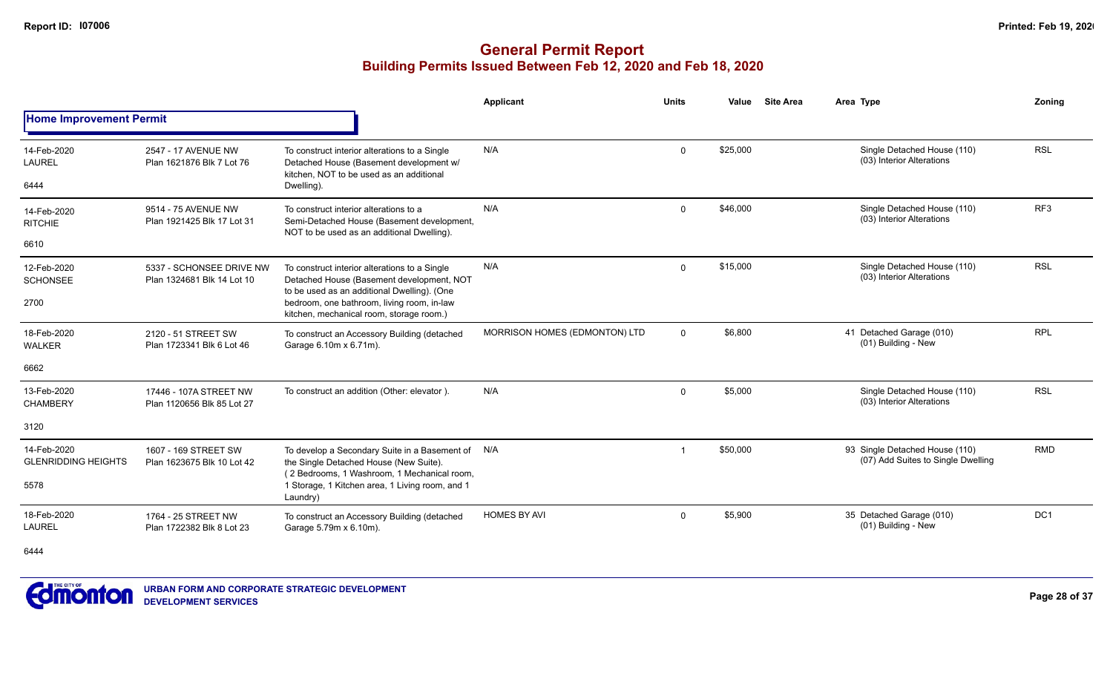|                                           |                                                        |                                                                                                                                            | Applicant                     | <b>Units</b> | Value    | <b>Site Area</b> | Area Type                                                            | Zoning          |
|-------------------------------------------|--------------------------------------------------------|--------------------------------------------------------------------------------------------------------------------------------------------|-------------------------------|--------------|----------|------------------|----------------------------------------------------------------------|-----------------|
| <b>Home Improvement Permit</b>            |                                                        |                                                                                                                                            |                               |              |          |                  |                                                                      |                 |
| 14-Feb-2020<br><b>LAUREL</b>              | 2547 - 17 AVENUE NW<br>Plan 1621876 Blk 7 Lot 76       | To construct interior alterations to a Single<br>Detached House (Basement development w/<br>kitchen. NOT to be used as an additional       | N/A                           | $\Omega$     | \$25,000 |                  | Single Detached House (110)<br>(03) Interior Alterations             | <b>RSL</b>      |
| 6444                                      |                                                        | Dwelling).                                                                                                                                 |                               |              |          |                  |                                                                      |                 |
| 14-Feb-2020<br><b>RITCHIE</b>             | 9514 - 75 AVENUE NW<br>Plan 1921425 Blk 17 Lot 31      | To construct interior alterations to a<br>Semi-Detached House (Basement development,<br>NOT to be used as an additional Dwelling).         | N/A                           | $\Omega$     | \$46,000 |                  | Single Detached House (110)<br>(03) Interior Alterations             | RF <sub>3</sub> |
| 6610                                      |                                                        |                                                                                                                                            |                               |              |          |                  |                                                                      |                 |
| 12-Feb-2020<br><b>SCHONSEE</b>            | 5337 - SCHONSEE DRIVE NW<br>Plan 1324681 Blk 14 Lot 10 | To construct interior alterations to a Single<br>Detached House (Basement development, NOT<br>to be used as an additional Dwelling). (One  | N/A                           | $\Omega$     | \$15,000 |                  | Single Detached House (110)<br>(03) Interior Alterations             | <b>RSL</b>      |
| 2700                                      |                                                        | bedroom, one bathroom, living room, in-law<br>kitchen, mechanical room, storage room.)                                                     |                               |              |          |                  |                                                                      |                 |
| 18-Feb-2020<br><b>WALKER</b>              | 2120 - 51 STREET SW<br>Plan 1723341 Blk 6 Lot 46       | To construct an Accessory Building (detached<br>Garage 6.10m x 6.71m).                                                                     | MORRISON HOMES (EDMONTON) LTD | $\mathbf{0}$ | \$6,800  |                  | 41 Detached Garage (010)<br>(01) Building - New                      | <b>RPL</b>      |
| 6662                                      |                                                        |                                                                                                                                            |                               |              |          |                  |                                                                      |                 |
| 13-Feb-2020<br><b>CHAMBERY</b>            | 17446 - 107A STREET NW<br>Plan 1120656 Blk 85 Lot 27   | To construct an addition (Other: elevator).                                                                                                | N/A                           | $\mathbf{0}$ | \$5,000  |                  | Single Detached House (110)<br>(03) Interior Alterations             | <b>RSL</b>      |
| 3120                                      |                                                        |                                                                                                                                            |                               |              |          |                  |                                                                      |                 |
| 14-Feb-2020<br><b>GLENRIDDING HEIGHTS</b> | 1607 - 169 STREET SW<br>Plan 1623675 Blk 10 Lot 42     | To develop a Secondary Suite in a Basement of N/A<br>the Single Detached House (New Suite).<br>(2 Bedrooms, 1 Washroom, 1 Mechanical room, |                               |              | \$50,000 |                  | 93 Single Detached House (110)<br>(07) Add Suites to Single Dwelling | <b>RMD</b>      |
| 5578                                      |                                                        | 1 Storage, 1 Kitchen area, 1 Living room, and 1<br>Laundry)                                                                                |                               |              |          |                  |                                                                      |                 |
| 18-Feb-2020<br>LAUREL                     | 1764 - 25 STREET NW<br>Plan 1722382 Blk 8 Lot 23       | To construct an Accessory Building (detached<br>Garage 5.79m x 6.10m).                                                                     | <b>HOMES BY AVI</b>           | $\mathbf{0}$ | \$5,900  |                  | 35 Detached Garage (010)<br>(01) Building - New                      | DC1             |
| 6444                                      |                                                        |                                                                                                                                            |                               |              |          |                  |                                                                      |                 |

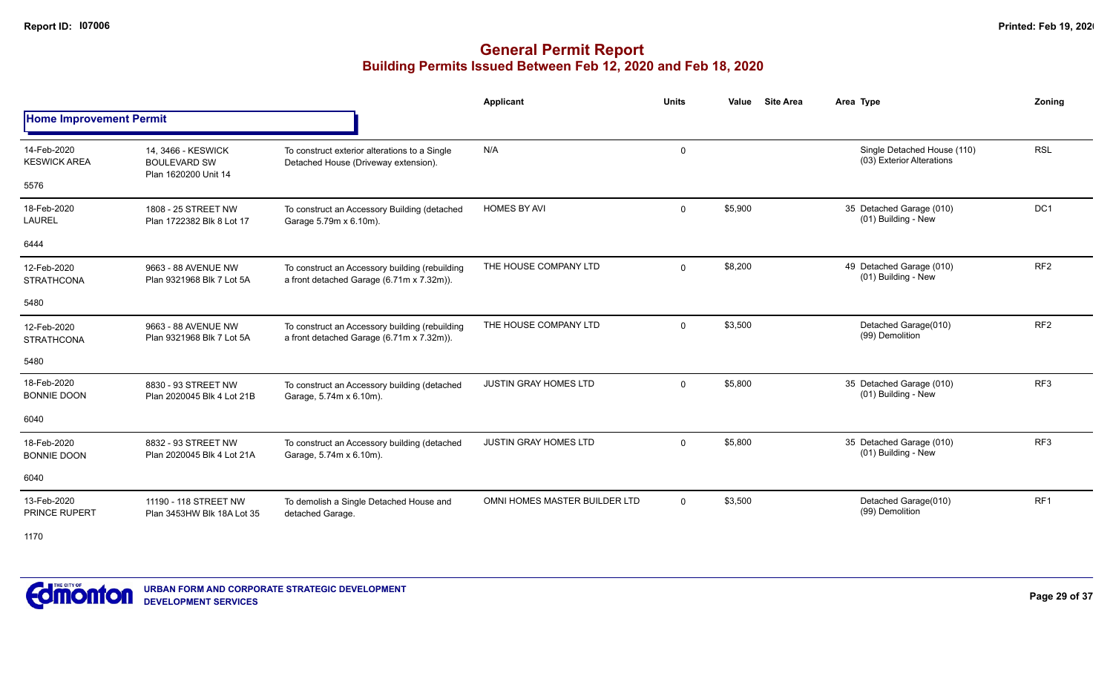## **General Permit Report Building Permits Issued Between Feb 12, 2020 and Feb 18, 2020**

|                                            |                                                                   |                                                                                             | <b>Applicant</b>              | <b>Units</b> | <b>Site Area</b><br>Value | Area Type                                                | Zonina          |
|--------------------------------------------|-------------------------------------------------------------------|---------------------------------------------------------------------------------------------|-------------------------------|--------------|---------------------------|----------------------------------------------------------|-----------------|
| <b>Home Improvement Permit</b>             |                                                                   |                                                                                             |                               |              |                           |                                                          |                 |
| 14-Feb-2020<br><b>KESWICK AREA</b><br>5576 | 14. 3466 - KESWICK<br><b>BOULEVARD SW</b><br>Plan 1620200 Unit 14 | To construct exterior alterations to a Single<br>Detached House (Driveway extension).       | N/A                           | $\mathbf 0$  |                           | Single Detached House (110)<br>(03) Exterior Alterations | <b>RSL</b>      |
| 18-Feb-2020<br><b>LAUREL</b>               | 1808 - 25 STREET NW<br>Plan 1722382 Blk 8 Lot 17                  | To construct an Accessory Building (detached<br>Garage 5.79m x 6.10m).                      | <b>HOMES BY AVI</b>           | $\mathbf 0$  | \$5,900                   | 35 Detached Garage (010)<br>(01) Building - New          | DC <sub>1</sub> |
| 6444                                       |                                                                   |                                                                                             |                               |              |                           |                                                          |                 |
| 12-Feb-2020<br><b>STRATHCONA</b>           | 9663 - 88 AVENUE NW<br>Plan 9321968 Blk 7 Lot 5A                  | To construct an Accessory building (rebuilding<br>a front detached Garage (6.71m x 7.32m)). | THE HOUSE COMPANY LTD         | $\mathbf 0$  | \$8,200                   | 49 Detached Garage (010)<br>(01) Building - New          | RF <sub>2</sub> |
| 5480                                       |                                                                   |                                                                                             |                               |              |                           |                                                          |                 |
| 12-Feb-2020<br><b>STRATHCONA</b>           | 9663 - 88 AVENUE NW<br>Plan 9321968 Blk 7 Lot 5A                  | To construct an Accessory building (rebuilding<br>a front detached Garage (6.71m x 7.32m)). | THE HOUSE COMPANY LTD         | $\mathbf 0$  | \$3,500                   | Detached Garage(010)<br>(99) Demolition                  | RF <sub>2</sub> |
| 5480                                       |                                                                   |                                                                                             |                               |              |                           |                                                          |                 |
| 18-Feb-2020<br><b>BONNIE DOON</b>          | 8830 - 93 STREET NW<br>Plan 2020045 Blk 4 Lot 21B                 | To construct an Accessory building (detached<br>Garage, 5.74m x 6.10m).                     | <b>JUSTIN GRAY HOMES LTD</b>  | $\Omega$     | \$5,800                   | 35 Detached Garage (010)<br>(01) Building - New          | RF3             |
| 6040                                       |                                                                   |                                                                                             |                               |              |                           |                                                          |                 |
| 18-Feb-2020<br><b>BONNIE DOON</b>          | 8832 - 93 STREET NW<br>Plan 2020045 Blk 4 Lot 21A                 | To construct an Accessory building (detached<br>Garage, 5.74m x 6.10m).                     | <b>JUSTIN GRAY HOMES LTD</b>  | $\mathbf 0$  | \$5,800                   | 35 Detached Garage (010)<br>(01) Building - New          | RF <sub>3</sub> |
| 6040                                       |                                                                   |                                                                                             |                               |              |                           |                                                          |                 |
| 13-Feb-2020<br><b>PRINCE RUPERT</b>        | 11190 - 118 STREET NW<br>Plan 3453HW Blk 18A Lot 35               | To demolish a Single Detached House and<br>detached Garage.                                 | OMNI HOMES MASTER BUILDER LTD | $\Omega$     | \$3,500                   | Detached Garage(010)<br>(99) Demolition                  | RF1             |

1170

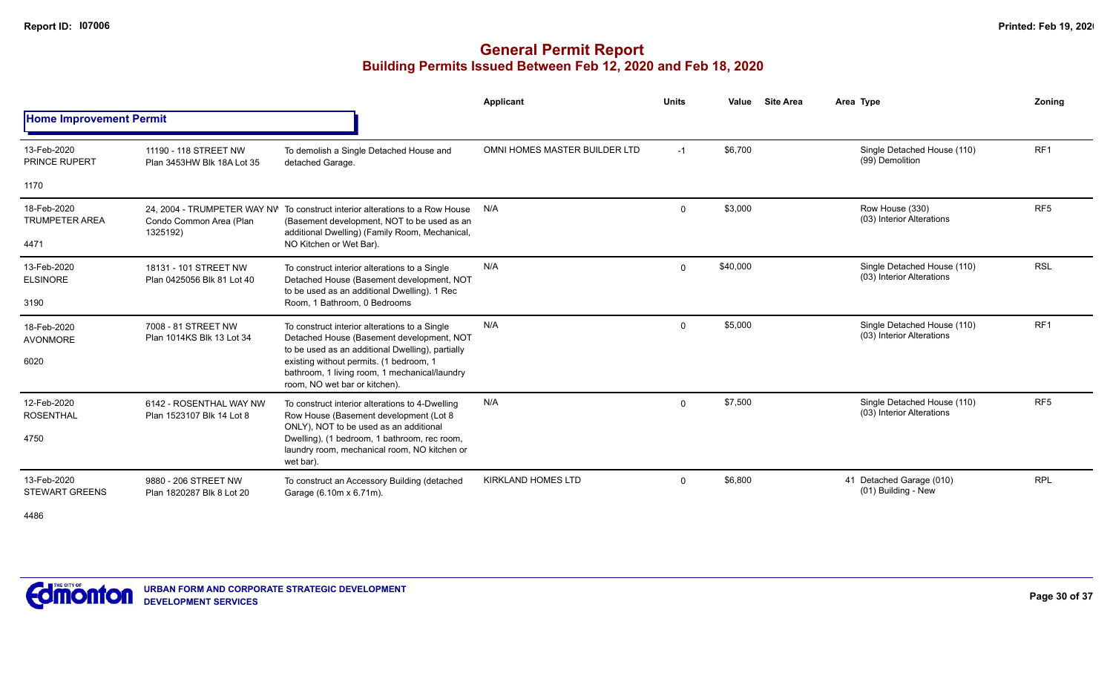## **General Permit Report Building Permits Issued Between Feb 12, 2020 and Feb 18, 2020**

|                                              |                                                      |                                                                                                                                                                                                                                                                             | Applicant                     | <b>Units</b> | Value    | <b>Site Area</b> | Area Type |                                                          | Zonina          |
|----------------------------------------------|------------------------------------------------------|-----------------------------------------------------------------------------------------------------------------------------------------------------------------------------------------------------------------------------------------------------------------------------|-------------------------------|--------------|----------|------------------|-----------|----------------------------------------------------------|-----------------|
| <b>Home Improvement Permit</b>               |                                                      |                                                                                                                                                                                                                                                                             |                               |              |          |                  |           |                                                          |                 |
| 13-Feb-2020<br>PRINCE RUPERT                 | 11190 - 118 STREET NW<br>Plan 3453HW Blk 18A Lot 35  | To demolish a Single Detached House and<br>detached Garage.                                                                                                                                                                                                                 | OMNI HOMES MASTER BUILDER LTD | $-1$         | \$6,700  |                  |           | Single Detached House (110)<br>(99) Demolition           | RF <sub>1</sub> |
| 1170                                         |                                                      |                                                                                                                                                                                                                                                                             |                               |              |          |                  |           |                                                          |                 |
| 18-Feb-2020<br><b>TRUMPETER AREA</b><br>4471 | Condo Common Area (Plan<br>1325192)                  | 24, 2004 - TRUMPETER WAY NV To construct interior alterations to a Row House<br>(Basement development, NOT to be used as an<br>additional Dwelling) (Family Room, Mechanical,<br>NO Kitchen or Wet Bar).                                                                    | N/A                           | $\mathbf 0$  | \$3,000  |                  |           | Row House (330)<br>(03) Interior Alterations             | RF <sub>5</sub> |
| 13-Feb-2020<br><b>ELSINORE</b><br>3190       | 18131 - 101 STREET NW<br>Plan 0425056 Blk 81 Lot 40  | To construct interior alterations to a Single<br>Detached House (Basement development, NOT<br>to be used as an additional Dwelling). 1 Rec<br>Room. 1 Bathroom. 0 Bedrooms                                                                                                  | N/A                           | $\mathbf 0$  | \$40,000 |                  |           | Single Detached House (110)<br>(03) Interior Alterations | <b>RSL</b>      |
| 18-Feb-2020<br><b>AVONMORE</b><br>6020       | 7008 - 81 STREET NW<br>Plan 1014KS Blk 13 Lot 34     | To construct interior alterations to a Single<br>Detached House (Basement development, NOT<br>to be used as an additional Dwelling), partially<br>existing without permits. (1 bedroom, 1<br>bathroom, 1 living room, 1 mechanical/laundry<br>room, NO wet bar or kitchen). | N/A                           | $\mathbf{0}$ | \$5,000  |                  |           | Single Detached House (110)<br>(03) Interior Alterations | RF <sub>1</sub> |
| 12-Feb-2020<br><b>ROSENTHAL</b><br>4750      | 6142 - ROSENTHAL WAY NW<br>Plan 1523107 Blk 14 Lot 8 | To construct interior alterations to 4-Dwelling<br>Row House (Basement development (Lot 8<br>ONLY), NOT to be used as an additional<br>Dwelling), (1 bedroom, 1 bathroom, rec room,<br>laundry room, mechanical room, NO kitchen or<br>wet bar).                            | N/A                           | $\mathbf 0$  | \$7,500  |                  |           | Single Detached House (110)<br>(03) Interior Alterations | RF <sub>5</sub> |
| 13-Feb-2020<br><b>STEWART GREENS</b>         | 9880 - 206 STREET NW<br>Plan 1820287 Blk 8 Lot 20    | To construct an Accessory Building (detached<br>Garage (6.10m x 6.71m).                                                                                                                                                                                                     | <b>KIRKLAND HOMES LTD</b>     | 0            | \$6,800  |                  |           | 41 Detached Garage (010)<br>(01) Building - New          | <b>RPL</b>      |

4486

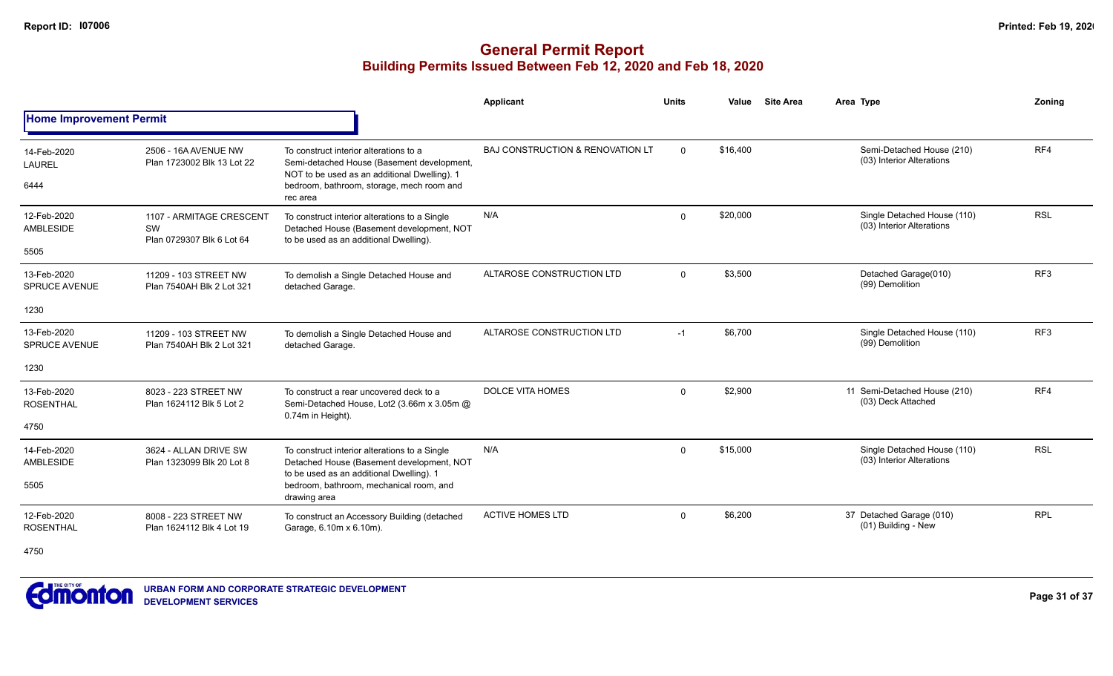|                                         |                                                             |                                                                                                                                                                                               | Applicant                        | <b>Units</b> | Value    | <b>Site Area</b> | Area Type                                                | <b>Zoning</b>   |
|-----------------------------------------|-------------------------------------------------------------|-----------------------------------------------------------------------------------------------------------------------------------------------------------------------------------------------|----------------------------------|--------------|----------|------------------|----------------------------------------------------------|-----------------|
| <b>Home Improvement Permit</b>          |                                                             |                                                                                                                                                                                               |                                  |              |          |                  |                                                          |                 |
| 14-Feb-2020<br><b>LAUREL</b><br>6444    | 2506 - 16A AVENUE NW<br>Plan 1723002 Blk 13 Lot 22          | To construct interior alterations to a<br>Semi-detached House (Basement development,<br>NOT to be used as an additional Dwelling). 1<br>bedroom, bathroom, storage, mech room and<br>rec area | BAJ CONSTRUCTION & RENOVATION LT | $\Omega$     | \$16,400 |                  | Semi-Detached House (210)<br>(03) Interior Alterations   | RF4             |
| 12-Feb-2020<br><b>AMBLESIDE</b><br>5505 | 1107 - ARMITAGE CRESCENT<br>SW<br>Plan 0729307 Blk 6 Lot 64 | To construct interior alterations to a Single<br>Detached House (Basement development, NOT<br>to be used as an additional Dwelling).                                                          | N/A                              | $\Omega$     | \$20,000 |                  | Single Detached House (110)<br>(03) Interior Alterations | <b>RSL</b>      |
| 13-Feb-2020<br><b>SPRUCE AVENUE</b>     | 11209 - 103 STREET NW<br>Plan 7540AH Blk 2 Lot 321          | To demolish a Single Detached House and<br>detached Garage.                                                                                                                                   | ALTAROSE CONSTRUCTION LTD        | $\Omega$     | \$3,500  |                  | Detached Garage(010)<br>(99) Demolition                  | RF <sub>3</sub> |
| 1230                                    |                                                             |                                                                                                                                                                                               |                                  |              |          |                  |                                                          |                 |
| 13-Feb-2020<br><b>SPRUCE AVENUE</b>     | 11209 - 103 STREET NW<br>Plan 7540AH Blk 2 Lot 321          | To demolish a Single Detached House and<br>detached Garage.                                                                                                                                   | ALTAROSE CONSTRUCTION LTD        | $-1$         | \$6,700  |                  | Single Detached House (110)<br>(99) Demolition           | RF <sub>3</sub> |
| 1230                                    |                                                             |                                                                                                                                                                                               |                                  |              |          |                  |                                                          |                 |
| 13-Feb-2020<br><b>ROSENTHAL</b>         | 8023 - 223 STREET NW<br>Plan 1624112 Blk 5 Lot 2            | To construct a rear uncovered deck to a<br>Semi-Detached House, Lot2 (3.66m x 3.05m @<br>0.74m in Height).                                                                                    | <b>DOLCE VITA HOMES</b>          | $\Omega$     | \$2,900  |                  | 11 Semi-Detached House (210)<br>(03) Deck Attached       | RF4             |
| 4750                                    |                                                             |                                                                                                                                                                                               |                                  |              |          |                  |                                                          |                 |
| 14-Feb-2020<br><b>AMBLESIDE</b>         | 3624 - ALLAN DRIVE SW<br>Plan 1323099 Blk 20 Lot 8          | To construct interior alterations to a Single<br>Detached House (Basement development, NOT<br>to be used as an additional Dwelling). 1                                                        | N/A                              | $\Omega$     | \$15,000 |                  | Single Detached House (110)<br>(03) Interior Alterations | <b>RSL</b>      |
| 5505                                    |                                                             | bedroom, bathroom, mechanical room, and<br>drawing area                                                                                                                                       |                                  |              |          |                  |                                                          |                 |
| 12-Feb-2020<br><b>ROSENTHAL</b>         | 8008 - 223 STREET NW<br>Plan 1624112 Blk 4 Lot 19           | To construct an Accessory Building (detached<br>Garage, 6.10m x 6.10m).                                                                                                                       | <b>ACTIVE HOMES LTD</b>          | $\mathbf{0}$ | \$6,200  |                  | 37 Detached Garage (010)<br>(01) Building - New          | <b>RPL</b>      |
| 4750                                    |                                                             |                                                                                                                                                                                               |                                  |              |          |                  |                                                          |                 |

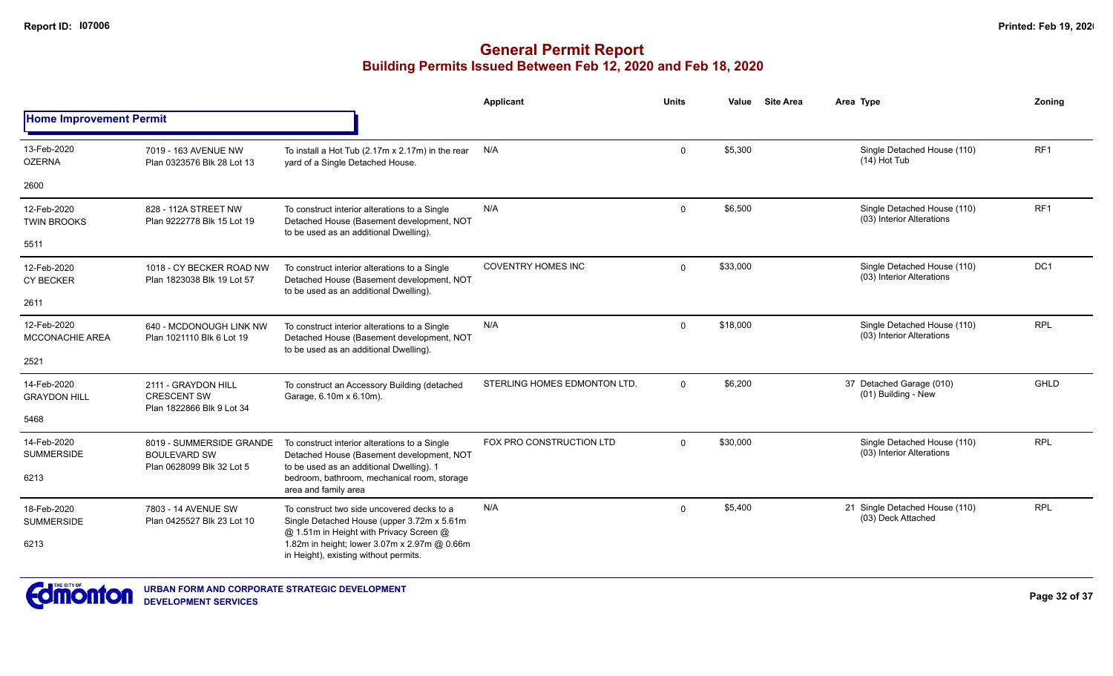|                                       |                                                                        |                                                                                                                                        | Applicant                    | <b>Units</b> | Value    | <b>Site Area</b> | Area Type                                                | Zonina          |
|---------------------------------------|------------------------------------------------------------------------|----------------------------------------------------------------------------------------------------------------------------------------|------------------------------|--------------|----------|------------------|----------------------------------------------------------|-----------------|
| <b>Home Improvement Permit</b>        |                                                                        |                                                                                                                                        |                              |              |          |                  |                                                          |                 |
| 13-Feb-2020<br><b>OZERNA</b>          | 7019 - 163 AVENUE NW<br>Plan 0323576 Blk 28 Lot 13                     | To install a Hot Tub (2.17m x 2.17m) in the rear<br>yard of a Single Detached House.                                                   | N/A                          | $\Omega$     | \$5,300  |                  | Single Detached House (110)<br>$(14)$ Hot Tub            | RF <sub>1</sub> |
| 2600                                  |                                                                        |                                                                                                                                        |                              |              |          |                  |                                                          |                 |
| 12-Feb-2020<br><b>TWIN BROOKS</b>     | 828 - 112A STREET NW<br>Plan 9222778 Blk 15 Lot 19                     | To construct interior alterations to a Single<br>Detached House (Basement development, NOT<br>to be used as an additional Dwelling).   | N/A                          | $\Omega$     | \$6,500  |                  | Single Detached House (110)<br>(03) Interior Alterations | RF <sub>1</sub> |
| 5511                                  |                                                                        |                                                                                                                                        |                              |              |          |                  |                                                          |                 |
| 12-Feb-2020<br><b>CY BECKER</b>       | 1018 - CY BECKER ROAD NW<br>Plan 1823038 Blk 19 Lot 57                 | To construct interior alterations to a Single<br>Detached House (Basement development, NOT<br>to be used as an additional Dwelling).   | <b>COVENTRY HOMES INC</b>    | $\Omega$     | \$33,000 |                  | Single Detached House (110)<br>(03) Interior Alterations | DC <sub>1</sub> |
| 2611                                  |                                                                        |                                                                                                                                        |                              |              |          |                  |                                                          |                 |
| 12-Feb-2020<br><b>MCCONACHIE AREA</b> | 640 - MCDONOUGH LINK NW<br>Plan 1021110 Blk 6 Lot 19                   | To construct interior alterations to a Single<br>Detached House (Basement development, NOT<br>to be used as an additional Dwelling).   | N/A                          | $\mathbf 0$  | \$18,000 |                  | Single Detached House (110)<br>(03) Interior Alterations | <b>RPL</b>      |
| 2521                                  |                                                                        |                                                                                                                                        |                              |              |          |                  |                                                          |                 |
| 14-Feb-2020<br><b>GRAYDON HILL</b>    | 2111 - GRAYDON HILL<br><b>CRESCENT SW</b><br>Plan 1822866 Blk 9 Lot 34 | To construct an Accessory Building (detached<br>Garage, 6.10m x 6.10m).                                                                | STERLING HOMES EDMONTON LTD. | $\Omega$     | \$6,200  |                  | 37 Detached Garage (010)<br>(01) Building - New          | <b>GHLD</b>     |
| 5468                                  |                                                                        |                                                                                                                                        |                              |              |          |                  |                                                          |                 |
| 14-Feb-2020<br><b>SUMMERSIDE</b>      | 8019 - SUMMERSIDE GRANDE<br><b>BOULEVARD SW</b>                        | To construct interior alterations to a Single<br>Detached House (Basement development, NOT<br>to be used as an additional Dwelling). 1 | FOX PRO CONSTRUCTION LTD     | $\Omega$     | \$30,000 |                  | Single Detached House (110)<br>(03) Interior Alterations | <b>RPL</b>      |
| 6213                                  | Plan 0628099 Blk 32 Lot 5                                              | bedroom, bathroom, mechanical room, storage<br>area and family area                                                                    |                              |              |          |                  |                                                          |                 |
| 18-Feb-2020<br><b>SUMMERSIDE</b>      | 7803 - 14 AVENUE SW<br>Plan 0425527 Blk 23 Lot 10                      | N/A<br>To construct two side uncovered decks to a<br>Single Detached House (upper 3.72m x 5.61m)                                       |                              | $\Omega$     | \$5.400  |                  | 21 Single Detached House (110)<br>(03) Deck Attached     | <b>RPL</b>      |
| 6213                                  |                                                                        | @ 1.51m in Height with Privacy Screen @<br>1.82m in height; lower 3.07m x 2.97m @ 0.66m<br>in Height), existing without permits.       |                              |              |          |                  |                                                          |                 |

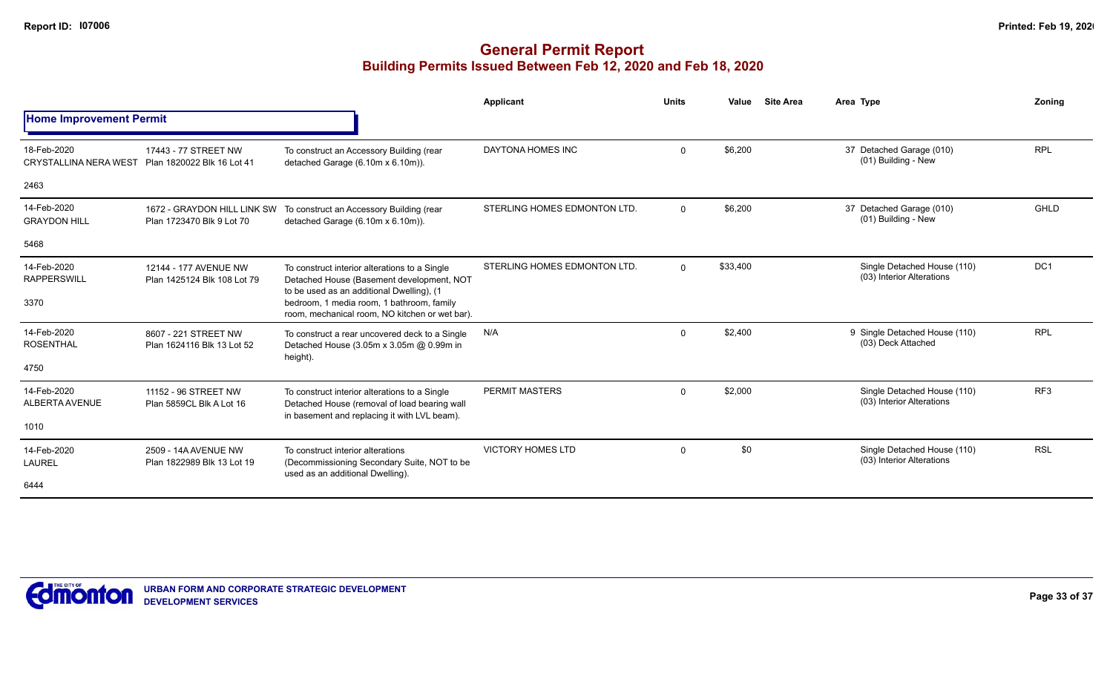|                                             |                                                          |                                                                                                                                         | Applicant                    | <b>Units</b> | Value    | <b>Site Area</b> | Area Type                                                | Zonina          |
|---------------------------------------------|----------------------------------------------------------|-----------------------------------------------------------------------------------------------------------------------------------------|------------------------------|--------------|----------|------------------|----------------------------------------------------------|-----------------|
| <b>Home Improvement Permit</b>              |                                                          |                                                                                                                                         |                              |              |          |                  |                                                          |                 |
| 18-Feb-2020<br><b>CRYSTALLINA NERA WEST</b> | 17443 - 77 STREET NW<br>Plan 1820022 Blk 16 Lot 41       | To construct an Accessory Building (rear<br>detached Garage (6.10m x 6.10m)).                                                           | DAYTONA HOMES INC            | $\Omega$     | \$6,200  |                  | 37 Detached Garage (010)<br>(01) Building - New          | <b>RPL</b>      |
| 2463                                        |                                                          |                                                                                                                                         |                              |              |          |                  |                                                          |                 |
| 14-Feb-2020<br><b>GRAYDON HILL</b>          | 1672 - GRAYDON HILL LINK SW<br>Plan 1723470 Blk 9 Lot 70 | To construct an Accessory Building (rear<br>detached Garage (6.10m x 6.10m)).                                                           | STERLING HOMES EDMONTON LTD. | $\Omega$     | \$6,200  |                  | 37 Detached Garage (010)<br>(01) Building - New          | GHLD            |
| 5468                                        |                                                          |                                                                                                                                         |                              |              |          |                  |                                                          |                 |
| 14-Feb-2020<br><b>RAPPERSWILL</b>           | 12144 - 177 AVENUE NW<br>Plan 1425124 Blk 108 Lot 79     | To construct interior alterations to a Single<br>Detached House (Basement development, NOT<br>to be used as an additional Dwelling), (1 | STERLING HOMES EDMONTON LTD. | $\Omega$     | \$33,400 |                  | Single Detached House (110)<br>(03) Interior Alterations | DC <sub>1</sub> |
| 3370                                        |                                                          | bedroom, 1 media room, 1 bathroom, family<br>room, mechanical room, NO kitchen or wet bar).                                             |                              |              |          |                  |                                                          |                 |
| 14-Feb-2020<br><b>ROSENTHAL</b>             | 8607 - 221 STREET NW<br>Plan 1624116 Blk 13 Lot 52       | To construct a rear uncovered deck to a Single<br>Detached House (3.05m x 3.05m @ 0.99m in<br>height).                                  | N/A                          | $\mathbf 0$  | \$2,400  |                  | 9 Single Detached House (110)<br>(03) Deck Attached      | <b>RPL</b>      |
| 4750                                        |                                                          |                                                                                                                                         |                              |              |          |                  |                                                          |                 |
| 14-Feb-2020<br>ALBERTA AVENUE               | 11152 - 96 STREET NW<br>Plan 5859CL Blk A Lot 16         | To construct interior alterations to a Single<br>Detached House (removal of load bearing wall                                           | <b>PERMIT MASTERS</b>        | $\Omega$     | \$2,000  |                  | Single Detached House (110)<br>(03) Interior Alterations | RF <sub>3</sub> |
| 1010                                        |                                                          | in basement and replacing it with LVL beam).                                                                                            |                              |              |          |                  |                                                          |                 |
| 14-Feb-2020<br><b>LAUREL</b>                | 2509 - 14A AVENUE NW<br>Plan 1822989 Blk 13 Lot 19       | To construct interior alterations<br>(Decommissioning Secondary Suite, NOT to be<br>used as an additional Dwelling).                    | <b>VICTORY HOMES LTD</b>     | $\mathbf 0$  | \$0      |                  | Single Detached House (110)<br>(03) Interior Alterations | <b>RSL</b>      |
| 6444                                        |                                                          |                                                                                                                                         |                              |              |          |                  |                                                          |                 |

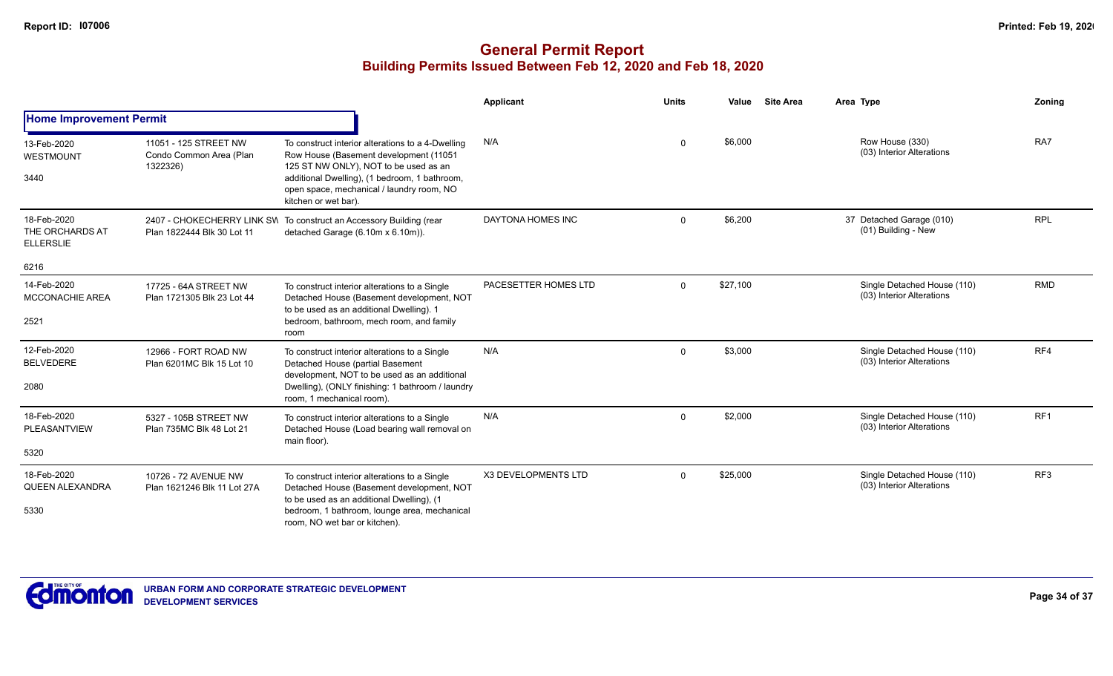|                                                    |                                                              |                                                                                                                                                                                                                                                            | Applicant                  | <b>Units</b> | Value    | <b>Site Area</b> | Area Type                                                | Zoning     |
|----------------------------------------------------|--------------------------------------------------------------|------------------------------------------------------------------------------------------------------------------------------------------------------------------------------------------------------------------------------------------------------------|----------------------------|--------------|----------|------------------|----------------------------------------------------------|------------|
| <b>Home Improvement Permit</b>                     |                                                              |                                                                                                                                                                                                                                                            |                            |              |          |                  |                                                          |            |
| 13-Feb-2020<br><b>WESTMOUNT</b><br>3440            | 11051 - 125 STREET NW<br>Condo Common Area (Plan<br>1322326) | To construct interior alterations to a 4-Dwelling<br>Row House (Basement development (11051<br>125 ST NW ONLY), NOT to be used as an<br>additional Dwelling), (1 bedroom, 1 bathroom,<br>open space, mechanical / laundry room, NO<br>kitchen or wet bar). | N/A                        | $\Omega$     | \$6,000  |                  | Row House (330)<br>(03) Interior Alterations             | RA7        |
| 18-Feb-2020<br>THE ORCHARDS AT<br><b>ELLERSLIE</b> | Plan 1822444 Blk 30 Lot 11                                   | 2407 - CHOKECHERRY LINK SVI To construct an Accessory Building (rear<br>detached Garage (6.10m x 6.10m)).                                                                                                                                                  | DAYTONA HOMES INC          | $\Omega$     | \$6,200  |                  | 37 Detached Garage (010)<br>(01) Building - New          | <b>RPL</b> |
| 6216                                               |                                                              |                                                                                                                                                                                                                                                            |                            |              |          |                  |                                                          |            |
| 14-Feb-2020<br><b>MCCONACHIE AREA</b>              | 17725 - 64A STREET NW<br>Plan 1721305 Blk 23 Lot 44          | To construct interior alterations to a Single<br>Detached House (Basement development, NOT<br>to be used as an additional Dwelling). 1                                                                                                                     | PACESETTER HOMES LTD       | $\Omega$     | \$27,100 |                  | Single Detached House (110)<br>(03) Interior Alterations | <b>RMD</b> |
| 2521                                               |                                                              | bedroom, bathroom, mech room, and family<br>room                                                                                                                                                                                                           |                            |              |          |                  |                                                          |            |
| 12-Feb-2020<br><b>BELVEDERE</b>                    | 12966 - FORT ROAD NW<br>Plan 6201MC Blk 15 Lot 10            | To construct interior alterations to a Single<br>Detached House (partial Basement<br>development, NOT to be used as an additional                                                                                                                          | N/A                        | $\Omega$     | \$3,000  |                  | Single Detached House (110)<br>(03) Interior Alterations | RF4        |
| 2080                                               |                                                              | Dwelling), (ONLY finishing: 1 bathroom / laundry<br>room, 1 mechanical room).                                                                                                                                                                              |                            |              |          |                  |                                                          |            |
| 18-Feb-2020<br>PLEASANTVIEW                        | 5327 - 105B STREET NW<br>Plan 735MC Blk 48 Lot 21            | To construct interior alterations to a Single<br>Detached House (Load bearing wall removal on                                                                                                                                                              | N/A                        | $\Omega$     | \$2,000  |                  | Single Detached House (110)<br>(03) Interior Alterations | RF1        |
| 5320                                               |                                                              | main floor).                                                                                                                                                                                                                                               |                            |              |          |                  |                                                          |            |
| 18-Feb-2020<br><b>QUEEN ALEXANDRA</b>              | 10726 - 72 AVENUE NW<br>Plan 1621246 Blk 11 Lot 27A          | To construct interior alterations to a Single<br>Detached House (Basement development, NOT                                                                                                                                                                 | <b>X3 DEVELOPMENTS LTD</b> | $\Omega$     | \$25,000 |                  | Single Detached House (110)<br>(03) Interior Alterations | RF3        |
| 5330                                               |                                                              | to be used as an additional Dwelling), (1<br>bedroom, 1 bathroom, lounge area, mechanical<br>room. NO wet bar or kitchen).                                                                                                                                 |                            |              |          |                  |                                                          |            |

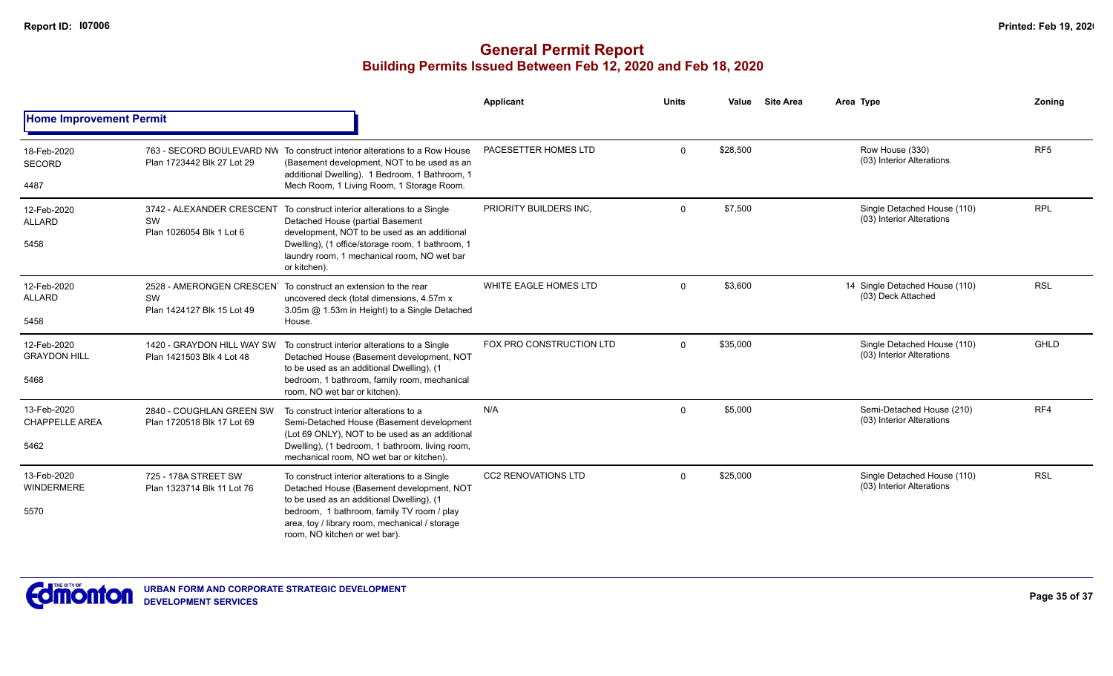|                                              |                                                                    |                                                                                                                                                                                                                                                                          | <b>Applicant</b>           | <b>Units</b> | Value    | <b>Site Area</b> | Area Type                                                | Zoning          |
|----------------------------------------------|--------------------------------------------------------------------|--------------------------------------------------------------------------------------------------------------------------------------------------------------------------------------------------------------------------------------------------------------------------|----------------------------|--------------|----------|------------------|----------------------------------------------------------|-----------------|
| <b>Home Improvement Permit</b>               |                                                                    |                                                                                                                                                                                                                                                                          |                            |              |          |                  |                                                          |                 |
| 18-Feb-2020<br><b>SECORD</b>                 | Plan 1723442 Blk 27 Lot 29                                         | 763 - SECORD BOULEVARD NW To construct interior alterations to a Row House<br>(Basement development, NOT to be used as an<br>additional Dwelling). 1 Bedroom, 1 Bathroom, 1                                                                                              | PACESETTER HOMES LTD       | $\Omega$     | \$28,500 |                  | Row House (330)<br>(03) Interior Alterations             | RF <sub>5</sub> |
| 4487                                         |                                                                    | Mech Room, 1 Living Room, 1 Storage Room.                                                                                                                                                                                                                                |                            |              |          |                  |                                                          |                 |
| 12-Feb-2020<br><b>ALLARD</b><br>5458         | 3742 - ALEXANDER CRESCENT<br><b>SW</b><br>Plan 1026054 Blk 1 Lot 6 | To construct interior alterations to a Single<br>Detached House (partial Basement<br>development, NOT to be used as an additional<br>Dwelling), (1 office/storage room, 1 bathroom, 1<br>laundry room, 1 mechanical room, NO wet bar<br>or kitchen).                     | PRIORITY BUILDERS INC,     | $\Omega$     | \$7,500  |                  | Single Detached House (110)<br>(03) Interior Alterations | <b>RPL</b>      |
| 12-Feb-2020<br><b>ALLARD</b><br>5458         | 2528 - AMERONGEN CRESCEN<br>SW<br>Plan 1424127 Blk 15 Lot 49       | To construct an extension to the rear<br>uncovered deck (total dimensions, 4.57m x<br>3.05m @ 1.53m in Height) to a Single Detached<br>House.                                                                                                                            | WHITE EAGLE HOMES LTD      | $\Omega$     | \$3,600  |                  | 14 Single Detached House (110)<br>(03) Deck Attached     | <b>RSL</b>      |
| 12-Feb-2020<br><b>GRAYDON HILL</b><br>5468   | 1420 - GRAYDON HILL WAY SW<br>Plan 1421503 Blk 4 Lot 48            | To construct interior alterations to a Single<br>Detached House (Basement development, NOT<br>to be used as an additional Dwelling), (1<br>bedroom, 1 bathroom, family room, mechanical<br>room, NO wet bar or kitchen).                                                 | FOX PRO CONSTRUCTION LTD   | $\Omega$     | \$35,000 |                  | Single Detached House (110)<br>(03) Interior Alterations | GHLD            |
| 13-Feb-2020<br><b>CHAPPELLE AREA</b><br>5462 | 2840 - COUGHLAN GREEN SW<br>Plan 1720518 Blk 17 Lot 69             | To construct interior alterations to a<br>Semi-Detached House (Basement development<br>(Lot 69 ONLY), NOT to be used as an additional<br>Dwelling), (1 bedroom, 1 bathroom, living room,<br>mechanical room, NO wet bar or kitchen).                                     | N/A                        | $\Omega$     | \$5,000  |                  | Semi-Detached House (210)<br>(03) Interior Alterations   | RF4             |
| 13-Feb-2020<br>WINDERMERE<br>5570            | 725 - 178A STREET SW<br>Plan 1323714 Blk 11 Lot 76                 | To construct interior alterations to a Single<br>Detached House (Basement development, NOT<br>to be used as an additional Dwelling), (1<br>bedroom, 1 bathroom, family TV room / play<br>area, toy / library room, mechanical / storage<br>room, NO kitchen or wet bar). | <b>CC2 RENOVATIONS LTD</b> | $\Omega$     | \$25,000 |                  | Single Detached House (110)<br>(03) Interior Alterations | <b>RSL</b>      |

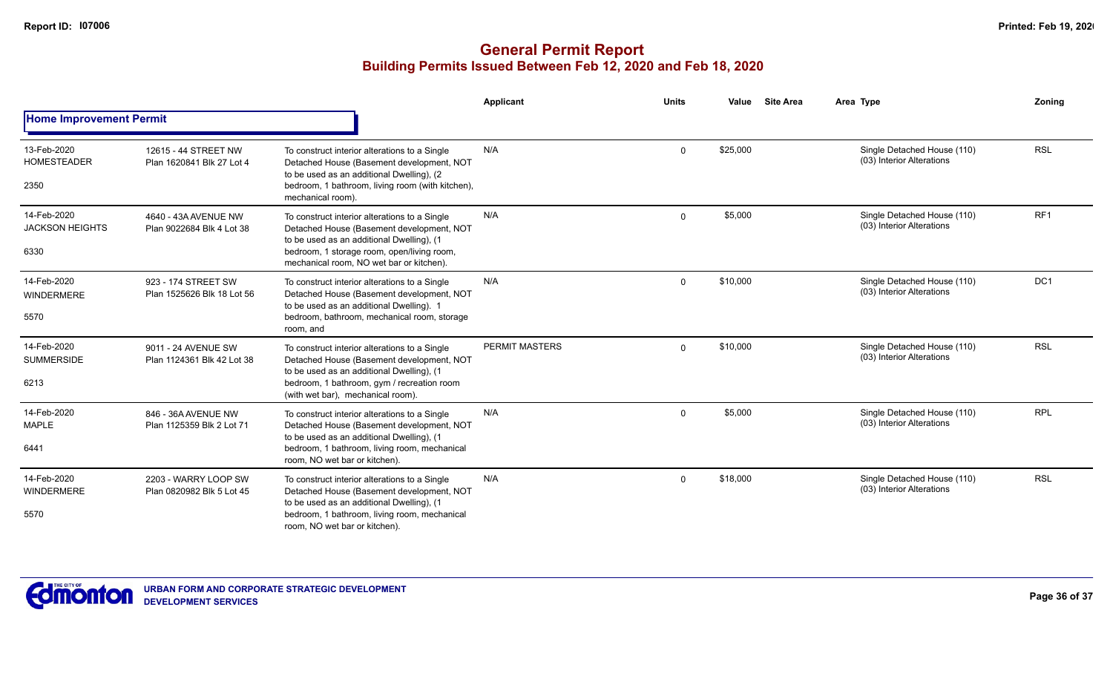|                                               |                                                   |                                                                                                                                                                                                                                   | <b>Applicant</b>      | <b>Units</b> | <b>Site Area</b><br>Value | Area Type                                                | Zoning          |
|-----------------------------------------------|---------------------------------------------------|-----------------------------------------------------------------------------------------------------------------------------------------------------------------------------------------------------------------------------------|-----------------------|--------------|---------------------------|----------------------------------------------------------|-----------------|
| <b>Home Improvement Permit</b>                |                                                   |                                                                                                                                                                                                                                   |                       |              |                           |                                                          |                 |
| 13-Feb-2020<br><b>HOMESTEADER</b><br>2350     | 12615 - 44 STREET NW<br>Plan 1620841 Blk 27 Lot 4 | To construct interior alterations to a Single<br>Detached House (Basement development, NOT<br>to be used as an additional Dwelling), (2<br>bedroom, 1 bathroom, living room (with kitchen),<br>mechanical room).                  | N/A                   | $\Omega$     | \$25,000                  | Single Detached House (110)<br>(03) Interior Alterations | <b>RSL</b>      |
| 14-Feb-2020<br><b>JACKSON HEIGHTS</b><br>6330 | 4640 - 43A AVENUE NW<br>Plan 9022684 Blk 4 Lot 38 | To construct interior alterations to a Single<br>Detached House (Basement development, NOT<br>to be used as an additional Dwelling), (1<br>bedroom, 1 storage room, open/living room,<br>mechanical room, NO wet bar or kitchen). | N/A                   | $\Omega$     | \$5,000                   | Single Detached House (110)<br>(03) Interior Alterations | RF <sub>1</sub> |
| 14-Feb-2020<br><b>WINDERMERE</b><br>5570      | 923 - 174 STREET SW<br>Plan 1525626 Blk 18 Lot 56 | To construct interior alterations to a Single<br>Detached House (Basement development, NOT<br>to be used as an additional Dwelling). 1<br>bedroom, bathroom, mechanical room, storage<br>room, and                                | N/A                   | $\Omega$     | \$10,000                  | Single Detached House (110)<br>(03) Interior Alterations | DC1             |
| 14-Feb-2020<br><b>SUMMERSIDE</b><br>6213      | 9011 - 24 AVENUE SW<br>Plan 1124361 Blk 42 Lot 38 | To construct interior alterations to a Single<br>Detached House (Basement development, NOT<br>to be used as an additional Dwelling), (1<br>bedroom, 1 bathroom, gym / recreation room<br>(with wet bar), mechanical room).        | <b>PERMIT MASTERS</b> | $\Omega$     | \$10,000                  | Single Detached House (110)<br>(03) Interior Alterations | <b>RSL</b>      |
| 14-Feb-2020<br><b>MAPLE</b><br>6441           | 846 - 36A AVENUE NW<br>Plan 1125359 Blk 2 Lot 71  | To construct interior alterations to a Single<br>Detached House (Basement development, NOT<br>to be used as an additional Dwelling), (1<br>bedroom, 1 bathroom, living room, mechanical<br>room, NO wet bar or kitchen).          | N/A                   | $\Omega$     | \$5,000                   | Single Detached House (110)<br>(03) Interior Alterations | <b>RPL</b>      |
| 14-Feb-2020<br><b>WINDERMERE</b><br>5570      | 2203 - WARRY LOOP SW<br>Plan 0820982 Blk 5 Lot 45 | To construct interior alterations to a Single<br>Detached House (Basement development, NOT<br>to be used as an additional Dwelling), (1<br>bedroom, 1 bathroom, living room, mechanical<br>room, NO wet bar or kitchen).          | N/A                   | $\Omega$     | \$18,000                  | Single Detached House (110)<br>(03) Interior Alterations | <b>RSL</b>      |